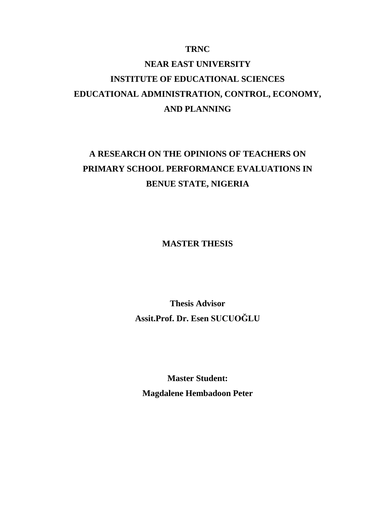### **TRNC**

# **NEAR EAST UNIVERSITY INSTITUTE OF EDUCATIONAL SCIENCES EDUCATIONAL ADMINISTRATION, CONTROL, ECONOMY, AND PLANNING**

# **A RESEARCH ON THE OPINIONS OF TEACHERS ON PRIMARY SCHOOL PERFORMANCE EVALUATIONS IN BENUE STATE, NIGERIA**

**MASTER THESIS**

**Thesis Advisor Assit.Prof. Dr. Esen SUCUOĞLU**

**Master Student: Magdalene Hembadoon Peter**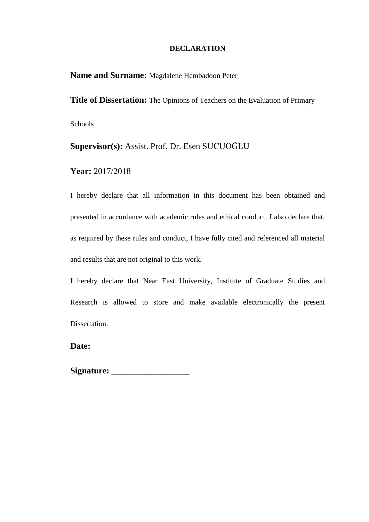### **DECLARATION**

**Name and Surname:** Magdalene Hembadoon Peter

**Title of Dissertation:** The Opinions of Teachers on the Evaluation of Primary Schools

**Supervisor(s):** Assist. Prof. Dr. Esen SUCUOĞLU

**Year:** 2017/2018

I hereby declare that all information in this document has been obtained and presented in accordance with academic rules and ethical conduct. I also declare that, as required by these rules and conduct, I have fully cited and referenced all material and results that are not original to this work.

I hereby declare that Near East University, Institute of Graduate Studies and Research is allowed to store and make available electronically the present Dissertation.

**Date:** 

**Signature:** \_\_\_\_\_\_\_\_\_\_\_\_\_\_\_\_\_\_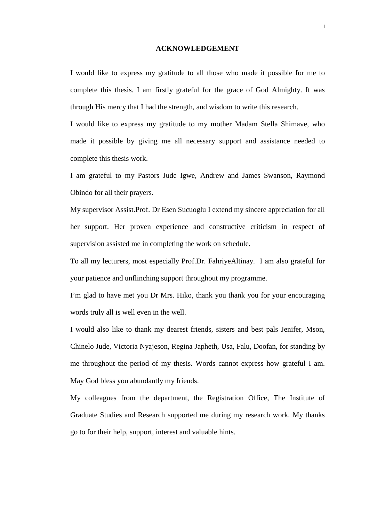#### **ACKNOWLEDGEMENT**

I would like to express my gratitude to all those who made it possible for me to complete this thesis. I am firstly grateful for the grace of God Almighty. It was through His mercy that I had the strength, and wisdom to write this research.

I would like to express my gratitude to my mother Madam Stella Shimave, who made it possible by giving me all necessary support and assistance needed to complete this thesis work.

I am grateful to my Pastors Jude Igwe, Andrew and James Swanson, Raymond Obindo for all their prayers.

My supervisor Assist.Prof. Dr Esen Sucuoglu I extend my sincere appreciation for all her support. Her proven experience and constructive criticism in respect of supervision assisted me in completing the work on schedule.

To all my lecturers, most especially Prof.Dr. FahriyeAltinay. I am also grateful for your patience and unflinching support throughout my programme.

I'm glad to have met you Dr Mrs. Hiko, thank you thank you for your encouraging words truly all is well even in the well.

I would also like to thank my dearest friends, sisters and best pals Jenifer, Mson, Chinelo Jude, Victoria Nyajeson, Regina Japheth, Usa, Falu, Doofan, for standing by me throughout the period of my thesis. Words cannot express how grateful I am. May God bless you abundantly my friends.

My colleagues from the department, the Registration Office, The Institute of Graduate Studies and Research supported me during my research work. My thanks go to for their help, support, interest and valuable hints.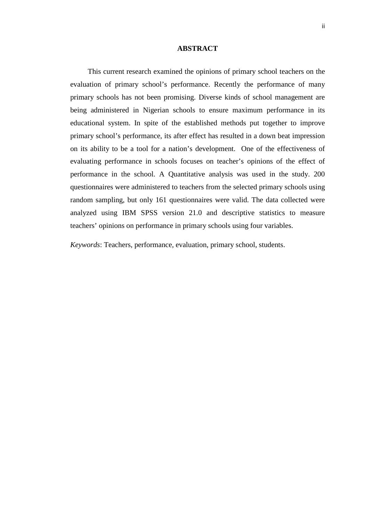#### **ABSTRACT**

This current research examined the opinions of primary school teachers on the evaluation of primary school's performance. Recently the performance of many primary schools has not been promising. Diverse kinds of school management are being administered in Nigerian schools to ensure maximum performance in its educational system. In spite of the established methods put together to improve primary school's performance, its after effect has resulted in a down beat impression on its ability to be a tool for a nation's development. One of the effectiveness of evaluating performance in schools focuses on teacher's opinions of the effect of performance in the school. A Quantitative analysis was used in the study. 200 questionnaires were administered to teachers from the selected primary schools using random sampling, but only 161 questionnaires were valid. The data collected were analyzed using IBM SPSS version 21.0 and descriptive statistics to measure teachers' opinions on performance in primary schools using four variables.

*Keywords*: Teachers, performance, evaluation, primary school, students.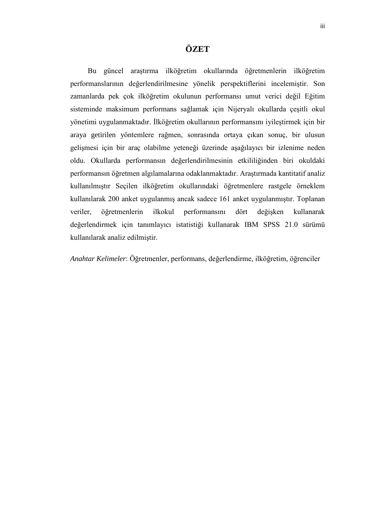# **ÖZET**

Bu güncel araştırma ilköğretim okullarında öğretmenlerin ilköğretim performanslarının değerlendirilmesine yönelik perspektiflerini incelemiştir. Son zamanlarda pek çok ilköğretim okulunun performansı umut verici değil Eğitim sisteminde maksimum performans sağlamak için Nijeryalı okullarda çeşitli okul yönetimi uygulanmaktadır. İlköğretim okullarının performansını iyileştirmek için bir araya getirilen yöntemlere rağmen, sonrasında ortaya çıkan sonuç, bir ulusun gelişmesi için bir araç olabilme yeteneği üzerinde aşağılayıcı bir izlenime neden oldu. Okullarda performansın değerlendirilmesinin etkililiğinden biri okuldaki performansın öğretmen algılamalarına odaklanmaktadır. Araştırmada kantitatif analiz kullanılmıştır Seçilen ilköğretim okullarındaki öğretmenlere rastgele örneklem kullanılarak 200 anket uygulanmış ancak sadece 161 anket uygulanmıştır. Toplanan veriler, öğretmenlerin ilkokul performansını dört değişken kullanarak değerlendirmek için tanımlayıcı istatistiği kullanarak IBM SPSS 21.0 sürümü kullanılarak analiz edilmiştir.

*Anahtar Kelimeler*: Öğretmenler, performans, değerlendirme, ilköğretim, öğrenciler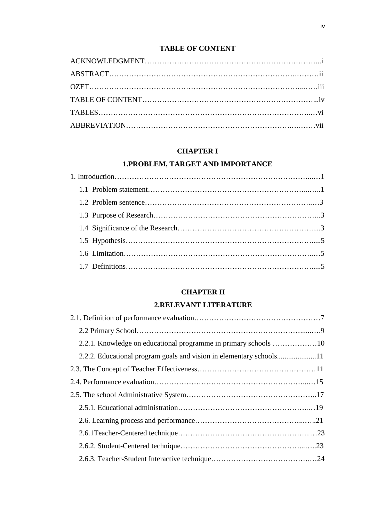# **TABLE OF CONTENT**

## **CHAPTER I**

# **1.PROBLEM, TARGET AND IMPORTANCE**

# **CHAPTER II**

# **2.RELEVANT LITERATURE**

| 2.2.1. Knowledge on educational programme in primary schools 10 |  |
|-----------------------------------------------------------------|--|
|                                                                 |  |
|                                                                 |  |
|                                                                 |  |
|                                                                 |  |
|                                                                 |  |
|                                                                 |  |
|                                                                 |  |
|                                                                 |  |
|                                                                 |  |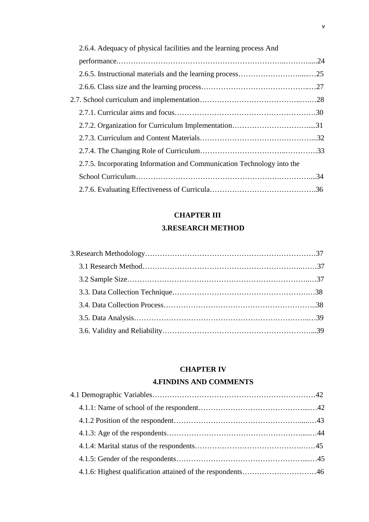| 2.6.4. Adequacy of physical facilities and the learning process And    |  |
|------------------------------------------------------------------------|--|
|                                                                        |  |
|                                                                        |  |
|                                                                        |  |
|                                                                        |  |
|                                                                        |  |
|                                                                        |  |
|                                                                        |  |
|                                                                        |  |
| 2.7.5. Incorporating Information and Communication Technology into the |  |
|                                                                        |  |
|                                                                        |  |

# **CHAPTER III**

## **3.RESEARCH METHOD**

### **CHAPTER IV**

### **4.FINDINS AND COMMENTS**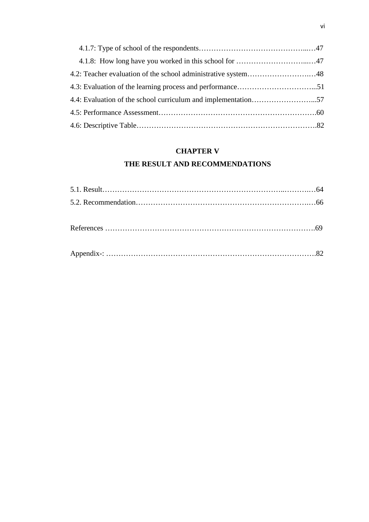### **CHAPTER V**

# **THE RESULT AND RECOMMENDATIONS**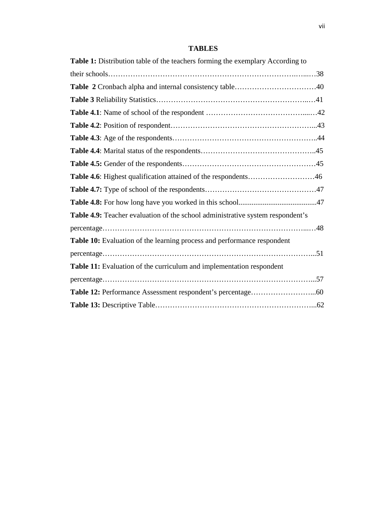## **TABLES**

| Table 1: Distribution table of the teachers forming the exemplary According to |  |
|--------------------------------------------------------------------------------|--|
|                                                                                |  |
|                                                                                |  |
|                                                                                |  |
|                                                                                |  |
|                                                                                |  |
|                                                                                |  |
|                                                                                |  |
|                                                                                |  |
| Table 4.6: Highest qualification attained of the respondents46                 |  |
|                                                                                |  |
|                                                                                |  |
| Table 4.9: Teacher evaluation of the school administrative system respondent's |  |
|                                                                                |  |
| Table 10: Evaluation of the learning process and performance respondent        |  |
|                                                                                |  |
| Table 11: Evaluation of the curriculum and implementation respondent           |  |
|                                                                                |  |
|                                                                                |  |
|                                                                                |  |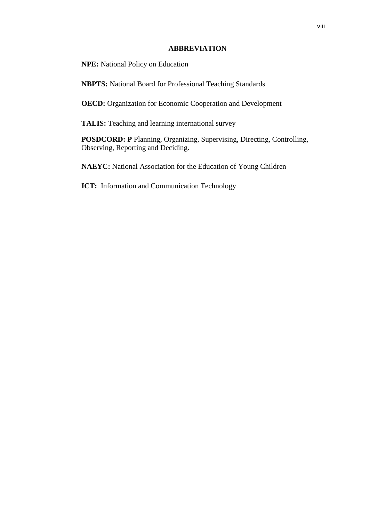### **ABBREVIATION**

**NPE:** National Policy on Education

**NBPTS:** National Board for Professional Teaching Standards

**OECD:** Organization for Economic Cooperation and Development

**TALIS:** Teaching and learning international survey

**POSDCORD: P** Planning, Organizing, Supervising, Directing, Controlling, Observing, Reporting and Deciding.

**NAEYC:** National Association for the Education of Young Children

**ICT:** Information and Communication Technology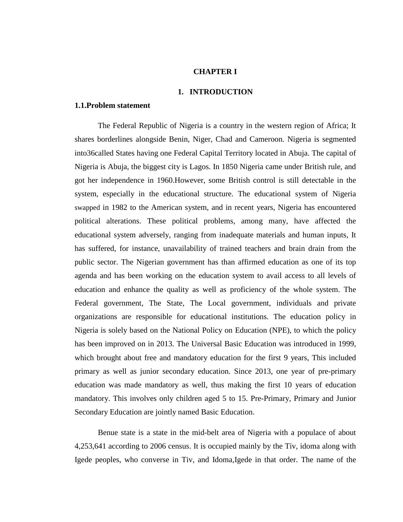#### **CHAPTER I**

#### **1. INTRODUCTION**

#### **1.1.Problem statement**

The Federal Republic of Nigeria is a country in the western region of Africa; It shares borderlines alongside Benin, Niger, Chad and Cameroon. Nigeria is segmented into36called States having one Federal Capital Territory located in Abuja. The capital of Nigeria is Abuja, the biggest city is Lagos. In 1850 Nigeria came under British rule, and got her independence in 1960.However, some British control is still detectable in the system, especially in the educational structure. The educational system of Nigeria swapped in 1982 to the American system, and in recent years, Nigeria has encountered political alterations. These political problems, among many, have affected the educational system adversely, ranging from inadequate materials and human inputs, It has suffered, for instance, unavailability of trained teachers and brain drain from the public sector. The Nigerian government has than affirmed education as one of its top agenda and has been working on the education system to avail access to all levels of education and enhance the quality as well as proficiency of the whole system. The Federal government, The State, The Local government, individuals and private organizations are responsible for educational institutions. The education policy in Nigeria is solely based on the National Policy on Education (NPE), to which the policy has been improved on in 2013. The Universal Basic Education was introduced in 1999, which brought about free and mandatory education for the first 9 years, This included primary as well as junior secondary education. Since 2013, one year of pre-primary education was made mandatory as well, thus making the first 10 years of education mandatory. This involves only children aged 5 to 15. Pre-Primary, Primary and Junior Secondary Education are jointly named Basic Education.

Benue state is a state in the mid-belt area of Nigeria with a populace of about 4,253,641 according to 2006 census. It is occupied mainly by the Tiv, idoma along with Igede peoples, who converse in Tiv, and Idoma,Igede in that order. The name of the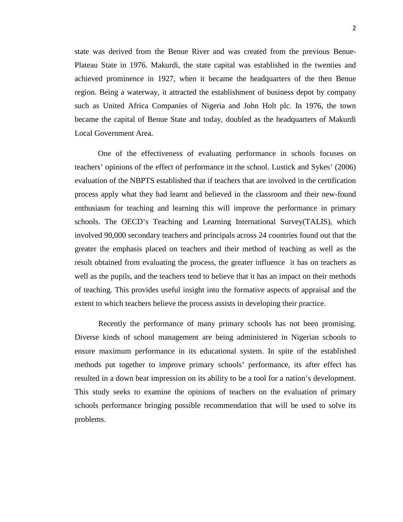state was derived from the Benue River and was created from the previous [Benue-](https://en.wikipedia.org/wiki/Benue-Plateau_State)[Plateau State](https://en.wikipedia.org/wiki/Benue-Plateau_State) in 1976. Makurdi, the state capital was established in the twenties and achieved prominence in 1927, when it became the headquarters of the then Benue region. Being a waterway, it attracted the establishment of business depot by company such as [United Africa Companies](https://en.wikipedia.org/wiki/United_Africa_Company_of_Nigeria) of Nigeria and [John Holt plc.](https://en.wikipedia.org/wiki/John_Holt_plc) In 1976, the town became the capital of Benue State and today, doubled as the headquarters of Makurdi Local Government Area.

One of the effectiveness of evaluating performance in schools focuses on teachers' opinions of the effect of performance in the school. Lustick and Sykes' (2006) evaluation of the NBPTS established that if teachers that are involved in the certification process apply what they had learnt and believed in the classroom and their new-found enthusiasm for teaching and learning this will improve the performance in primary schools. The OECD's Teaching and Learning International Survey(TALIS), which involved 90,000 secondary teachers and principals across 24 countries found out that the greater the emphasis placed on teachers and their method of teaching as well as the result obtained from evaluating the process, the greater influence it has on teachers as well as the pupils, and the teachers tend to believe that it has an impact on their methods of teaching. This provides useful insight into the formative aspects of appraisal and the extent to which teachers believe the process assists in developing their practice.

Recently the performance of many primary schools has not been promising. Diverse kinds of school management are being administered in Nigerian schools to ensure maximum performance in its educational system. In spite of the established methods put together to improve primary schools' performance, its after effect has resulted in a down beat impression on its ability to be a tool for a nation's development. This study seeks to examine the opinions of teachers on the evaluation of primary schools performance bringing possible recommendation that will be used to solve its problems.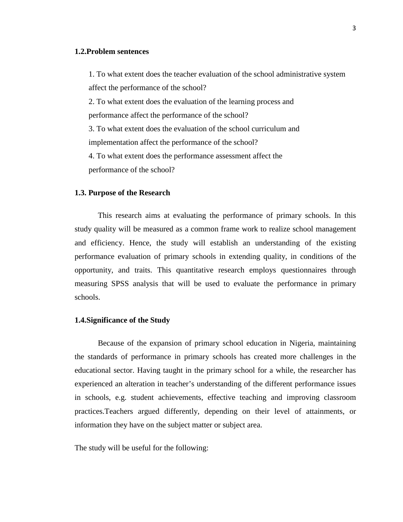#### **1.2.Problem sentences**

1. To what extent does the teacher evaluation of the school administrative system affect the performance of the school?

2. To what extent does the evaluation of the learning process and performance affect the performance of the school?

3. To what extent does the evaluation of the school curriculum and implementation affect the performance of the school?

4. To what extent does the performance assessment affect the performance of the school?

#### **1.3. Purpose of the Research**

This research aims at evaluating the performance of primary schools. In this study quality will be measured as a common frame work to realize school management and efficiency. Hence, the study will establish an understanding of the existing performance evaluation of primary schools in extending quality, in conditions of the opportunity, and traits. This quantitative research employs questionnaires through measuring SPSS analysis that will be used to evaluate the performance in primary schools.

#### **1.4.Significance of the Study**

Because of the expansion of primary school education in Nigeria, maintaining the standards of performance in primary schools has created more challenges in the educational sector. Having taught in the primary school for a while, the researcher has experienced an alteration in teacher's understanding of the different performance issues in schools, e.g. student achievements, effective teaching and improving classroom practices.Teachers argued differently, depending on their level of attainments, or information they have on the subject matter or subject area.

The study will be useful for the following: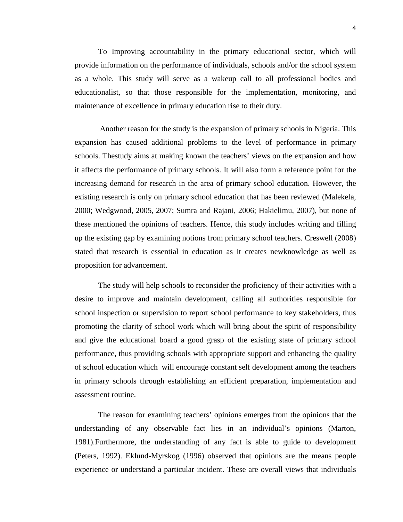To Improving accountability in the primary educational sector, which will provide information on the performance of individuals, schools and/or the school system as a whole. This study will serve as a wakeup call to all professional bodies and educationalist, so that those responsible for the implementation, monitoring, and maintenance of excellence in primary education rise to their duty.

Another reason for the study is the expansion of primary schools in Nigeria. This expansion has caused additional problems to the level of performance in primary schools. Thestudy aims at making known the teachers' views on the expansion and how it affects the performance of primary schools. It will also form a reference point for the increasing demand for research in the area of primary school education. However, the existing research is only on primary school education that has been reviewed (Malekela, 2000; Wedgwood, 2005, 2007; Sumra and Rajani, 2006; Hakielimu, 2007), but none of these mentioned the opinions of teachers. Hence, this study includes writing and filling up the existing gap by examining notions from primary school teachers. Creswell (2008) stated that research is essential in education as it creates newknowledge as well as proposition for advancement.

The study will help schools to reconsider the proficiency of their activities with a desire to improve and maintain development, calling all authorities responsible for school inspection or supervision to report school performance to key stakeholders, thus promoting the clarity of school work which will bring about the spirit of responsibility and give the educational board a good grasp of the existing state of primary school performance, thus providing schools with appropriate support and enhancing the quality of school education which will encourage constant self development among the teachers in primary schools through establishing an efficient preparation, implementation and assessment routine.

The reason for examining teachers' opinions emerges from the opinions that the understanding of any observable fact lies in an individual's opinions (Marton, 1981).Furthermore, the understanding of any fact is able to guide to development (Peters, 1992). Eklund-Myrskog (1996) observed that opinions are the means people experience or understand a particular incident. These are overall views that individuals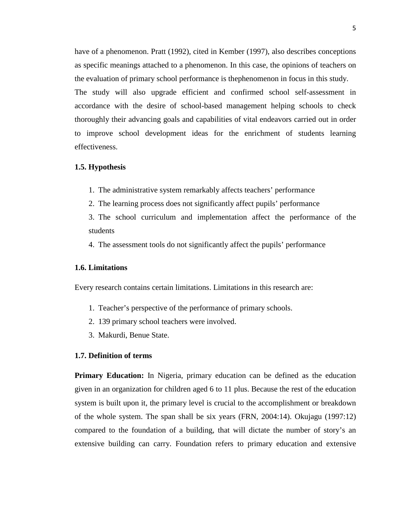have of a phenomenon. Pratt (1992), cited in Kember (1997), also describes conceptions as specific meanings attached to a phenomenon. In this case, the opinions of teachers on the evaluation of primary school performance is thephenomenon in focus in this study. The study will also upgrade efficient and confirmed school self-assessment in accordance with the desire of school-based management helping schools to check thoroughly their advancing goals and capabilities of vital endeavors carried out in order to improve school development ideas for the enrichment of students learning effectiveness.

#### **1.5. Hypothesis**

- 1. The administrative system remarkably affects teachers' performance
- 2. The learning process does not significantly affect pupils' performance

3. The school curriculum and implementation affect the performance of the students

4. The assessment tools do not significantly affect the pupils' performance

#### **1.6. Limitations**

Every research contains certain limitations. Limitations in this research are:

- 1. Teacher's perspective of the performance of primary schools.
- 2. 139 primary school teachers were involved.
- 3. Makurdi, Benue State.

#### **1.7. Definition of terms**

**Primary Education:** In Nigeria, primary education can be defined as the education given in an organization for children aged 6 to 11 plus. Because the rest of the education system is built upon it, the primary level is crucial to the accomplishment or breakdown of the whole system. The span shall be six years (FRN, 2004:14). Okujagu (1997:12) compared to the foundation of a building, that will dictate the number of story's an extensive building can carry. Foundation refers to primary education and extensive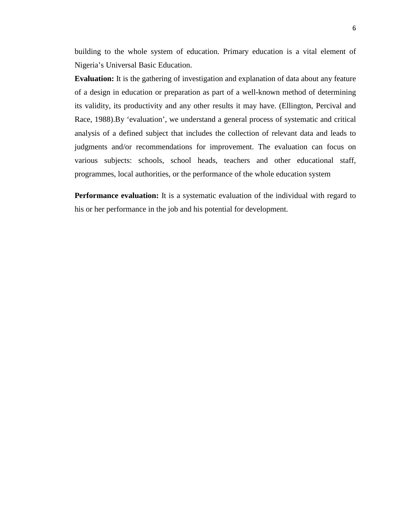building to the whole system of education. Primary education is a vital element of Nigeria's Universal Basic Education.

**Evaluation:** It is the gathering of investigation and explanation of data about any feature of a design in education or preparation as part of a well-known method of determining its validity, its productivity and any other results it may have. (Ellington, Percival and Race, 1988).By 'evaluation', we understand a general process of systematic and critical analysis of a defined subject that includes the collection of relevant data and leads to judgments and/or recommendations for improvement. The evaluation can focus on various subjects: schools, school heads, teachers and other educational staff, programmes, local authorities, or the performance of the whole education system

**Performance evaluation:** It is a systematic evaluation of the individual with regard to his or her performance in the job and his potential for development.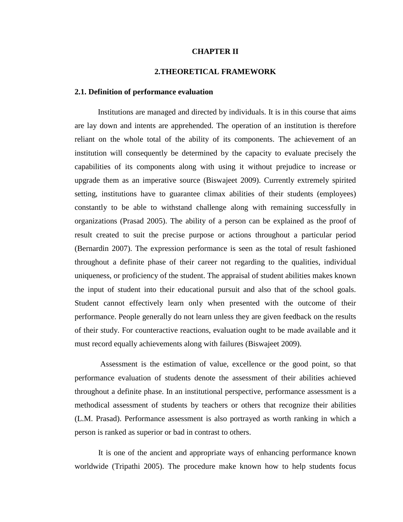#### **CHAPTER II**

#### **2.THEORETICAL FRAMEWORK**

#### **2.1. Definition of performance evaluation**

Institutions are managed and directed by individuals. It is in this course that aims are lay down and intents are apprehended. The operation of an institution is therefore reliant on the whole total of the ability of its components. The achievement of an institution will consequently be determined by the capacity to evaluate precisely the capabilities of its components along with using it without prejudice to increase or upgrade them as an imperative source (Biswajeet 2009). Currently extremely spirited setting, institutions have to guarantee climax abilities of their students (employees) constantly to be able to withstand challenge along with remaining successfully in organizations (Prasad 2005). The ability of a person can be explained as the proof of result created to suit the precise purpose or actions throughout a particular period (Bernardin 2007). The expression performance is seen as the total of result fashioned throughout a definite phase of their career not regarding to the qualities, individual uniqueness, or proficiency of the student. The appraisal of student abilities makes known the input of student into their educational pursuit and also that of the school goals. Student cannot effectively learn only when presented with the outcome of their performance. People generally do not learn unless they are given feedback on the results of their study. For counteractive reactions, evaluation ought to be made available and it must record equally achievements along with failures (Biswajeet 2009).

Assessment is the estimation of value, excellence or the good point, so that performance evaluation of students denote the assessment of their abilities achieved throughout a definite phase. In an institutional perspective, performance assessment is a methodical assessment of students by teachers or others that recognize their abilities (L.M. Prasad). Performance assessment is also portrayed as worth ranking in which a person is ranked as superior or bad in contrast to others.

It is one of the ancient and appropriate ways of enhancing performance known worldwide (Tripathi 2005). The procedure make known how to help students focus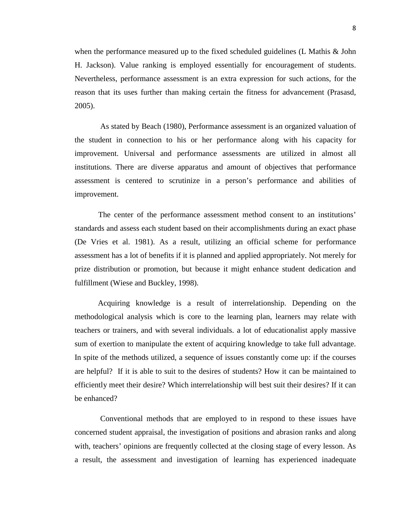when the performance measured up to the fixed scheduled guidelines (L Mathis & John H. Jackson). Value ranking is employed essentially for encouragement of students. Nevertheless, performance assessment is an extra expression for such actions, for the reason that its uses further than making certain the fitness for advancement (Prasasd, 2005).

As stated by Beach (1980), Performance assessment is an organized valuation of the student in connection to his or her performance along with his capacity for improvement. Universal and performance assessments are utilized in almost all institutions. There are diverse apparatus and amount of objectives that performance assessment is centered to scrutinize in a person's performance and abilities of improvement.

The center of the performance assessment method consent to an institutions' standards and assess each student based on their accomplishments during an exact phase (De Vries et al. 1981). As a result, utilizing an official scheme for performance assessment has a lot of benefits if it is planned and applied appropriately. Not merely for prize distribution or promotion, but because it might enhance student dedication and fulfillment (Wiese and Buckley, 1998).

Acquiring knowledge is a result of interrelationship. Depending on the methodological analysis which is core to the learning plan, learners may relate with teachers or trainers, and with several individuals. a lot of educationalist apply massive sum of exertion to manipulate the extent of acquiring knowledge to take full advantage. In spite of the methods utilized, a sequence of issues constantly come up: if the courses are helpful? If it is able to suit to the desires of students? How it can be maintained to efficiently meet their desire? Which interrelationship will best suit their desires? If it can be enhanced?

Conventional methods that are employed to in respond to these issues have concerned student appraisal, the investigation of positions and abrasion ranks and along with, teachers' opinions are frequently collected at the closing stage of every lesson. As a result, the assessment and investigation of learning has experienced inadequate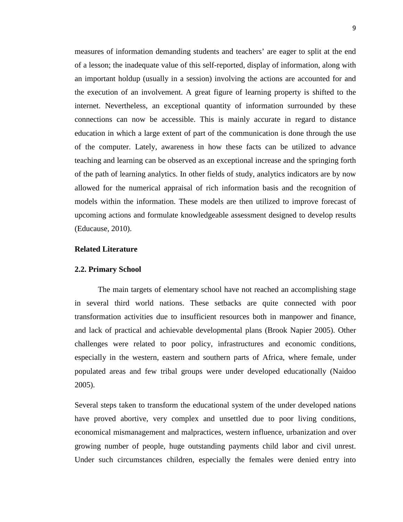measures of information demanding students and teachers' are eager to split at the end of a lesson; the inadequate value of this self-reported, display of information, along with an important holdup (usually in a session) involving the actions are accounted for and the execution of an involvement. A great figure of learning property is shifted to the internet. Nevertheless, an exceptional quantity of information surrounded by these connections can now be accessible. This is mainly accurate in regard to distance education in which a large extent of part of the communication is done through the use of the computer. Lately, awareness in how these facts can be utilized to advance teaching and learning can be observed as an exceptional increase and the springing forth of the path of learning analytics. In other fields of study, analytics indicators are by now allowed for the numerical appraisal of rich information basis and the recognition of models within the information. These models are then utilized to improve forecast of upcoming actions and formulate knowledgeable assessment designed to develop results (Educause, 2010).

#### **Related Literature**

#### **2.2. Primary School**

The main targets of elementary school have not reached an accomplishing stage in several third world nations. These setbacks are quite connected with poor transformation activities due to insufficient resources both in manpower and finance, and lack of practical and achievable developmental plans (Brook Napier 2005). Other challenges were related to poor policy, infrastructures and economic conditions, especially in the western, eastern and southern parts of Africa, where female, under populated areas and few tribal groups were under developed educationally (Naidoo 2005).

Several steps taken to transform the educational system of the under developed nations have proved abortive, very complex and unsettled due to poor living conditions, economical mismanagement and malpractices, western influence, urbanization and over growing number of people, huge outstanding payments child labor and civil unrest. Under such circumstances children, especially the females were denied entry into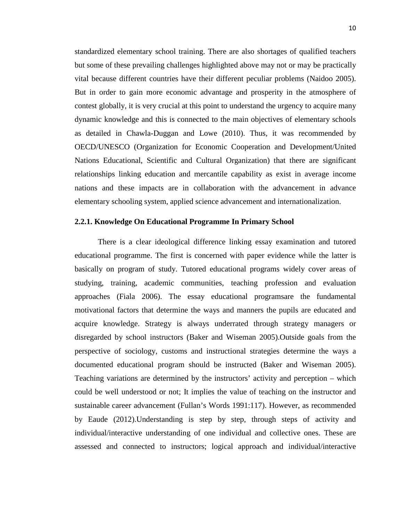standardized elementary school training. There are also shortages of qualified teachers but some of these prevailing challenges highlighted above may not or may be practically vital because different countries have their different peculiar problems (Naidoo 2005). But in order to gain more economic advantage and prosperity in the atmosphere of contest globally, it is very crucial at this point to understand the urgency to acquire many dynamic knowledge and this is connected to the main objectives of elementary schools as detailed in Chawla-Duggan and Lowe (2010). Thus, it was recommended by OECD/UNESCO (Organization for Economic Cooperation and Development/United Nations Educational, Scientific and Cultural Organization) that there are significant relationships linking education and mercantile capability as exist in average income nations and these impacts are in collaboration with the advancement in advance elementary schooling system, applied science advancement and internationalization.

#### **2.2.1. Knowledge On Educational Programme In Primary School**

There is a clear ideological difference linking essay examination and tutored educational programme. The first is concerned with paper evidence while the latter is basically on program of study. Tutored educational programs widely cover areas of studying, training, academic communities, teaching profession and evaluation approaches (Fiala 2006). The essay educational programsare the fundamental motivational factors that determine the ways and manners the pupils are educated and acquire knowledge. Strategy is always underrated through strategy managers or disregarded by school instructors (Baker and Wiseman 2005).Outside goals from the perspective of sociology, customs and instructional strategies determine the ways a documented educational program should be instructed (Baker and Wiseman 2005). Teaching variations are determined by the instructors' activity and perception – which could be well understood or not; It implies the value of teaching on the instructor and sustainable career advancement (Fullan's Words 1991:117). However, as recommended by Eaude (2012).Understanding is step by step, through steps of activity and individual/interactive understanding of one individual and collective ones. These are assessed and connected to instructors; logical approach and individual/interactive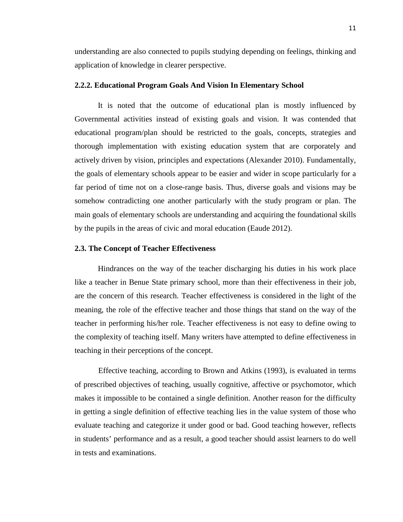understanding are also connected to pupils studying depending on feelings, thinking and application of knowledge in clearer perspective.

#### **2.2.2. Educational Program Goals And Vision In Elementary School**

It is noted that the outcome of educational plan is mostly influenced by Governmental activities instead of existing goals and vision. It was contended that educational program/plan should be restricted to the goals, concepts, strategies and thorough implementation with existing education system that are corporately and actively driven by vision, principles and expectations (Alexander 2010). Fundamentally, the goals of elementary schools appear to be easier and wider in scope particularly for a far period of time not on a close-range basis. Thus, diverse goals and visions may be somehow contradicting one another particularly with the study program or plan. The main goals of elementary schools are understanding and acquiring the foundational skills by the pupils in the areas of civic and moral education (Eaude 2012).

#### **2.3. The Concept of Teacher Effectiveness**

Hindrances on the way of the teacher discharging his duties in his work place like a teacher in Benue State primary school, more than their effectiveness in their job, are the concern of this research. Teacher effectiveness is considered in the light of the meaning, the role of the effective teacher and those things that stand on the way of the teacher in performing his/her role. Teacher effectiveness is not easy to define owing to the complexity of teaching itself. Many writers have attempted to define effectiveness in teaching in their perceptions of the concept.

Effective teaching, according to Brown and Atkins (1993), is evaluated in terms of prescribed objectives of teaching, usually cognitive, affective or psychomotor, which makes it impossible to be contained a single definition. Another reason for the difficulty in getting a single definition of effective teaching lies in the value system of those who evaluate teaching and categorize it under good or bad. Good teaching however, reflects in students' performance and as a result, a good teacher should assist learners to do well in tests and examinations.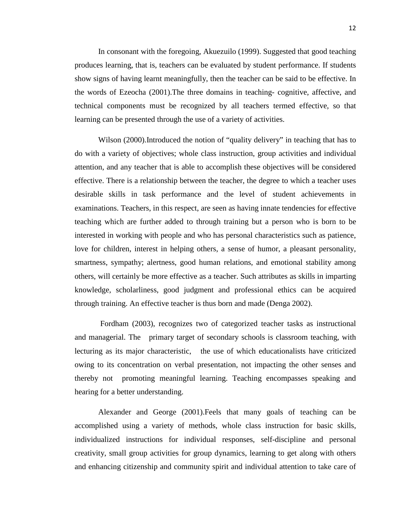In consonant with the foregoing, Akuezuilo (1999). Suggested that good teaching produces learning, that is, teachers can be evaluated by student performance. If students show signs of having learnt meaningfully, then the teacher can be said to be effective. In the words of Ezeocha (2001).The three domains in teaching- cognitive, affective, and technical components must be recognized by all teachers termed effective, so that learning can be presented through the use of a variety of activities.

Wilson (2000). Introduced the notion of "quality delivery" in teaching that has to do with a variety of objectives; whole class instruction, group activities and individual attention, and any teacher that is able to accomplish these objectives will be considered effective. There is a relationship between the teacher, the degree to which a teacher uses desirable skills in task performance and the level of student achievements in examinations. Teachers, in this respect, are seen as having innate tendencies for effective teaching which are further added to through training but a person who is born to be interested in working with people and who has personal characteristics such as patience, love for children, interest in helping others, a sense of humor, a pleasant personality, smartness, sympathy; alertness, good human relations, and emotional stability among others, will certainly be more effective as a teacher. Such attributes as skills in imparting knowledge, scholarliness, good judgment and professional ethics can be acquired through training. An effective teacher is thus born and made (Denga 2002).

Fordham (2003), recognizes two of categorized teacher tasks as instructional and managerial. The primary target of secondary schools is classroom teaching, with lecturing as its major characteristic, the use of which educationalists have criticized owing to its concentration on verbal presentation, not impacting the other senses and thereby not promoting meaningful learning. Teaching encompasses speaking and hearing for a better understanding.

Alexander and George (2001).Feels that many goals of teaching can be accomplished using a variety of methods, whole class instruction for basic skills, individualized instructions for individual responses, self-discipline and personal creativity, small group activities for group dynamics, learning to get along with others and enhancing citizenship and community spirit and individual attention to take care of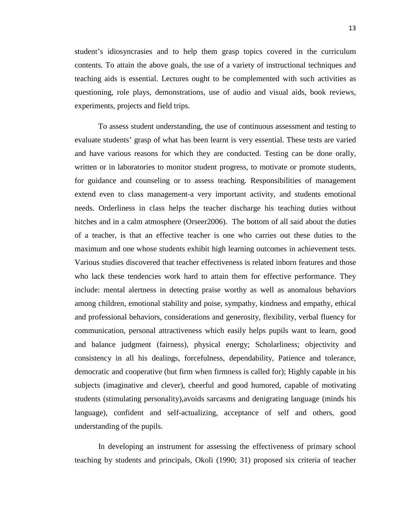student's idiosyncrasies and to help them grasp topics covered in the curriculum contents. To attain the above goals, the use of a variety of instructional techniques and teaching aids is essential. Lectures ought to be complemented with such activities as questioning, role plays, demonstrations, use of audio and visual aids, book reviews, experiments, projects and field trips.

To assess student understanding, the use of continuous assessment and testing to evaluate students' grasp of what has been learnt is very essential. These tests are varied and have various reasons for which they are conducted. Testing can be done orally, written or in laboratories to monitor student progress, to motivate or promote students, for guidance and counseling or to assess teaching. Responsibilities of management extend even to class management-a very important activity, and students emotional needs. Orderliness in class helps the teacher discharge his teaching duties without hitches and in a calm atmosphere (Orseer2006). The bottom of all said about the duties of a teacher, is that an effective teacher is one who carries out these duties to the maximum and one whose students exhibit high learning outcomes in achievement tests. Various studies discovered that teacher effectiveness is related inborn features and those who lack these tendencies work hard to attain them for effective performance. They include: mental alertness in detecting praise worthy as well as anomalous behaviors among children, emotional stability and poise, sympathy, kindness and empathy, ethical and professional behaviors, considerations and generosity, flexibility, verbal fluency for communication, personal attractiveness which easily helps pupils want to learn, good and balance judgment (fairness), physical energy; Scholarliness; objectivity and consistency in all his dealings, forcefulness, dependability, Patience and tolerance, democratic and cooperative (but firm when firmness is called for); Highly capable in his subjects (imaginative and clever), cheerful and good humored, capable of motivating students (stimulating personality),avoids sarcasms and denigrating language (minds his language), confident and self-actualizing, acceptance of self and others, good understanding of the pupils.

In developing an instrument for assessing the effectiveness of primary school teaching by students and principals, Okoli (1990; 31) proposed six criteria of teacher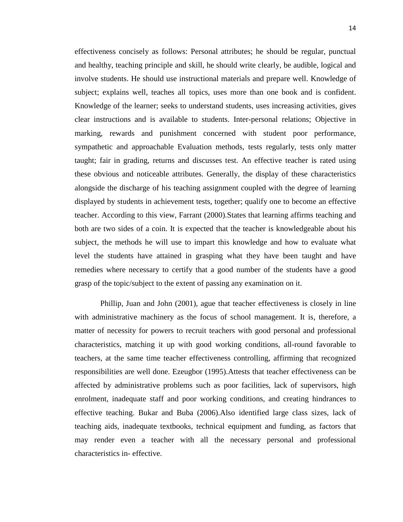effectiveness concisely as follows: Personal attributes; he should be regular, punctual and healthy, teaching principle and skill, he should write clearly, be audible, logical and involve students. He should use instructional materials and prepare well. Knowledge of subject; explains well, teaches all topics, uses more than one book and is confident. Knowledge of the learner; seeks to understand students, uses increasing activities, gives clear instructions and is available to students. Inter-personal relations; Objective in marking, rewards and punishment concerned with student poor performance, sympathetic and approachable Evaluation methods, tests regularly, tests only matter taught; fair in grading, returns and discusses test. An effective teacher is rated using these obvious and noticeable attributes. Generally, the display of these characteristics alongside the discharge of his teaching assignment coupled with the degree of learning displayed by students in achievement tests, together; qualify one to become an effective teacher. According to this view, Farrant (2000).States that learning affirms teaching and both are two sides of a coin. It is expected that the teacher is knowledgeable about his subject, the methods he will use to impart this knowledge and how to evaluate what level the students have attained in grasping what they have been taught and have remedies where necessary to certify that a good number of the students have a good grasp of the topic/subject to the extent of passing any examination on it.

Phillip, Juan and John (2001), ague that teacher effectiveness is closely in line with administrative machinery as the focus of school management. It is, therefore, a matter of necessity for powers to recruit teachers with good personal and professional characteristics, matching it up with good working conditions, all-round favorable to teachers, at the same time teacher effectiveness controlling, affirming that recognized responsibilities are well done. Ezeugbor (1995).Attests that teacher effectiveness can be affected by administrative problems such as poor facilities, lack of supervisors, high enrolment, inadequate staff and poor working conditions, and creating hindrances to effective teaching. Bukar and Buba (2006).Also identified large class sizes, lack of teaching aids, inadequate textbooks, technical equipment and funding, as factors that may render even a teacher with all the necessary personal and professional characteristics in- effective.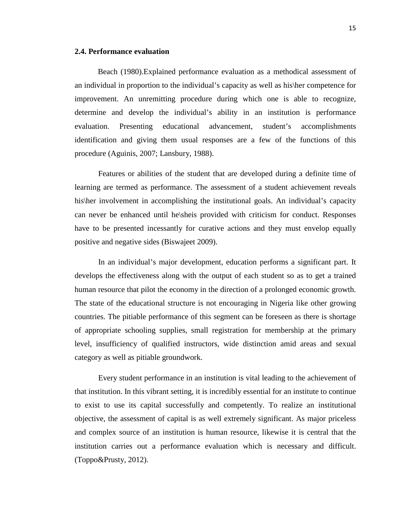#### **2.4. Performance evaluation**

Beach (1980).Explained performance evaluation as a methodical assessment of an individual in proportion to the individual's capacity as well as his\her competence for improvement. An unremitting procedure during which one is able to recognize, determine and develop the individual's ability in an institution is performance evaluation. Presenting educational advancement, student's accomplishments identification and giving them usual responses are a few of the functions of this procedure (Aguinis, 2007; Lansbury, 1988).

Features or abilities of the student that are developed during a definite time of learning are termed as performance. The assessment of a student achievement reveals his her involvement in accomplishing the institutional goals. An individual's capacity can never be enhanced until he\sheis provided with criticism for conduct. Responses have to be presented incessantly for curative actions and they must envelop equally positive and negative sides (Biswajeet 2009).

In an individual's major development, education performs a significant part. It develops the effectiveness along with the output of each student so as to get a trained human resource that pilot the economy in the direction of a prolonged economic growth. The state of the educational structure is not encouraging in Nigeria like other growing countries. The pitiable performance of this segment can be foreseen as there is shortage of appropriate schooling supplies, small registration for membership at the primary level, insufficiency of qualified instructors, wide distinction amid areas and sexual category as well as pitiable groundwork.

Every student performance in an institution is vital leading to the achievement of that institution. In this vibrant setting, it is incredibly essential for an institute to continue to exist to use its capital successfully and competently. To realize an institutional objective, the assessment of capital is as well extremely significant. As major priceless and complex source of an institution is human resource, likewise it is central that the institution carries out a performance evaluation which is necessary and difficult. (Toppo&Prusty, 2012).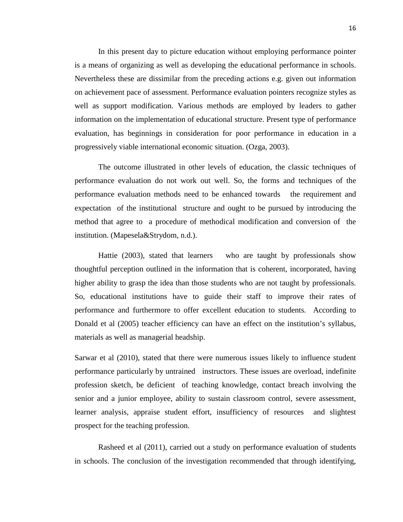In this present day to picture education without employing performance pointer is a means of organizing as well as developing the educational performance in schools. Nevertheless these are dissimilar from the preceding actions e.g. given out information on achievement pace of assessment. Performance evaluation pointers recognize styles as well as support modification. Various methods are employed by leaders to gather information on the implementation of educational structure. Present type of performance evaluation, has beginnings in consideration for poor performance in education in a progressively viable international economic situation. (Ozga, 2003).

The outcome illustrated in other levels of education, the classic techniques of performance evaluation do not work out well. So, the forms and techniques of the performance evaluation methods need to be enhanced towards the requirement and expectation of the institutional structure and ought to be pursued by introducing the method that agree to a procedure of methodical modification and conversion of the institution. (Mapesela&Strydom, n.d.).

Hattie (2003), stated that learners who are taught by professionals show thoughtful perception outlined in the information that is coherent, incorporated, having higher ability to grasp the idea than those students who are not taught by professionals. So, educational institutions have to guide their staff to improve their rates of performance and furthermore to offer excellent education to students. According to Donald et al (2005) teacher efficiency can have an effect on the institution's syllabus, materials as well as managerial headship.

Sarwar et al (2010), stated that there were numerous issues likely to influence student performance particularly by untrained instructors. These issues are overload, indefinite profession sketch, be deficient of teaching knowledge, contact breach involving the senior and a junior employee, ability to sustain classroom control, severe assessment, learner analysis, appraise student effort, insufficiency of resources and slightest prospect for the teaching profession.

Rasheed et al (2011), carried out a study on performance evaluation of students in schools. The conclusion of the investigation recommended that through identifying,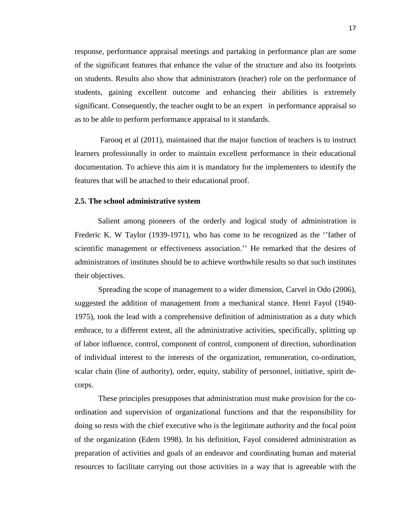response, performance appraisal meetings and partaking in performance plan are some of the significant features that enhance the value of the structure and also its footprints on students. Results also show that administrators (teacher) role on the performance of students, gaining excellent outcome and enhancing their abilities is extremely significant. Consequently, the teacher ought to be an expert in performance appraisal so as to be able to perform performance appraisal to it standards.

Farooq et al (2011), maintained that the major function of teachers is to instruct learners professionally in order to maintain excellent performance in their educational documentation. To achieve this aim it is mandatory for the implementers to identify the features that will be attached to their educational proof.

#### **2.5. The school administrative system**

Salient among pioneers of the orderly and logical study of administration is Frederic K. W Taylor (1939-1971), who has come to be recognized as the ''father of scientific management or effectiveness association.'' He remarked that the desires of administrators of institutes should be to achieve worthwhile results so that such institutes their objectives.

Spreading the scope of management to a wider dimension, Carvel in Odo (2006), suggested the addition of management from a mechanical stance. Henri Fayol (1940- 1975), took the lead with a comprehensive definition of administration as a duty which embrace, to a different extent, all the administrative activities, specifically, splitting up of labor influence, control, component of control, component of direction, subordination of individual interest to the interests of the organization, remuneration, co-ordination, scalar chain (line of authority), order, equity, stability of personnel, initiative, spirit decorps.

These principles presupposes that administration must make provision for the coordination and supervision of organizational functions and that the responsibility for doing so rests with the chief executive who is the legitimate authority and the focal point of the organization (Edem 1998). In his definition, Fayol considered administration as preparation of activities and goals of an endeavor and coordinating human and material resources to facilitate carrying out those activities in a way that is agreeable with the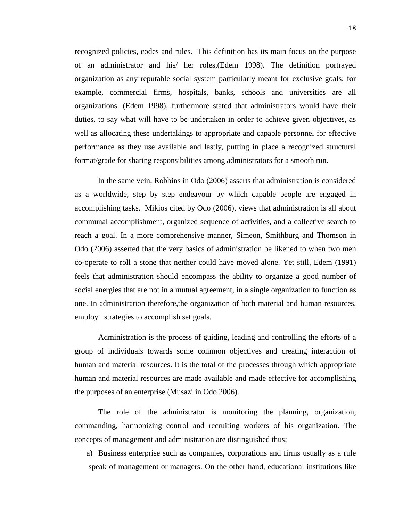recognized policies, codes and rules. This definition has its main focus on the purpose of an administrator and his/ her roles,(Edem 1998). The definition portrayed organization as any reputable social system particularly meant for exclusive goals; for example, commercial firms, hospitals, banks, schools and universities are all organizations. (Edem 1998), furthermore stated that administrators would have their duties, to say what will have to be undertaken in order to achieve given objectives, as well as allocating these undertakings to appropriate and capable personnel for effective performance as they use available and lastly, putting in place a recognized structural format/grade for sharing responsibilities among administrators for a smooth run.

In the same vein, Robbins in Odo (2006) asserts that administration is considered as a worldwide, step by step endeavour by which capable people are engaged in accomplishing tasks. Mikios cited by Odo (2006), views that administration is all about communal accomplishment, organized sequence of activities, and a collective search to reach a goal. In a more comprehensive manner, Simeon, Smithburg and Thomson in Odo (2006) asserted that the very basics of administration be likened to when two men co-operate to roll a stone that neither could have moved alone. Yet still, Edem (1991) feels that administration should encompass the ability to organize a good number of social energies that are not in a mutual agreement, in a single organization to function as one. In administration therefore,the organization of both material and human resources, employ strategies to accomplish set goals.

Administration is the process of guiding, leading and controlling the efforts of a group of individuals towards some common objectives and creating interaction of human and material resources. It is the total of the processes through which appropriate human and material resources are made available and made effective for accomplishing the purposes of an enterprise (Musazi in Odo 2006).

The role of the administrator is monitoring the planning, organization, commanding, harmonizing control and recruiting workers of his organization. The concepts of management and administration are distinguished thus;

a) Business enterprise such as companies, corporations and firms usually as a rule speak of management or managers. On the other hand, educational institutions like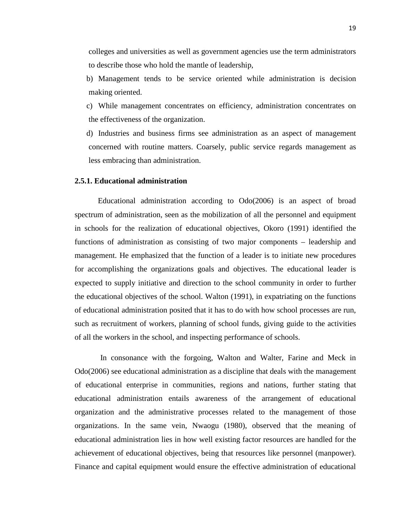colleges and universities as well as government agencies use the term administrators to describe those who hold the mantle of leadership,

- b) Management tends to be service oriented while administration is decision making oriented.
- c) While management concentrates on efficiency, administration concentrates on the effectiveness of the organization.
- d) Industries and business firms see administration as an aspect of management concerned with routine matters. Coarsely, public service regards management as less embracing than administration.

#### **2.5.1. Educational administration**

Educational administration according to Odo(2006) is an aspect of broad spectrum of administration, seen as the mobilization of all the personnel and equipment in schools for the realization of educational objectives, Okoro (1991) identified the functions of administration as consisting of two major components – leadership and management. He emphasized that the function of a leader is to initiate new procedures for accomplishing the organizations goals and objectives. The educational leader is expected to supply initiative and direction to the school community in order to further the educational objectives of the school. Walton (1991), in expatriating on the functions of educational administration posited that it has to do with how school processes are run, such as recruitment of workers, planning of school funds, giving guide to the activities of all the workers in the school, and inspecting performance of schools.

In consonance with the forgoing, Walton and Walter, Farine and Meck in Odo(2006) see educational administration as a discipline that deals with the management of educational enterprise in communities, regions and nations, further stating that educational administration entails awareness of the arrangement of educational organization and the administrative processes related to the management of those organizations. In the same vein, Nwaogu (1980), observed that the meaning of educational administration lies in how well existing factor resources are handled for the achievement of educational objectives, being that resources like personnel (manpower). Finance and capital equipment would ensure the effective administration of educational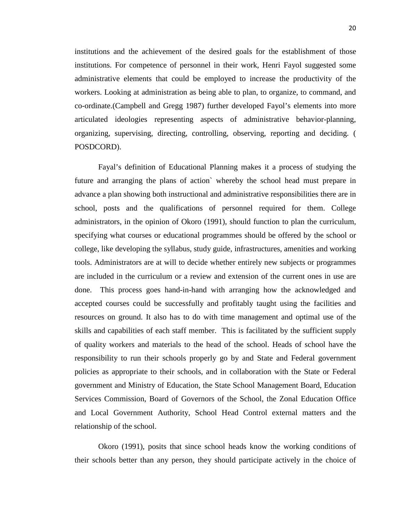institutions and the achievement of the desired goals for the establishment of those institutions. For competence of personnel in their work, Henri Fayol suggested some administrative elements that could be employed to increase the productivity of the workers. Looking at administration as being able to plan, to organize, to command, and co-ordinate.(Campbell and Gregg 1987) further developed Fayol's elements into more articulated ideologies representing aspects of administrative behavior-planning, organizing, supervising, directing, controlling, observing, reporting and deciding. ( POSDCORD).

Fayal's definition of Educational Planning makes it a process of studying the future and arranging the plans of action` whereby the school head must prepare in advance a plan showing both instructional and administrative responsibilities there are in school, posts and the qualifications of personnel required for them. College administrators, in the opinion of Okoro (1991), should function to plan the curriculum, specifying what courses or educational programmes should be offered by the school or college, like developing the syllabus, study guide, infrastructures, amenities and working tools. Administrators are at will to decide whether entirely new subjects or programmes are included in the curriculum or a review and extension of the current ones in use are done. This process goes hand-in-hand with arranging how the acknowledged and accepted courses could be successfully and profitably taught using the facilities and resources on ground. It also has to do with time management and optimal use of the skills and capabilities of each staff member. This is facilitated by the sufficient supply of quality workers and materials to the head of the school. Heads of school have the responsibility to run their schools properly go by and State and Federal government policies as appropriate to their schools, and in collaboration with the State or Federal government and Ministry of Education, the State School Management Board, Education Services Commission, Board of Governors of the School, the Zonal Education Office and Local Government Authority, School Head Control external matters and the relationship of the school.

Okoro (1991), posits that since school heads know the working conditions of their schools better than any person, they should participate actively in the choice of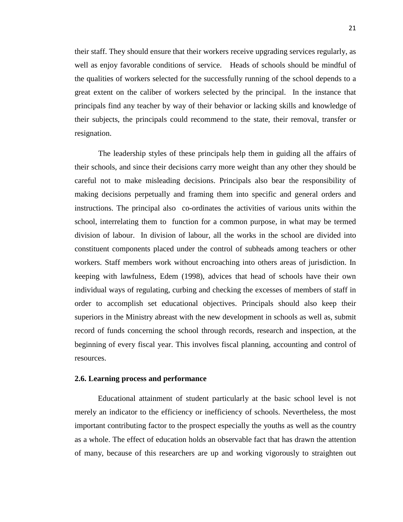their staff. They should ensure that their workers receive upgrading services regularly, as well as enjoy favorable conditions of service. Heads of schools should be mindful of the qualities of workers selected for the successfully running of the school depends to a great extent on the caliber of workers selected by the principal. In the instance that principals find any teacher by way of their behavior or lacking skills and knowledge of their subjects, the principals could recommend to the state, their removal, transfer or resignation.

The leadership styles of these principals help them in guiding all the affairs of their schools, and since their decisions carry more weight than any other they should be careful not to make misleading decisions. Principals also bear the responsibility of making decisions perpetually and framing them into specific and general orders and instructions. The principal also co-ordinates the activities of various units within the school, interrelating them to function for a common purpose, in what may be termed division of labour. In division of labour, all the works in the school are divided into constituent components placed under the control of subheads among teachers or other workers. Staff members work without encroaching into others areas of jurisdiction. In keeping with lawfulness, Edem (1998), advices that head of schools have their own individual ways of regulating, curbing and checking the excesses of members of staff in order to accomplish set educational objectives. Principals should also keep their superiors in the Ministry abreast with the new development in schools as well as, submit record of funds concerning the school through records, research and inspection, at the beginning of every fiscal year. This involves fiscal planning, accounting and control of resources.

#### **2.6. Learning process and performance**

Educational attainment of student particularly at the basic school level is not merely an indicator to the efficiency or inefficiency of schools. Nevertheless, the most important contributing factor to the prospect especially the youths as well as the country as a whole. The effect of education holds an observable fact that has drawn the attention of many, because of this researchers are up and working vigorously to straighten out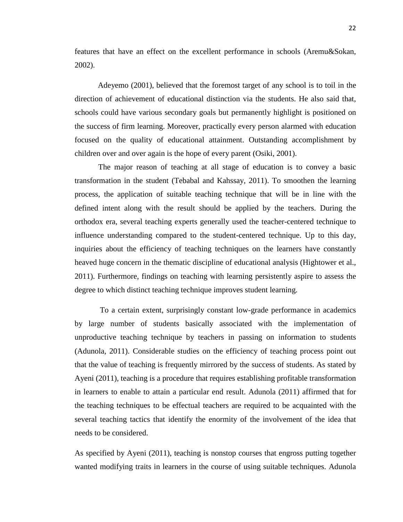features that have an effect on the excellent performance in schools (Aremu&Sokan, 2002).

Adeyemo (2001), believed that the foremost target of any school is to toil in the direction of achievement of educational distinction via the students. He also said that, schools could have various secondary goals but permanently highlight is positioned on the success of firm learning. Moreover, practically every person alarmed with education focused on the quality of educational attainment. Outstanding accomplishment by children over and over again is the hope of every parent (Osiki, 2001).

The major reason of teaching at all stage of education is to convey a basic transformation in the student (Tebabal and Kahssay, 2011). To smoothen the learning process, the application of suitable teaching technique that will be in line with the defined intent along with the result should be applied by the teachers. During the orthodox era, several teaching experts generally used the teacher-centered technique to influence understanding compared to the student-centered technique. Up to this day, inquiries about the efficiency of teaching techniques on the learners have constantly heaved huge concern in the thematic discipline of educational analysis (Hightower et al., 2011). Furthermore, findings on teaching with learning persistently aspire to assess the degree to which distinct teaching technique improves student learning.

To a certain extent, surprisingly constant low-grade performance in academics by large number of students basically associated with the implementation of unproductive teaching technique by teachers in passing on information to students (Adunola, 2011). Considerable studies on the efficiency of teaching process point out that the value of teaching is frequently mirrored by the success of students. As stated by Ayeni (2011), teaching is a procedure that requires establishing profitable transformation in learners to enable to attain a particular end result. Adunola (2011) affirmed that for the teaching techniques to be effectual teachers are required to be acquainted with the several teaching tactics that identify the enormity of the involvement of the idea that needs to be considered.

As specified by Ayeni (2011), teaching is nonstop courses that engross putting together wanted modifying traits in learners in the course of using suitable techniques. Adunola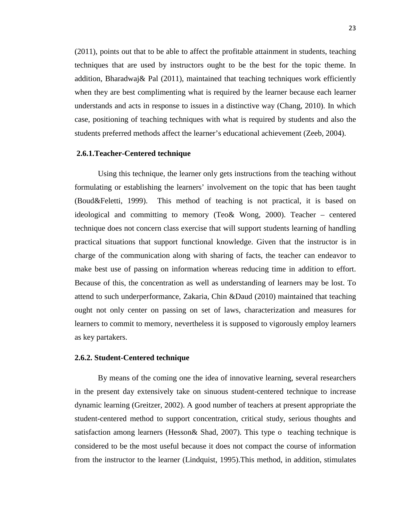(2011), points out that to be able to affect the profitable attainment in students, teaching techniques that are used by instructors ought to be the best for the topic theme. In addition, Bharadwaj& Pal (2011), maintained that teaching techniques work efficiently when they are best complimenting what is required by the learner because each learner understands and acts in response to issues in a distinctive way (Chang, 2010). In which case, positioning of teaching techniques with what is required by students and also the students preferred methods affect the learner's educational achievement (Zeeb, 2004).

#### **2.6.1.Teacher-Centered technique**

Using this technique, the learner only gets instructions from the teaching without formulating or establishing the learners' involvement on the topic that has been taught (Boud&Feletti, 1999). This method of teaching is not practical, it is based on ideological and committing to memory (Teo& Wong, 2000). Teacher – centered technique does not concern class exercise that will support students learning of handling practical situations that support functional knowledge. Given that the instructor is in charge of the communication along with sharing of facts, the teacher can endeavor to make best use of passing on information whereas reducing time in addition to effort. Because of this, the concentration as well as understanding of learners may be lost. To attend to such underperformance, Zakaria, Chin &Daud (2010) maintained that teaching ought not only center on passing on set of laws, characterization and measures for learners to commit to memory, nevertheless it is supposed to vigorously employ learners as key partakers.

#### **2.6.2. Student-Centered technique**

By means of the coming one the idea of innovative learning, several researchers in the present day extensively take on sinuous student-centered technique to increase dynamic learning (Greitzer, 2002). A good number of teachers at present appropriate the student-centered method to support concentration, critical study, serious thoughts and satisfaction among learners (Hesson& Shad, 2007). This type o teaching technique is considered to be the most useful because it does not compact the course of information from the instructor to the learner (Lindquist, 1995).This method, in addition, stimulates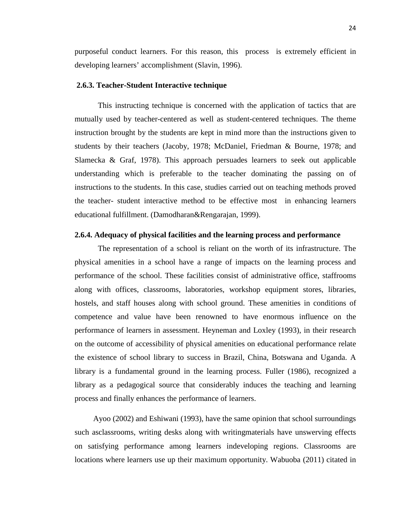purposeful conduct learners. For this reason, this process is extremely efficient in developing learners' accomplishment (Slavin, 1996).

#### **2.6.3. Teacher-Student Interactive technique**

This instructing technique is concerned with the application of tactics that are mutually used by teacher-centered as well as student-centered techniques. The theme instruction brought by the students are kept in mind more than the instructions given to students by their teachers (Jacoby, 1978; McDaniel, Friedman & Bourne, 1978; and Slamecka & Graf, 1978). This approach persuades learners to seek out applicable understanding which is preferable to the teacher dominating the passing on of instructions to the students. In this case, studies carried out on teaching methods proved the teacher- student interactive method to be effective most in enhancing learners educational fulfillment. (Damodharan&Rengarajan, 1999).

#### **2.6.4. Adequacy of physical facilities and the learning process and performance**

The representation of a school is reliant on the worth of its infrastructure. The physical amenities in a school have a range of impacts on the learning process and performance of the school. These facilities consist of administrative office, staffrooms along with offices, classrooms, laboratories, workshop equipment stores, libraries, hostels, and staff houses along with school ground. These amenities in conditions of competence and value have been renowned to have enormous influence on the performance of learners in assessment. Heyneman and Loxley (1993), in their research on the outcome of accessibility of physical amenities on educational performance relate the existence of school library to success in Brazil, China, Botswana and Uganda. A library is a fundamental ground in the learning process. Fuller (1986), recognized a library as a pedagogical source that considerably induces the teaching and learning process and finally enhances the performance of learners.

Ayoo (2002) and Eshiwani (1993), have the same opinion that school surroundings such asclassrooms, writing desks along with writingmaterials have unswerving effects on satisfying performance among learners indeveloping regions. Classrooms are locations where learners use up their maximum opportunity. Wabuoba (2011) citated in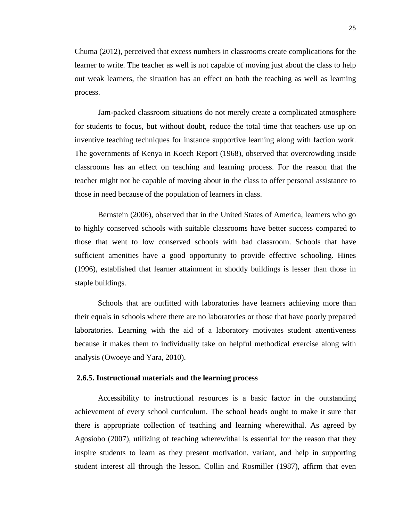Chuma (2012), perceived that excess numbers in classrooms create complications for the learner to write. The teacher as well is not capable of moving just about the class to help out weak learners, the situation has an effect on both the teaching as well as learning process.

Jam-packed classroom situations do not merely create a complicated atmosphere for students to focus, but without doubt, reduce the total time that teachers use up on inventive teaching techniques for instance supportive learning along with faction work. The governments of Kenya in Koech Report (1968), observed that overcrowding inside classrooms has an effect on teaching and learning process. For the reason that the teacher might not be capable of moving about in the class to offer personal assistance to those in need because of the population of learners in class.

Bernstein (2006), observed that in the United States of America, learners who go to highly conserved schools with suitable classrooms have better success compared to those that went to low conserved schools with bad classroom. Schools that have sufficient amenities have a good opportunity to provide effective schooling. Hines (1996), established that learner attainment in shoddy buildings is lesser than those in staple buildings.

Schools that are outfitted with laboratories have learners achieving more than their equals in schools where there are no laboratories or those that have poorly prepared laboratories. Learning with the aid of a laboratory motivates student attentiveness because it makes them to individually take on helpful methodical exercise along with analysis (Owoeye and Yara, 2010).

#### **2.6.5. Instructional materials and the learning process**

Accessibility to instructional resources is a basic factor in the outstanding achievement of every school curriculum. The school heads ought to make it sure that there is appropriate collection of teaching and learning wherewithal. As agreed by Agosiobo (2007), utilizing of teaching wherewithal is essential for the reason that they inspire students to learn as they present motivation, variant, and help in supporting student interest all through the lesson. Collin and Rosmiller (1987), affirm that even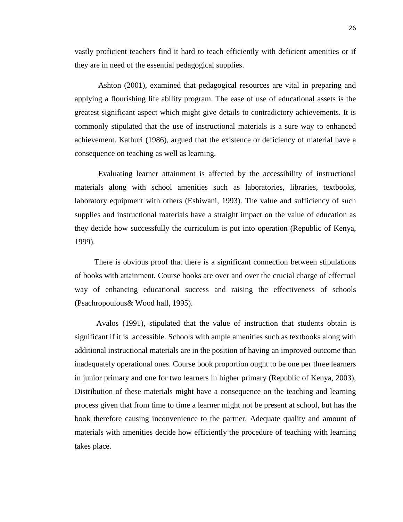vastly proficient teachers find it hard to teach efficiently with deficient amenities or if they are in need of the essential pedagogical supplies.

Ashton (2001), examined that pedagogical resources are vital in preparing and applying a flourishing life ability program. The ease of use of educational assets is the greatest significant aspect which might give details to contradictory achievements. It is commonly stipulated that the use of instructional materials is a sure way to enhanced achievement. Kathuri (1986), argued that the existence or deficiency of material have a consequence on teaching as well as learning.

Evaluating learner attainment is affected by the accessibility of instructional materials along with school amenities such as laboratories, libraries, textbooks, laboratory equipment with others (Eshiwani, 1993). The value and sufficiency of such supplies and instructional materials have a straight impact on the value of education as they decide how successfully the curriculum is put into operation (Republic of Kenya, 1999).

 There is obvious proof that there is a significant connection between stipulations of books with attainment. Course books are over and over the crucial charge of effectual way of enhancing educational success and raising the effectiveness of schools (Psachropoulous& Wood hall, 1995).

 Avalos (1991), stipulated that the value of instruction that students obtain is significant if it is accessible. Schools with ample amenities such as textbooks along with additional instructional materials are in the position of having an improved outcome than inadequately operational ones. Course book proportion ought to be one per three learners in junior primary and one for two learners in higher primary (Republic of Kenya, 2003), Distribution of these materials might have a consequence on the teaching and learning process given that from time to time a learner might not be present at school, but has the book therefore causing inconvenience to the partner. Adequate quality and amount of materials with amenities decide how efficiently the procedure of teaching with learning takes place.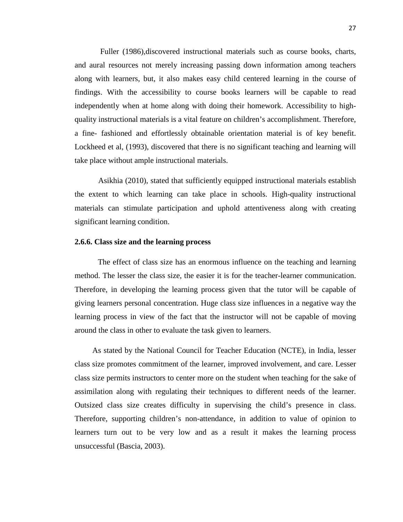Fuller (1986),discovered instructional materials such as course books, charts, and aural resources not merely increasing passing down information among teachers along with learners, but, it also makes easy child centered learning in the course of findings. With the accessibility to course books learners will be capable to read independently when at home along with doing their homework. Accessibility to highquality instructional materials is a vital feature on children's accomplishment. Therefore, a fine- fashioned and effortlessly obtainable orientation material is of key benefit. Lockheed et al, (1993), discovered that there is no significant teaching and learning will take place without ample instructional materials.

Asikhia (2010), stated that sufficiently equipped instructional materials establish the extent to which learning can take place in schools. High-quality instructional materials can stimulate participation and uphold attentiveness along with creating significant learning condition.

#### **2.6.6. Class size and the learning process**

The effect of class size has an enormous influence on the teaching and learning method. The lesser the class size, the easier it is for the teacher-learner communication. Therefore, in developing the learning process given that the tutor will be capable of giving learners personal concentration. Huge class size influences in a negative way the learning process in view of the fact that the instructor will not be capable of moving around the class in other to evaluate the task given to learners.

 As stated by the National Council for Teacher Education (NCTE), in India, lesser class size promotes commitment of the learner, improved involvement, and care. Lesser class size permits instructors to center more on the student when teaching for the sake of assimilation along with regulating their techniques to different needs of the learner. Outsized class size creates difficulty in supervising the child's presence in class. Therefore, supporting children's non-attendance, in addition to value of opinion to learners turn out to be very low and as a result it makes the learning process unsuccessful (Bascia, 2003).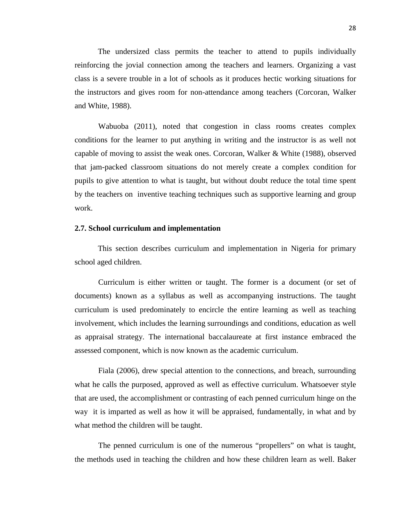The undersized class permits the teacher to attend to pupils individually reinforcing the jovial connection among the teachers and learners. Organizing a vast class is a severe trouble in a lot of schools as it produces hectic working situations for the instructors and gives room for non-attendance among teachers (Corcoran, Walker and White, 1988).

Wabuoba (2011), noted that congestion in class rooms creates complex conditions for the learner to put anything in writing and the instructor is as well not capable of moving to assist the weak ones. Corcoran, Walker & White (1988), observed that jam-packed classroom situations do not merely create a complex condition for pupils to give attention to what is taught, but without doubt reduce the total time spent by the teachers on inventive teaching techniques such as supportive learning and group work.

## **2.7. School curriculum and implementation**

This section describes curriculum and implementation in Nigeria for primary school aged children.

Curriculum is either written or taught. The former is a document (or set of documents) known as a syllabus as well as accompanying instructions. The taught curriculum is used predominately to encircle the entire learning as well as teaching involvement, which includes the learning surroundings and conditions, education as well as appraisal strategy. The international baccalaureate at first instance embraced the assessed component, which is now known as the academic curriculum.

Fiala (2006), drew special attention to the connections, and breach, surrounding what he calls the purposed, approved as well as effective curriculum. Whatsoever style that are used, the accomplishment or contrasting of each penned curriculum hinge on the way it is imparted as well as how it will be appraised, fundamentally, in what and by what method the children will be taught.

The penned curriculum is one of the numerous "propellers" on what is taught, the methods used in teaching the children and how these children learn as well. Baker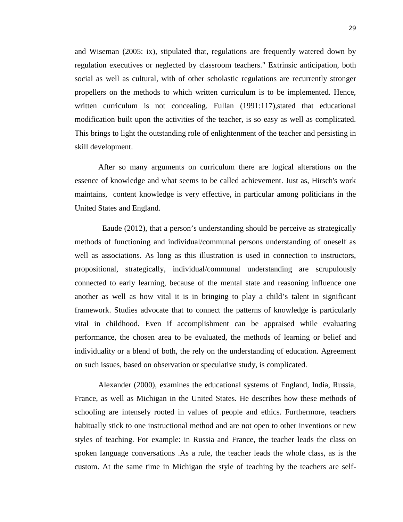and Wiseman (2005: ix), stipulated that, regulations are frequently watered down by regulation executives or neglected by classroom teachers." Extrinsic anticipation, both social as well as cultural, with of other scholastic regulations are recurrently stronger propellers on the methods to which written curriculum is to be implemented. Hence, written curriculum is not concealing. Fullan (1991:117), stated that educational modification built upon the activities of the teacher, is so easy as well as complicated. This brings to light the outstanding role of enlightenment of the teacher and persisting in skill development.

After so many arguments on curriculum there are logical alterations on the essence of knowledge and what seems to be called achievement. Just as, Hirsch's work maintains, content knowledge is very effective, in particular among politicians in the United States and England.

 Eaude (2012), that a person's understanding should be perceive as strategically methods of functioning and individual/communal persons understanding of oneself as well as associations. As long as this illustration is used in connection to instructors, propositional, strategically, individual/communal understanding are scrupulously connected to early learning, because of the mental state and reasoning influence one another as well as how vital it is in bringing to play a child's talent in significant framework. Studies advocate that to connect the patterns of knowledge is particularly vital in childhood. Even if accomplishment can be appraised while evaluating performance, the chosen area to be evaluated, the methods of learning or belief and individuality or a blend of both, the rely on the understanding of education. Agreement on such issues, based on observation or speculative study, is complicated.

Alexander (2000), examines the educational systems of England, India, Russia, France, as well as Michigan in the United States. He describes how these methods of schooling are intensely rooted in values of people and ethics. Furthermore, teachers habitually stick to one instructional method and are not open to other inventions or new styles of teaching. For example: in Russia and France, the teacher leads the class on spoken language conversations .As a rule, the teacher leads the whole class, as is the custom. At the same time in Michigan the style of teaching by the teachers are self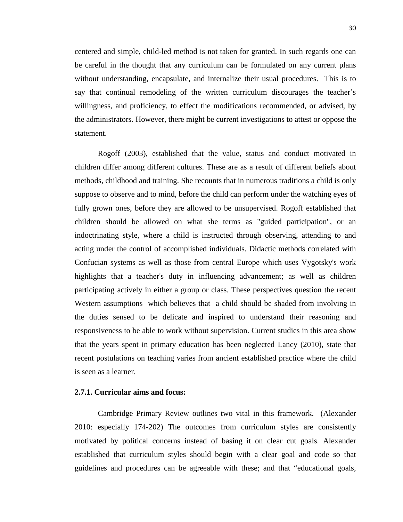centered and simple, child-led method is not taken for granted. In such regards one can be careful in the thought that any curriculum can be formulated on any current plans without understanding, encapsulate, and internalize their usual procedures. This is to say that continual remodeling of the written curriculum discourages the teacher's willingness, and proficiency, to effect the modifications recommended, or advised, by the administrators. However, there might be current investigations to attest or oppose the statement.

Rogoff (2003), established that the value, status and conduct motivated in children differ among different cultures. These are as a result of different beliefs about methods, childhood and training. She recounts that in numerous traditions a child is only suppose to observe and to mind, before the child can perform under the watching eyes of fully grown ones, before they are allowed to be unsupervised. Rogoff established that children should be allowed on what she terms as "guided participation", or an indoctrinating style, where a child is instructed through observing, attending to and acting under the control of accomplished individuals. Didactic methods correlated with Confucian systems as well as those from central Europe which uses Vygotsky's work highlights that a teacher's duty in influencing advancement; as well as children participating actively in either a group or class. These perspectives question the recent Western assumptions which believes that a child should be shaded from involving in the duties sensed to be delicate and inspired to understand their reasoning and responsiveness to be able to work without supervision. Current studies in this area show that the years spent in primary education has been neglected Lancy (2010), state that recent postulations on teaching varies from ancient established practice where the child is seen as a learner.

## **2.7.1. Curricular aims and focus:**

Cambridge Primary Review outlines two vital in this framework. (Alexander 2010: especially 174-202) The outcomes from curriculum styles are consistently motivated by political concerns instead of basing it on clear cut goals. Alexander established that curriculum styles should begin with a clear goal and code so that guidelines and procedures can be agreeable with these; and that "educational goals,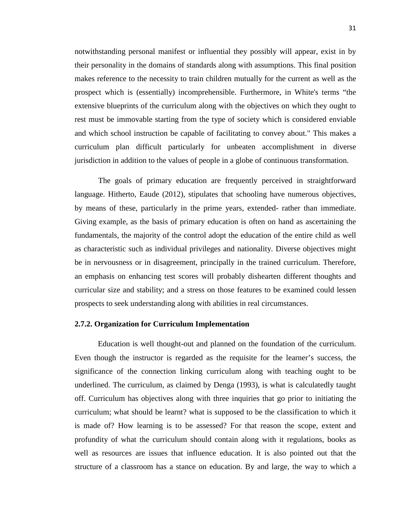notwithstanding personal manifest or influential they possibly will appear, exist in by their personality in the domains of standards along with assumptions. This final position makes reference to the necessity to train children mutually for the current as well as the prospect which is (essentially) incomprehensible. Furthermore, in White's terms "the extensive blueprints of the curriculum along with the objectives on which they ought to rest must be immovable starting from the type of society which is considered enviable and which school instruction be capable of facilitating to convey about." This makes a curriculum plan difficult particularly for unbeaten accomplishment in diverse jurisdiction in addition to the values of people in a globe of continuous transformation.

The goals of primary education are frequently perceived in straightforward language. Hitherto, Eaude (2012), stipulates that schooling have numerous objectives, by means of these, particularly in the prime years, extended- rather than immediate. Giving example, as the basis of primary education is often on hand as ascertaining the fundamentals, the majority of the control adopt the education of the entire child as well as characteristic such as individual privileges and nationality. Diverse objectives might be in nervousness or in disagreement, principally in the trained curriculum. Therefore, an emphasis on enhancing test scores will probably dishearten different thoughts and curricular size and stability; and a stress on those features to be examined could lessen prospects to seek understanding along with abilities in real circumstances.

## **2.7.2. Organization for Curriculum Implementation**

Education is well thought-out and planned on the foundation of the curriculum. Even though the instructor is regarded as the requisite for the learner's success, the significance of the connection linking curriculum along with teaching ought to be underlined. The curriculum, as claimed by Denga (1993), is what is calculatedly taught off. Curriculum has objectives along with three inquiries that go prior to initiating the curriculum; what should be learnt? what is supposed to be the classification to which it is made of? How learning is to be assessed? For that reason the scope, extent and profundity of what the curriculum should contain along with it regulations, books as well as resources are issues that influence education. It is also pointed out that the structure of a classroom has a stance on education. By and large, the way to which a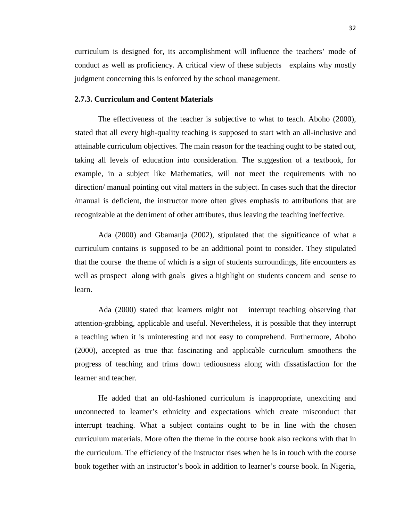curriculum is designed for, its accomplishment will influence the teachers' mode of conduct as well as proficiency. A critical view of these subjects explains why mostly judgment concerning this is enforced by the school management.

## **2.7.3. Curriculum and Content Materials**

The effectiveness of the teacher is subjective to what to teach. Aboho (2000), stated that all every high-quality teaching is supposed to start with an all-inclusive and attainable curriculum objectives. The main reason for the teaching ought to be stated out, taking all levels of education into consideration. The suggestion of a textbook, for example, in a subject like Mathematics, will not meet the requirements with no direction/ manual pointing out vital matters in the subject. In cases such that the director /manual is deficient, the instructor more often gives emphasis to attributions that are recognizable at the detriment of other attributes, thus leaving the teaching ineffective.

Ada (2000) and Gbamanja (2002), stipulated that the significance of what a curriculum contains is supposed to be an additional point to consider. They stipulated that the course the theme of which is a sign of students surroundings, life encounters as well as prospect along with goals gives a highlight on students concern and sense to learn.

Ada (2000) stated that learners might not interrupt teaching observing that attention-grabbing, applicable and useful. Nevertheless, it is possible that they interrupt a teaching when it is uninteresting and not easy to comprehend. Furthermore, Aboho (2000), accepted as true that fascinating and applicable curriculum smoothens the progress of teaching and trims down tediousness along with dissatisfaction for the learner and teacher.

He added that an old-fashioned curriculum is inappropriate, unexciting and unconnected to learner's ethnicity and expectations which create misconduct that interrupt teaching. What a subject contains ought to be in line with the chosen curriculum materials. More often the theme in the course book also reckons with that in the curriculum. The efficiency of the instructor rises when he is in touch with the course book together with an instructor's book in addition to learner's course book. In Nigeria,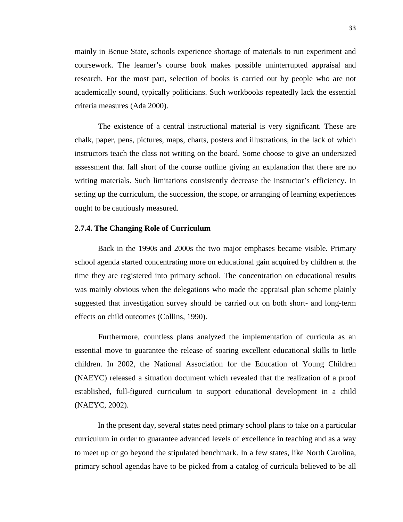mainly in Benue State, schools experience shortage of materials to run experiment and coursework. The learner's course book makes possible uninterrupted appraisal and research. For the most part, selection of books is carried out by people who are not academically sound, typically politicians. Such workbooks repeatedly lack the essential criteria measures (Ada 2000).

The existence of a central instructional material is very significant. These are chalk, paper, pens, pictures, maps, charts, posters and illustrations, in the lack of which instructors teach the class not writing on the board. Some choose to give an undersized assessment that fall short of the course outline giving an explanation that there are no writing materials. Such limitations consistently decrease the instructor's efficiency. In setting up the curriculum, the succession, the scope, or arranging of learning experiences ought to be cautiously measured.

## **2.7.4. The Changing Role of Curriculum**

Back in the 1990s and 2000s the two major emphases became visible. Primary school agenda started concentrating more on educational gain acquired by children at the time they are registered into primary school. The concentration on educational results was mainly obvious when the delegations who made the appraisal plan scheme plainly suggested that investigation survey should be carried out on both short- and long-term effects on child outcomes (Collins, 1990).

 Furthermore, countless plans analyzed the implementation of curricula as an essential move to guarantee the release of soaring excellent educational skills to little children. In 2002, the National Association for the Education of Young Children (NAEYC) released a situation document which revealed that the realization of a proof established, full-figured curriculum to support educational development in a child (NAEYC, 2002).

In the present day, several states need primary school plans to take on a particular curriculum in order to guarantee advanced levels of excellence in teaching and as a way to meet up or go beyond the stipulated benchmark. In a few states, like North Carolina, primary school agendas have to be picked from a catalog of curricula believed to be all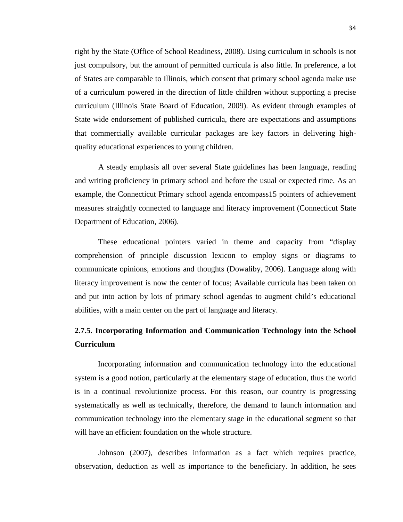right by the State (Office of School Readiness, 2008). Using curriculum in schools is not just compulsory, but the amount of permitted curricula is also little. In preference, a lot of States are comparable to Illinois, which consent that primary school agenda make use of a curriculum powered in the direction of little children without supporting a precise curriculum (Illinois State Board of Education, 2009). As evident through examples of State wide endorsement of published curricula, there are expectations and assumptions that commercially available curricular packages are key factors in delivering highquality educational experiences to young children.

A steady emphasis all over several State guidelines has been language, reading and writing proficiency in primary school and before the usual or expected time. As an example, the Connecticut Primary school agenda encompass15 pointers of achievement measures straightly connected to language and literacy improvement (Connecticut State Department of Education, 2006).

These educational pointers varied in theme and capacity from "display comprehension of principle discussion lexicon to employ signs or diagrams to communicate opinions, emotions and thoughts (Dowaliby, 2006). Language along with literacy improvement is now the center of focus; Available curricula has been taken on and put into action by lots of primary school agendas to augment child's educational abilities, with a main center on the part of language and literacy.

## **2.7.5. Incorporating Information and Communication Technology into the School Curriculum**

Incorporating information and communication technology into the educational system is a good notion, particularly at the elementary stage of education, thus the world is in a continual revolutionize process. For this reason, our country is progressing systematically as well as technically, therefore, the demand to launch information and communication technology into the elementary stage in the educational segment so that will have an efficient foundation on the whole structure.

Johnson (2007), describes information as a fact which requires practice, observation, deduction as well as importance to the beneficiary. In addition, he sees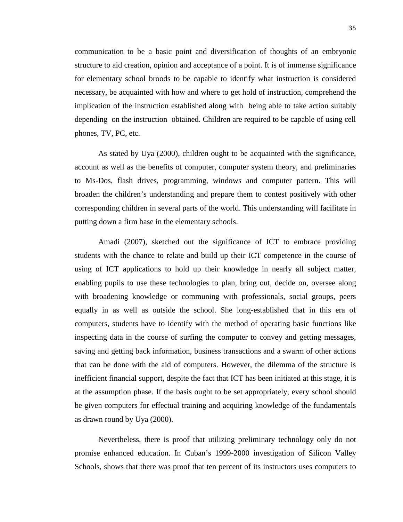communication to be a basic point and diversification of thoughts of an embryonic structure to aid creation, opinion and acceptance of a point. It is of immense significance for elementary school broods to be capable to identify what instruction is considered necessary, be acquainted with how and where to get hold of instruction, comprehend the implication of the instruction established along with being able to take action suitably depending on the instruction obtained. Children are required to be capable of using cell phones, TV, PC, etc.

As stated by Uya (2000), children ought to be acquainted with the significance, account as well as the benefits of computer, computer system theory, and preliminaries to Ms-Dos, flash drives, programming, windows and computer pattern. This will broaden the children's understanding and prepare them to contest positively with other corresponding children in several parts of the world. This understanding will facilitate in putting down a firm base in the elementary schools.

Amadi (2007), sketched out the significance of ICT to embrace providing students with the chance to relate and build up their ICT competence in the course of using of ICT applications to hold up their knowledge in nearly all subject matter, enabling pupils to use these technologies to plan, bring out, decide on, oversee along with broadening knowledge or communing with professionals, social groups, peers equally in as well as outside the school. She long-established that in this era of computers, students have to identify with the method of operating basic functions like inspecting data in the course of surfing the computer to convey and getting messages, saving and getting back information, business transactions and a swarm of other actions that can be done with the aid of computers. However, the dilemma of the structure is inefficient financial support, despite the fact that ICT has been initiated at this stage, it is at the assumption phase. If the basis ought to be set appropriately, every school should be given computers for effectual training and acquiring knowledge of the fundamentals as drawn round by Uya (2000).

Nevertheless, there is proof that utilizing preliminary technology only do not promise enhanced education. In Cuban's 1999-2000 investigation of Silicon Valley Schools, shows that there was proof that ten percent of its instructors uses computers to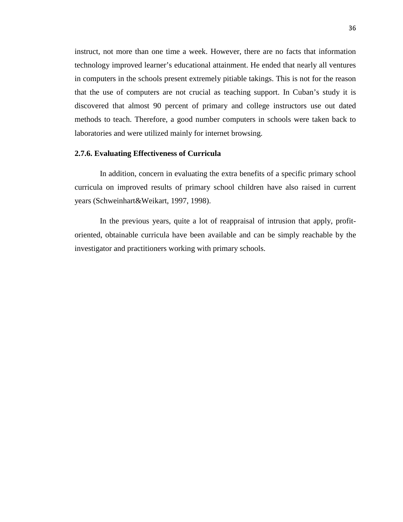instruct, not more than one time a week. However, there are no facts that information technology improved learner's educational attainment. He ended that nearly all ventures in computers in the schools present extremely pitiable takings. This is not for the reason that the use of computers are not crucial as teaching support. In Cuban's study it is discovered that almost 90 percent of primary and college instructors use out dated methods to teach. Therefore, a good number computers in schools were taken back to laboratories and were utilized mainly for internet browsing.

## **2.7.6. Evaluating Effectiveness of Curricula**

In addition, concern in evaluating the extra benefits of a specific primary school curricula on improved results of primary school children have also raised in current years (Schweinhart&Weikart, 1997, 1998).

In the previous years, quite a lot of reappraisal of intrusion that apply, profitoriented, obtainable curricula have been available and can be simply reachable by the investigator and practitioners working with primary schools.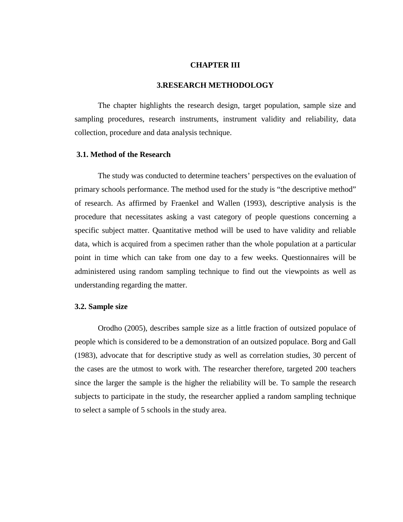## **CHAPTER III**

#### **3.RESEARCH METHODOLOGY**

The chapter highlights the research design, target population, sample size and sampling procedures, research instruments, instrument validity and reliability, data collection, procedure and data analysis technique.

#### **3.1. Method of the Research**

The study was conducted to determine teachers' perspectives on the evaluation of primary schools performance. The method used for the study is "the descriptive method" of research. As affirmed by Fraenkel and Wallen (1993), descriptive analysis is the procedure that necessitates asking a vast category of people questions concerning a specific subject matter. Quantitative method will be used to have validity and reliable data, which is acquired from a specimen rather than the whole population at a particular point in time which can take from one day to a few weeks. Questionnaires will be administered using random sampling technique to find out the viewpoints as well as understanding regarding the matter.

## **3.2. Sample size**

Orodho (2005), describes sample size as a little fraction of outsized populace of people which is considered to be a demonstration of an outsized populace. Borg and Gall (1983), advocate that for descriptive study as well as correlation studies, 30 percent of the cases are the utmost to work with. The researcher therefore, targeted 200 teachers since the larger the sample is the higher the reliability will be. To sample the research subjects to participate in the study, the researcher applied a random sampling technique to select a sample of 5 schools in the study area.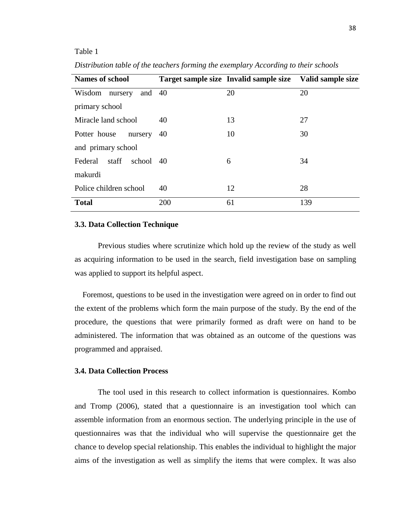#### Table 1

| <b>Names of school</b>        |     | Target sample size Invalid sample size Valid sample size |     |
|-------------------------------|-----|----------------------------------------------------------|-----|
| and $40$<br>Wisdom<br>nursery |     | 20                                                       | 20  |
| primary school                |     |                                                          |     |
| Miracle land school           | 40  | 13                                                       | 27  |
| Potter house<br>nursery       | 40  | 10                                                       | 30  |
| and primary school            |     |                                                          |     |
| Federal staff<br>school 40    |     | 6                                                        | 34  |
| makurdi                       |     |                                                          |     |
| Police children school        | 40  | 12                                                       | 28  |
| <b>Total</b>                  | 200 | 61                                                       | 139 |

*Distribution table of the teachers forming the exemplary According to their schools*

#### **3.3. Data Collection Technique**

Previous studies where scrutinize which hold up the review of the study as well as acquiring information to be used in the search, field investigation base on sampling was applied to support its helpful aspect.

 Foremost, questions to be used in the investigation were agreed on in order to find out the extent of the problems which form the main purpose of the study. By the end of the procedure, the questions that were primarily formed as draft were on hand to be administered. The information that was obtained as an outcome of the questions was programmed and appraised.

## **3.4. Data Collection Process**

The tool used in this research to collect information is questionnaires. Kombo and Tromp (2006), stated that a questionnaire is an investigation tool which can assemble information from an enormous section. The underlying principle in the use of questionnaires was that the individual who will supervise the questionnaire get the chance to develop special relationship. This enables the individual to highlight the major aims of the investigation as well as simplify the items that were complex. It was also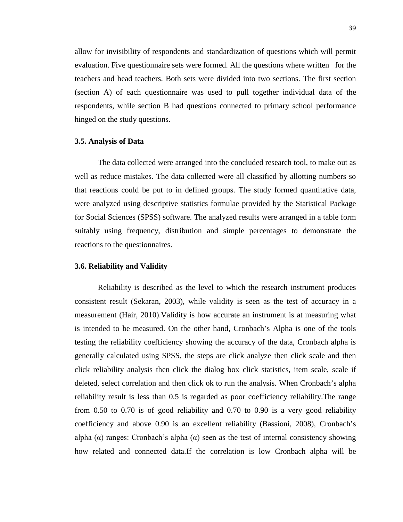allow for invisibility of respondents and standardization of questions which will permit evaluation. Five questionnaire sets were formed. All the questions where written for the teachers and head teachers. Both sets were divided into two sections. The first section (section A) of each questionnaire was used to pull together individual data of the respondents, while section B had questions connected to primary school performance hinged on the study questions.

## **3.5. Analysis of Data**

The data collected were arranged into the concluded research tool, to make out as well as reduce mistakes. The data collected were all classified by allotting numbers so that reactions could be put to in defined groups. The study formed quantitative data, were analyzed using descriptive statistics formulae provided by the Statistical Package for Social Sciences (SPSS) software. The analyzed results were arranged in a table form suitably using frequency, distribution and simple percentages to demonstrate the reactions to the questionnaires.

#### **3.6. Reliability and Validity**

Reliability is described as the level to which the research instrument produces consistent result (Sekaran, 2003), while validity is seen as the test of accuracy in a measurement (Hair, 2010).Validity is how accurate an instrument is at measuring what is intended to be measured. On the other hand, Cronbach's Alpha is one of the tools testing the reliability coefficiency showing the accuracy of the data, Cronbach alpha is generally calculated using SPSS, the steps are click analyze then click scale and then click reliability analysis then click the dialog box click statistics, item scale, scale if deleted, select correlation and then click ok to run the analysis. When Cronbach's alpha reliability result is less than 0.5 is regarded as poor coefficiency reliability.The range from 0.50 to 0.70 is of good reliability and 0.70 to 0.90 is a very good reliability coefficiency and above 0.90 is an excellent reliability (Bassioni, 2008), Cronbach's alpha  $(\alpha)$  ranges: Cronbach's alpha  $(\alpha)$  seen as the test of internal consistency showing how related and connected data.If the correlation is low Cronbach alpha will be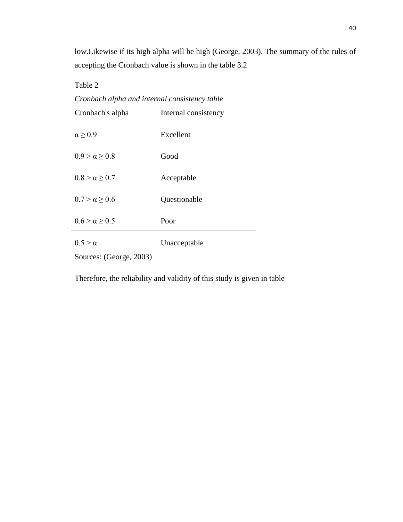low.Likewise if its high alpha will be high (George, 2003). The summary of the rules of accepting the Cronbach value is shown in the table 3.2

Table 2

Sources: (George, 2003) Cronbach's alpha Internal consistency  $\alpha \geq 0.9$  Excellent  $0.9 > \alpha \ge 0.8$  Good  $0.8 > \alpha \ge 0.7$  Acceptable  $0.7 > \alpha \ge 0.6$  Questionable  $0.6 > \alpha \ge 0.5$  Poor  $0.5 > \alpha$  Unacceptable

*Cronbach alpha and internal consistency table*

Therefore, the reliability and validity of this study is given in table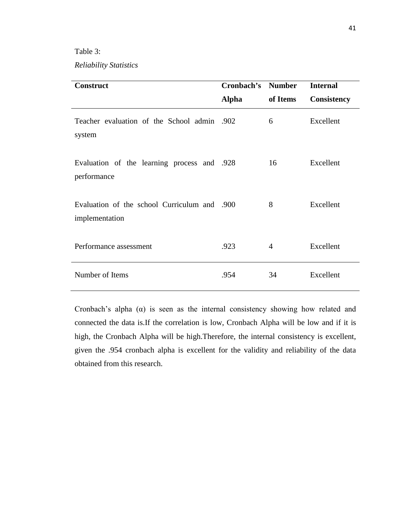Table 3:

*Reliability Statistics*

| <b>Construct</b>                                               | <b>Cronbach's Number</b> |          | <b>Internal</b>    |
|----------------------------------------------------------------|--------------------------|----------|--------------------|
|                                                                | <b>Alpha</b>             | of Items | <b>Consistency</b> |
| Teacher evaluation of the School admin .902<br>system          |                          | 6        | Excellent          |
| Evaluation of the learning process and .928<br>performance     |                          | 16       | Excellent          |
| Evaluation of the school Curriculum and .900<br>implementation |                          | 8        | Excellent          |
| Performance assessment                                         | .923                     | 4        | Excellent          |
| Number of Items                                                | .954                     | 34       | Excellent          |

Cronbach's alpha  $(\alpha)$  is seen as the internal consistency showing how related and connected the data is.If the correlation is low, Cronbach Alpha will be low and if it is high, the Cronbach Alpha will be high.Therefore, the internal consistency is excellent, given the .954 cronbach alpha is excellent for the validity and reliability of the data obtained from this research.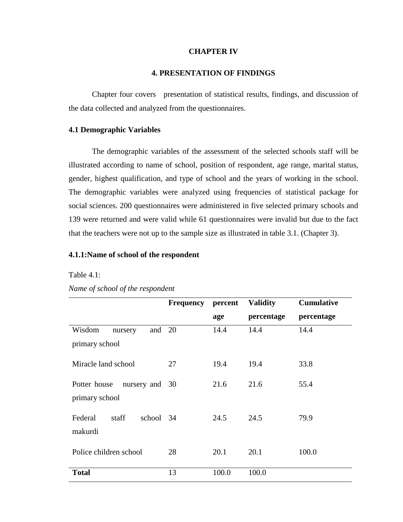## **CHAPTER IV**

## **4. PRESENTATION OF FINDINGS**

Chapter four covers presentation of statistical results, findings, and discussion of the data collected and analyzed from the questionnaires.

## **4.1 Demographic Variables**

The demographic variables of the assessment of the selected schools staff will be illustrated according to name of school, position of respondent, age range, marital status, gender, highest qualification, and type of school and the years of working in the school. The demographic variables were analyzed using frequencies of statistical package for social sciences. 200 questionnaires were administered in five selected primary schools and 139 were returned and were valid while 61 questionnaires were invalid but due to the fact that the teachers were not up to the sample size as illustrated in table 3.1. (Chapter 3).

## **4.1.1:Name of school of the respondent**

Table 4.1:

|                                | <b>Frequency</b> | percent | <b>Validity</b> | <b>Cumulative</b> |
|--------------------------------|------------------|---------|-----------------|-------------------|
|                                |                  | age     | percentage      | percentage        |
| and 20<br>Wisdom<br>nursery    |                  | 14.4    | 14.4            | 14.4              |
| primary school                 |                  |         |                 |                   |
| Miracle land school            | 27               | 19.4    | 19.4            | 33.8              |
| Potter house<br>nursery and 30 |                  | 21.6    | 21.6            | 55.4              |
| primary school                 |                  |         |                 |                   |
| Federal<br>staff<br>school 34  |                  | 24.5    | 24.5            | 79.9              |
| makurdi                        |                  |         |                 |                   |
| Police children school         | 28               | 20.1    | 20.1            | 100.0             |
| <b>Total</b>                   | 13               | 100.0   | 100.0           |                   |

*Name of school of the respondent*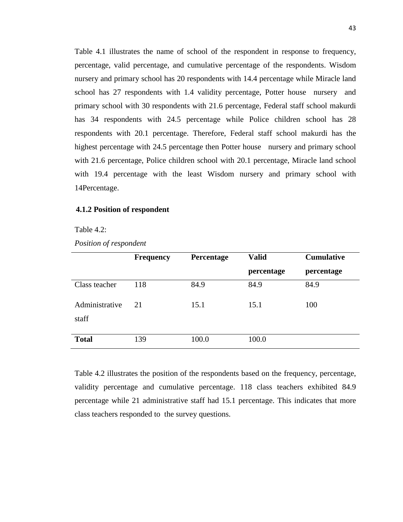Table 4.1 illustrates the name of school of the respondent in response to frequency, percentage, valid percentage, and cumulative percentage of the respondents. Wisdom nursery and primary school has 20 respondents with 14.4 percentage while Miracle land school has 27 respondents with 1.4 validity percentage, Potter house nursery and primary school with 30 respondents with 21.6 percentage, Federal staff school makurdi has 34 respondents with 24.5 percentage while Police children school has 28 respondents with 20.1 percentage. Therefore, Federal staff school makurdi has the highest percentage with 24.5 percentage then Potter house nursery and primary school with 21.6 percentage, Police children school with 20.1 percentage, Miracle land school with 19.4 percentage with the least Wisdom nursery and primary school with 14Percentage.

#### **4.1.2 Position of respondent**

Table 4.2:

|                         | <b>Frequency</b> | Percentage | <b>Valid</b> | <b>Cumulative</b> |
|-------------------------|------------------|------------|--------------|-------------------|
|                         |                  |            | percentage   | percentage        |
| Class teacher           | 118              | 84.9       | 84.9         | 84.9              |
| Administrative<br>staff | 21               | 15.1       | 15.1         | 100               |
| <b>Total</b>            | 139              | 100.0      | 100.0        |                   |

Table 4.2 illustrates the position of the respondents based on the frequency, percentage, validity percentage and cumulative percentage. 118 class teachers exhibited 84.9 percentage while 21 administrative staff had 15.1 percentage. This indicates that more class teachers responded to the survey questions.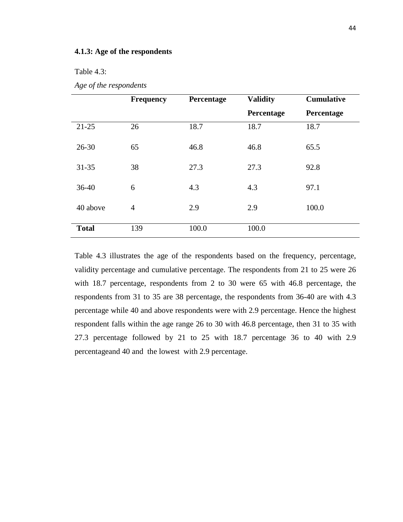#### **4.1.3: Age of the respondents**

Table 4.3:

|              | <b>Frequency</b> | Percentage | <b>Validity</b> | <b>Cumulative</b> |
|--------------|------------------|------------|-----------------|-------------------|
|              |                  |            | Percentage      | Percentage        |
| $21 - 25$    | 26               | 18.7       | 18.7            | 18.7              |
| $26 - 30$    | 65               | 46.8       | 46.8            | 65.5              |
| $31 - 35$    | 38               | 27.3       | 27.3            | 92.8              |
| $36-40$      | 6                | 4.3        | 4.3             | 97.1              |
| 40 above     | $\overline{4}$   | 2.9        | 2.9             | 100.0             |
| <b>Total</b> | 139              | 100.0      | 100.0           |                   |

*Age of the respondents*

Table 4.3 illustrates the age of the respondents based on the frequency, percentage, validity percentage and cumulative percentage. The respondents from 21 to 25 were 26 with 18.7 percentage, respondents from 2 to 30 were 65 with 46.8 percentage, the respondents from 31 to 35 are 38 percentage, the respondents from 36-40 are with 4.3 percentage while 40 and above respondents were with 2.9 percentage. Hence the highest respondent falls within the age range 26 to 30 with 46.8 percentage, then 31 to 35 with 27.3 percentage followed by 21 to 25 with 18.7 percentage 36 to 40 with 2.9 percentageand 40 and the lowest with 2.9 percentage.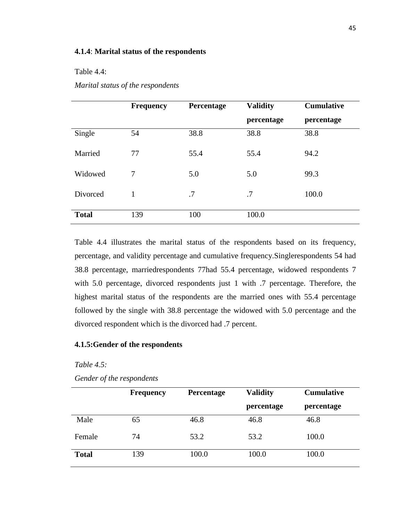## **4.1.4**: **Marital status of the respondents**

#### Table 4.4:

## *Marital status of the respondents*

|              | <b>Frequency</b> | Percentage | <b>Validity</b> | <b>Cumulative</b> |
|--------------|------------------|------------|-----------------|-------------------|
|              |                  |            | percentage      | percentage        |
| Single       | 54               | 38.8       | 38.8            | 38.8              |
| Married      | 77               | 55.4       | 55.4            | 94.2              |
| Widowed      | 7                | 5.0        | 5.0             | 99.3              |
| Divorced     | 1                | .7         | .7              | 100.0             |
| <b>Total</b> | 139              | 100        | 100.0           |                   |

Table 4.4 illustrates the marital status of the respondents based on its frequency, percentage, and validity percentage and cumulative frequency.Singlerespondents 54 had 38.8 percentage, marriedrespondents 77had 55.4 percentage, widowed respondents 7 with 5.0 percentage, divorced respondents just 1 with .7 percentage. Therefore, the highest marital status of the respondents are the married ones with 55.4 percentage followed by the single with 38.8 percentage the widowed with 5.0 percentage and the divorced respondent which is the divorced had .7 percent.

## **4.1.5:Gender of the respondents**

*Table 4.5:* 

|              | <b>Frequency</b> | Percentage | <b>Validity</b> | <b>Cumulative</b> |
|--------------|------------------|------------|-----------------|-------------------|
|              |                  |            | percentage      | percentage        |
| Male         | 65               | 46.8       | 46.8            | 46.8              |
| Female       | 74               | 53.2       | 53.2            | 100.0             |
| <b>Total</b> | 139              | 100.0      | 100.0           | 100.0             |

*Gender of the respondents*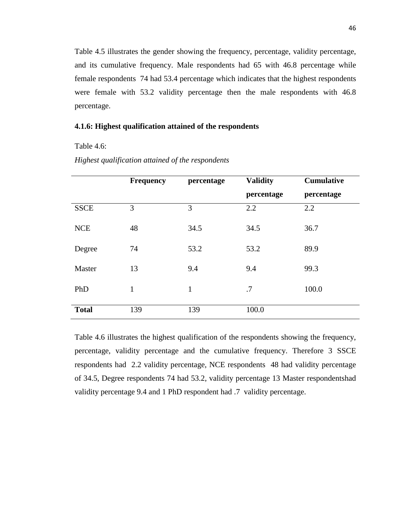Table 4.5 illustrates the gender showing the frequency, percentage, validity percentage, and its cumulative frequency. Male respondents had 65 with 46.8 percentage while female respondents 74 had 53.4 percentage which indicates that the highest respondents were female with 53.2 validity percentage then the male respondents with 46.8 percentage.

## **4.1.6: Highest qualification attained of the respondents**

Table 4.6:

|              | <b>Frequency</b> | percentage   | <b>Validity</b> | <b>Cumulative</b> |
|--------------|------------------|--------------|-----------------|-------------------|
|              |                  |              | percentage      | percentage        |
| <b>SSCE</b>  | 3                | 3            | 2.2             | 2.2               |
| <b>NCE</b>   | 48               | 34.5         | 34.5            | 36.7              |
| Degree       | 74               | 53.2         | 53.2            | 89.9              |
| Master       | 13               | 9.4          | 9.4             | 99.3              |
| PhD          | $\mathbf{1}$     | $\mathbf{1}$ | .7              | 100.0             |
| <b>Total</b> | 139              | 139          | 100.0           |                   |

*Highest qualification attained of the respondents*

Table 4.6 illustrates the highest qualification of the respondents showing the frequency, percentage, validity percentage and the cumulative frequency. Therefore 3 SSCE respondents had 2.2 validity percentage, NCE respondents 48 had validity percentage of 34.5, Degree respondents 74 had 53.2, validity percentage 13 Master respondentshad validity percentage 9.4 and 1 PhD respondent had .7 validity percentage.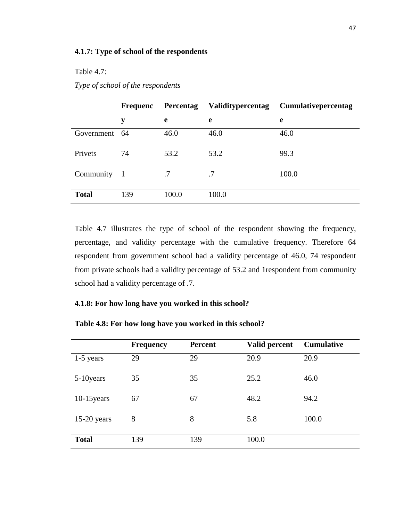Table 4.7:

|               | <b>Frequenc</b> | <b>Percentag</b> | Validitypercentag | <b>Cumulativepercentag</b> |
|---------------|-----------------|------------------|-------------------|----------------------------|
|               | y               | e                | e                 | e                          |
| Government 64 |                 | 46.0             | 46.0              | 46.0                       |
| Privets       | 74              | 53.2             | 53.2              | 99.3                       |
| Community     | $\mathbf{1}$    | .7               | .7                | 100.0                      |
| <b>Total</b>  | 139             | 100.0            | 100.0             |                            |

*Type of school of the respondents*

Table 4.7 illustrates the type of school of the respondent showing the frequency, percentage, and validity percentage with the cumulative frequency. Therefore 64 respondent from government school had a validity percentage of 46.0, 74 respondent from private schools had a validity percentage of 53.2 and 1respondent from community school had a validity percentage of .7.

## **4.1.8: For how long have you worked in this school?**

| Table 4.8: For how long have you worked in this school? |  |  |  |
|---------------------------------------------------------|--|--|--|
|                                                         |  |  |  |

|               | <b>Frequency</b> | Percent | Valid percent | <b>Cumulative</b> |
|---------------|------------------|---------|---------------|-------------------|
| $1-5$ years   | 29               | 29      | 20.9          | 20.9              |
| 5-10 years    | 35               | 35      | 25.2          | 46.0              |
| $10-15$ years | 67               | 67      | 48.2          | 94.2              |
| $15-20$ years | 8                | 8       | 5.8           | 100.0             |
| <b>Total</b>  | 139              | 139     | 100.0         |                   |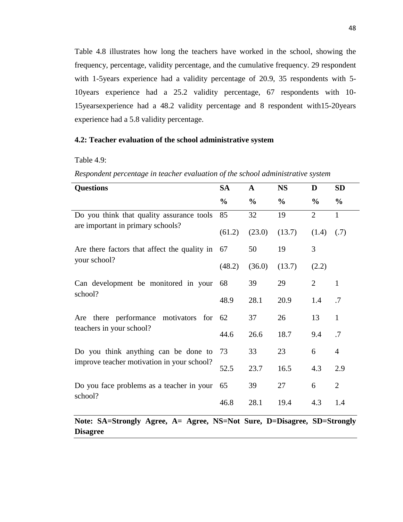Table 4.8 illustrates how long the teachers have worked in the school, showing the frequency, percentage, validity percentage, and the cumulative frequency. 29 respondent with 1-5years experience had a validity percentage of 20.9, 35 respondents with 5- 10years experience had a 25.2 validity percentage, 67 respondents with 10- 15yearsexperience had a 48.2 validity percentage and 8 respondent with15-20years experience had a 5.8 validity percentage.

## **4.2: Teacher evaluation of the school administrative system**

Table 4.9:

| <b>Questions</b>                                     | <b>SA</b>     | $\mathbf{A}$  | <b>NS</b>     | D              | <b>SD</b>      |
|------------------------------------------------------|---------------|---------------|---------------|----------------|----------------|
|                                                      | $\frac{0}{0}$ | $\frac{0}{0}$ | $\frac{0}{0}$ | $\frac{0}{0}$  | $\frac{6}{9}$  |
| Do you think that quality assurance tools            | 85            | 32            | 19            | $\overline{2}$ | 1              |
| are important in primary schools?                    | (61.2)        | (23.0)        | (13.7)        | (1.4)          | (.7)           |
| Are there factors that affect the quality in         | 67            | 50            | 19            | 3              |                |
| your school?                                         | (48.2)        | (36.0)        | (13.7)        | (2.2)          |                |
| Can development be monitored in your<br>school?      | 68            | 39            | 29            | $\overline{2}$ | $\mathbf{1}$   |
|                                                      | 48.9          | 28.1          | 20.9          | 1.4            | .7             |
| Are there performance motivators for                 | 62            | 37            | 26            | 13             | $\mathbf{1}$   |
| teachers in your school?                             | 44.6          | 26.6          | 18.7          | 9.4            | .7             |
| Do you think anything can be done to                 | 73            | 33            | 23            | 6              | $\overline{4}$ |
| improve teacher motivation in your school?           | 52.5          | 23.7          | 16.5          | 4.3            | 2.9            |
| Do you face problems as a teacher in your<br>school? | 65            | 39            | 27            | 6              | $\overline{2}$ |
|                                                      | 46.8          | 28.1          | 19.4          | 4.3            | 1.4            |

*Respondent percentage in teacher evaluation of the school administrative system* 

**Note: SA=Strongly Agree, A= Agree, NS=Not Sure, D=Disagree, SD=Strongly Disagree**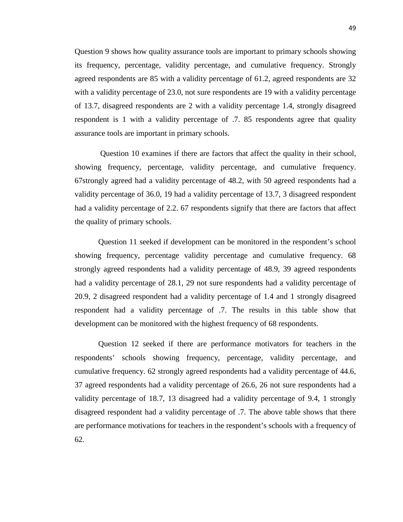Question 9 shows how quality assurance tools are important to primary schools showing its frequency, percentage, validity percentage, and cumulative frequency. Strongly agreed respondents are 85 with a validity percentage of 61.2, agreed respondents are 32 with a validity percentage of 23.0, not sure respondents are 19 with a validity percentage of 13.7, disagreed respondents are 2 with a validity percentage 1.4, strongly disagreed respondent is 1 with a validity percentage of .7. 85 respondents agree that quality assurance tools are important in primary schools.

Question 10 examines if there are factors that affect the quality in their school, showing frequency, percentage, validity percentage, and cumulative frequency. 67strongly agreed had a validity percentage of 48.2, with 50 agreed respondents had a validity percentage of 36.0, 19 had a validity percentage of 13.7, 3 disagreed respondent had a validity percentage of 2.2. 67 respondents signify that there are factors that affect the quality of primary schools.

Question 11 seeked if development can be monitored in the respondent's school showing frequency, percentage validity percentage and cumulative frequency. 68 strongly agreed respondents had a validity percentage of 48.9, 39 agreed respondents had a validity percentage of 28.1, 29 not sure respondents had a validity percentage of 20.9, 2 disagreed respondent had a validity percentage of 1.4 and 1 strongly disagreed respondent had a validity percentage of .7. The results in this table show that development can be monitored with the highest frequency of 68 respondents.

Question 12 seeked if there are performance motivators for teachers in the respondents' schools showing frequency, percentage, validity percentage, and cumulative frequency. 62 strongly agreed respondents had a validity percentage of 44.6, 37 agreed respondents had a validity percentage of 26.6, 26 not sure respondents had a validity percentage of 18.7, 13 disagreed had a validity percentage of 9.4, 1 strongly disagreed respondent had a validity percentage of .7. The above table shows that there are performance motivations for teachers in the respondent's schools with a frequency of 62.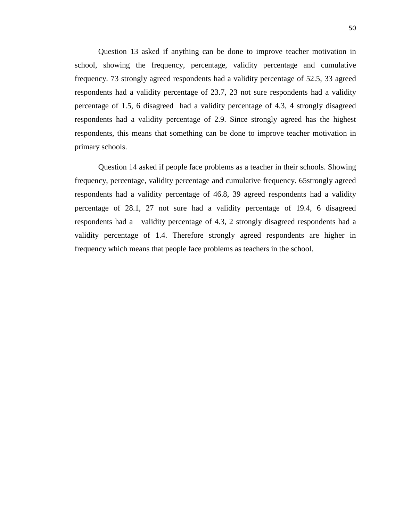Question 13 asked if anything can be done to improve teacher motivation in school, showing the frequency, percentage, validity percentage and cumulative frequency. 73 strongly agreed respondents had a validity percentage of 52.5, 33 agreed respondents had a validity percentage of 23.7, 23 not sure respondents had a validity percentage of 1.5, 6 disagreed had a validity percentage of 4.3, 4 strongly disagreed respondents had a validity percentage of 2.9. Since strongly agreed has the highest respondents, this means that something can be done to improve teacher motivation in primary schools.

Question 14 asked if people face problems as a teacher in their schools. Showing frequency, percentage, validity percentage and cumulative frequency. 65strongly agreed respondents had a validity percentage of 46.8, 39 agreed respondents had a validity percentage of 28.1, 27 not sure had a validity percentage of 19.4, 6 disagreed respondents had a validity percentage of 4.3, 2 strongly disagreed respondents had a validity percentage of 1.4. Therefore strongly agreed respondents are higher in frequency which means that people face problems as teachers in the school.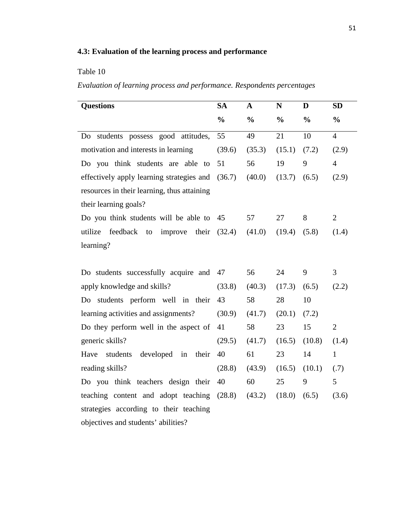## **4.3: Evaluation of the learning process and performance**

## Table 10

*Evaluation of learning process and performance. Respondents percentages*

| <b>Questions</b>                              | <b>SA</b>     | $\mathbf A$   | $\mathbf N$   | D             | <b>SD</b>      |  |
|-----------------------------------------------|---------------|---------------|---------------|---------------|----------------|--|
|                                               | $\frac{0}{0}$ | $\frac{0}{0}$ | $\frac{0}{0}$ | $\frac{0}{0}$ | $\frac{0}{0}$  |  |
| students possess good attitudes,<br>Do        | 55            | 49            | 21            | 10            | $\overline{4}$ |  |
| motivation and interests in learning          | (39.6)        | (35.3)        | (15.1)        | (7.2)         | (2.9)          |  |
| Do you think students are able to             | 51            | 56            | 19            | 9             | $\overline{4}$ |  |
| effectively apply learning strategies and     | (36.7)        | (40.0)        | (13.7)        | (6.5)         | (2.9)          |  |
| resources in their learning, thus attaining   |               |               |               |               |                |  |
| their learning goals?                         |               |               |               |               |                |  |
| Do you think students will be able to         | 45            | 57            | 27            | 8             | $\overline{2}$ |  |
| utilize<br>feedback<br>improve<br>their<br>to | (32.4)        | (41.0)        | (19.4)        | (5.8)         | (1.4)          |  |
| learning?                                     |               |               |               |               |                |  |
|                                               |               |               |               |               |                |  |
| Do students successfully acquire and          | 47            | 56            | 24            | 9             | 3              |  |
| apply knowledge and skills?                   | (33.8)        | (40.3)        | (17.3)        | (6.5)         | (2.2)          |  |
| Do students perform well in their             | 43            | 58            | 28            | 10            |                |  |
| learning activities and assignments?          | (30.9)        | (41.7)        | (20.1)        | (7.2)         |                |  |
| Do they perform well in the aspect of         | 41            | 58            | 23            | 15            | $\overline{2}$ |  |
| generic skills?                               | (29.5)        | (41.7)        | (16.5)        | (10.8)        | (1.4)          |  |
| developed<br>students<br>in<br>their<br>Have  | 40            | 61            | 23            | 14            | $\mathbf{1}$   |  |
| reading skills?                               | (28.8)        | (43.9)        | (16.5)        | (10.1)        | (.7)           |  |
| Do you think teachers design their            | 40            | 60            | 25            | 9             | 5              |  |
| teaching content and adopt teaching           | (28.8)        | (43.2)        | (18.0)        | (6.5)         | (3.6)          |  |
| strategies according to their teaching        |               |               |               |               |                |  |
| objectives and students' abilities?           |               |               |               |               |                |  |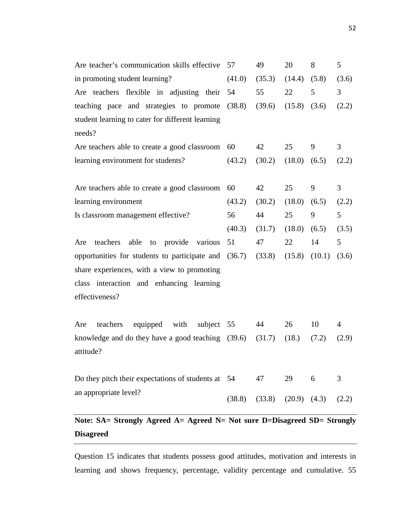| Are teacher's communication skills effective 57      |        | 49                | 20               | 8      | 5              |
|------------------------------------------------------|--------|-------------------|------------------|--------|----------------|
| in promoting student learning?                       | (41.0) | (35.3)            | (14.4)           | (5.8)  | (3.6)          |
| Are teachers flexible in adjusting their 54          |        | 55                | 22               | 5      | 3              |
| teaching pace and strategies to promote (38.8)       |        | (39.6)            | (15.8)           | (3.6)  | (2.2)          |
| student learning to cater for different learning     |        |                   |                  |        |                |
| needs?                                               |        |                   |                  |        |                |
| Are teachers able to create a good classroom         | 60     | 42                | 25               | 9      | $\mathfrak{Z}$ |
| learning environment for students?                   | (43.2) | (30.2)            | (18.0)           | (6.5)  | (2.2)          |
|                                                      |        |                   |                  |        |                |
| Are teachers able to create a good classroom         | 60     | 42                | 25               | 9      | 3              |
| learning environment                                 | (43.2) | (30.2)            | (18.0)           | (6.5)  | (2.2)          |
| Is classroom management effective?                   | 56     | 44                | 25               | 9      | 5              |
|                                                      | (40.3) | (31.7)            | (18.0)           | (6.5)  | (3.5)          |
|                                                      |        |                   |                  |        |                |
| able to provide various<br>teachers<br>Are           | 51     | 47                | 22               | 14     | 5              |
| opportunities for students to participate and (36.7) |        | (33.8)            | (15.8)           | (10.1) | (3.6)          |
| share experiences, with a view to promoting          |        |                   |                  |        |                |
| class interaction and enhancing learning             |        |                   |                  |        |                |
| effectiveness?                                       |        |                   |                  |        |                |
|                                                      |        |                   |                  |        |                |
| equipped with<br>subject 55<br>teachers<br>Are       |        | 44                | 26               | 10     | $\overline{4}$ |
| knowledge and do they have a good teaching (39.6)    |        | (31.7)            | (18.)            | (7.2)  | (2.9)          |
| attitude?                                            |        |                   |                  |        |                |
|                                                      |        |                   |                  |        |                |
| Do they pitch their expectations of students at 54   |        | 47                | 29               | 6      | 3              |
| an appropriate level?                                |        | $(38.8)$ $(33.8)$ | $(20.9)$ $(4.3)$ |        | (2.2)          |

# **Note: SA= Strongly Agreed A= Agreed N= Not sure D=Disagreed SD= Strongly Disagreed**

Question 15 indicates that students possess good attitudes, motivation and interests in learning and shows frequency, percentage, validity percentage and cumulative. 55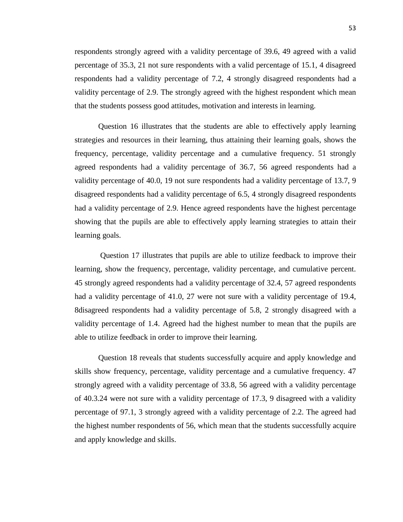respondents strongly agreed with a validity percentage of 39.6, 49 agreed with a valid percentage of 35.3, 21 not sure respondents with a valid percentage of 15.1, 4 disagreed respondents had a validity percentage of 7.2, 4 strongly disagreed respondents had a validity percentage of 2.9. The strongly agreed with the highest respondent which mean that the students possess good attitudes, motivation and interests in learning.

Question 16 illustrates that the students are able to effectively apply learning strategies and resources in their learning, thus attaining their learning goals, shows the frequency, percentage, validity percentage and a cumulative frequency. 51 strongly agreed respondents had a validity percentage of 36.7, 56 agreed respondents had a validity percentage of 40.0, 19 not sure respondents had a validity percentage of 13.7, 9 disagreed respondents had a validity percentage of 6.5, 4 strongly disagreed respondents had a validity percentage of 2.9. Hence agreed respondents have the highest percentage showing that the pupils are able to effectively apply learning strategies to attain their learning goals.

Question 17 illustrates that pupils are able to utilize feedback to improve their learning, show the frequency, percentage, validity percentage, and cumulative percent. 45 strongly agreed respondents had a validity percentage of 32.4, 57 agreed respondents had a validity percentage of 41.0, 27 were not sure with a validity percentage of 19.4, 8disagreed respondents had a validity percentage of 5.8, 2 strongly disagreed with a validity percentage of 1.4. Agreed had the highest number to mean that the pupils are able to utilize feedback in order to improve their learning.

Question 18 reveals that students successfully acquire and apply knowledge and skills show frequency, percentage, validity percentage and a cumulative frequency. 47 strongly agreed with a validity percentage of 33.8, 56 agreed with a validity percentage of 40.3.24 were not sure with a validity percentage of 17.3, 9 disagreed with a validity percentage of 97.1, 3 strongly agreed with a validity percentage of 2.2. The agreed had the highest number respondents of 56, which mean that the students successfully acquire and apply knowledge and skills.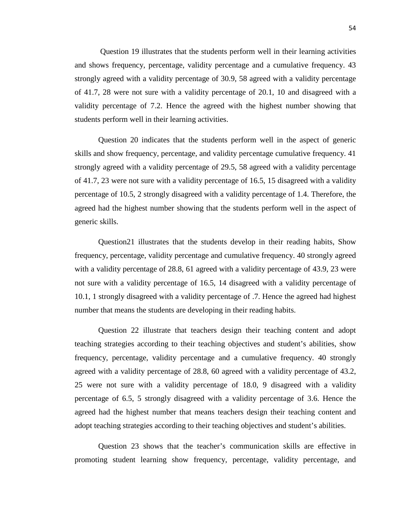Question 19 illustrates that the students perform well in their learning activities and shows frequency, percentage, validity percentage and a cumulative frequency. 43 strongly agreed with a validity percentage of 30.9, 58 agreed with a validity percentage of 41.7, 28 were not sure with a validity percentage of 20.1, 10 and disagreed with a validity percentage of 7.2. Hence the agreed with the highest number showing that students perform well in their learning activities.

Question 20 indicates that the students perform well in the aspect of generic skills and show frequency, percentage, and validity percentage cumulative frequency. 41 strongly agreed with a validity percentage of 29.5, 58 agreed with a validity percentage of 41.7, 23 were not sure with a validity percentage of 16.5, 15 disagreed with a validity percentage of 10.5, 2 strongly disagreed with a validity percentage of 1.4. Therefore, the agreed had the highest number showing that the students perform well in the aspect of generic skills.

Question21 illustrates that the students develop in their reading habits, Show frequency, percentage, validity percentage and cumulative frequency. 40 strongly agreed with a validity percentage of 28.8, 61 agreed with a validity percentage of 43.9, 23 were not sure with a validity percentage of 16.5, 14 disagreed with a validity percentage of 10.1, 1 strongly disagreed with a validity percentage of .7. Hence the agreed had highest number that means the students are developing in their reading habits.

Question 22 illustrate that teachers design their teaching content and adopt teaching strategies according to their teaching objectives and student's abilities, show frequency, percentage, validity percentage and a cumulative frequency. 40 strongly agreed with a validity percentage of 28.8, 60 agreed with a validity percentage of 43.2, 25 were not sure with a validity percentage of 18.0, 9 disagreed with a validity percentage of 6.5, 5 strongly disagreed with a validity percentage of 3.6. Hence the agreed had the highest number that means teachers design their teaching content and adopt teaching strategies according to their teaching objectives and student's abilities.

Question 23 shows that the teacher's communication skills are effective in promoting student learning show frequency, percentage, validity percentage, and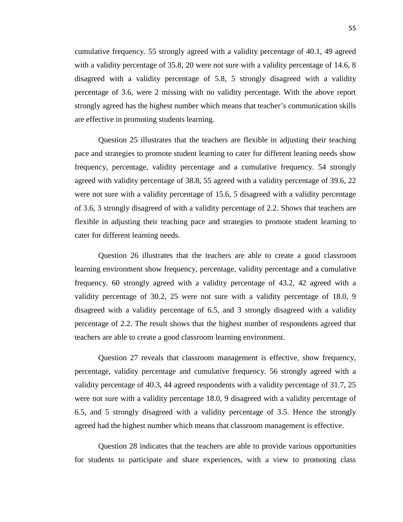cumulative frequency. 55 strongly agreed with a validity percentage of 40.1, 49 agreed with a validity percentage of 35.8, 20 were not sure with a validity percentage of 14.6, 8 disagreed with a validity percentage of 5.8, 5 strongly disagreed with a validity percentage of 3.6, were 2 missing with no validity percentage. With the above report strongly agreed has the highest number which means that teacher's communication skills are effective in promoting students learning.

Question 25 illustrates that the teachers are flexible in adjusting their teaching pace and strategies to promote student learning to cater for different leaning needs show frequency, percentage, validity percentage and a cumulative frequency. 54 strongly agreed with validity percentage of 38.8, 55 agreed with a validity percentage of 39.6, 22 were not sure with a validity percentage of 15.6, 5 disagreed with a validity percentage of 3.6, 3 strongly disagreed of with a validity percentage of 2.2. Shows that teachers are flexible in adjusting their teaching pace and strategies to promote student learning to cater for different learning needs.

Question 26 illustrates that the teachers are able to create a good classroom learning environment show frequency, percentage, validity percentage and a cumulative frequency. 60 strongly agreed with a validity percentage of 43.2, 42 agreed with a validity percentage of 30.2, 25 were not sure with a validity percentage of 18.0, 9 disagreed with a validity percentage of 6.5, and 3 strongly disagreed with a validity percentage of 2.2. The result shows that the highest number of respondents agreed that teachers are able to create a good classroom learning environment.

Question 27 reveals that classroom management is effective, show frequency, percentage, validity percentage and cumulative frequency. 56 strongly agreed with a validity percentage of 40.3, 44 agreed respondents with a validity percentage of 31.7, 25 were not sure with a validity percentage 18.0, 9 disagreed with a validity percentage of 6.5, and 5 strongly disagreed with a validity percentage of 3.5. Hence the strongly agreed had the highest number which means that classroom management is effective.

Question 28 indicates that the teachers are able to provide various opportunities for students to participate and share experiences, with a view to promoting class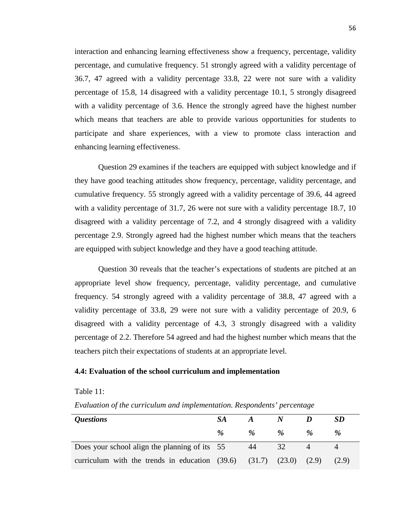interaction and enhancing learning effectiveness show a frequency, percentage, validity percentage, and cumulative frequency. 51 strongly agreed with a validity percentage of 36.7, 47 agreed with a validity percentage 33.8, 22 were not sure with a validity percentage of 15.8, 14 disagreed with a validity percentage 10.1, 5 strongly disagreed with a validity percentage of 3.6. Hence the strongly agreed have the highest number which means that teachers are able to provide various opportunities for students to participate and share experiences, with a view to promote class interaction and enhancing learning effectiveness.

Question 29 examines if the teachers are equipped with subject knowledge and if they have good teaching attitudes show frequency, percentage, validity percentage, and cumulative frequency. 55 strongly agreed with a validity percentage of 39.6, 44 agreed with a validity percentage of 31.7, 26 were not sure with a validity percentage 18.7, 10 disagreed with a validity percentage of 7.2, and 4 strongly disagreed with a validity percentage 2.9. Strongly agreed had the highest number which means that the teachers are equipped with subject knowledge and they have a good teaching attitude.

Question 30 reveals that the teacher's expectations of students are pitched at an appropriate level show frequency, percentage, validity percentage, and cumulative frequency. 54 strongly agreed with a validity percentage of 38.8, 47 agreed with a validity percentage of 33.8, 29 were not sure with a validity percentage of 20.9, 6 disagreed with a validity percentage of 4.3, 3 strongly disagreed with a validity percentage of 2.2. Therefore 54 agreed and had the highest number which means that the teachers pitch their expectations of students at an appropriate level.

## **4.4: Evaluation of the school curriculum and implementation**

#### Table 11:

*Evaluation of the curriculum and implementation. Respondents' percentage*

| <i><b>Questions</b></i>                                                            | SA.  | $\boldsymbol{A}$ |               | SD            |
|------------------------------------------------------------------------------------|------|------------------|---------------|---------------|
|                                                                                    | $\%$ | $\%$             | $\frac{a}{2}$ | $\frac{a}{2}$ |
| Does your school align the planning of its 55                                      |      | 44               | 32            |               |
| curriculum with the trends in education $(39.6)$ $(31.7)$ $(23.0)$ $(2.9)$ $(2.9)$ |      |                  |               |               |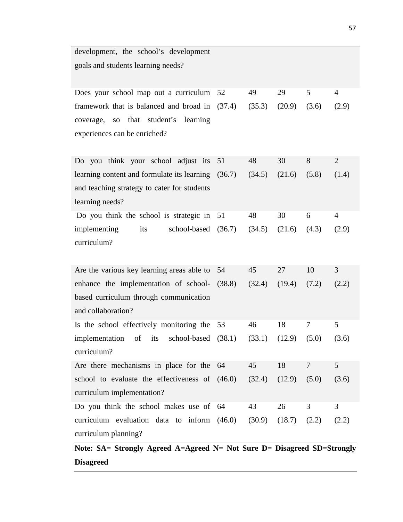| development, the school's development              |    |        |                           |        |                |
|----------------------------------------------------|----|--------|---------------------------|--------|----------------|
| goals and students learning needs?                 |    |        |                           |        |                |
|                                                    |    |        |                           |        |                |
| Does your school map out a curriculum              | 52 | 49     | 29                        | 5      | $\overline{4}$ |
| framework that is balanced and broad in (37.4)     |    | (35.3) | (20.9)                    | (3.6)  | (2.9)          |
| that student's learning<br>coverage,<br>$\rm SO$   |    |        |                           |        |                |
| experiences can be enriched?                       |    |        |                           |        |                |
|                                                    |    |        |                           |        |                |
| Do you think your school adjust its                | 51 | 48     | 30                        | 8      | 2              |
| learning content and formulate its learning (36.7) |    | (34.5) | (21.6)                    | (5.8)  | (1.4)          |
| and teaching strategy to cater for students        |    |        |                           |        |                |
| learning needs?                                    |    |        |                           |        |                |
| Do you think the school is strategic in            | 51 | 48     | 30                        | 6      | $\overline{4}$ |
| implementing<br>its<br>school-based (36.7)         |    | (34.5) | (21.6)                    | (4.3)  | (2.9)          |
| curriculum?                                        |    |        |                           |        |                |
|                                                    |    |        |                           |        |                |
| Are the various key learning areas able to         | 54 | 45     | 27                        | 10     | 3              |
| enhance the implementation of school- (38.8)       |    | (32.4) | (19.4)                    | (7.2)  | (2.2)          |
| based curriculum through communication             |    |        |                           |        |                |
| and collaboration?                                 |    |        |                           |        |                |
| Is the school effectively monitoring the 53        |    | 46     | 18                        | 7      | 5              |
| implementation of its school-based (38.1)          |    |        | $(33.1)$ $(12.9)$ $(5.0)$ |        | (3.6)          |
| curriculum?                                        |    |        |                           |        |                |
| Are there mechanisms in place for the              | 64 | 45     | 18                        | $\tau$ | 5              |
| school to evaluate the effectiveness of (46.0)     |    | (32.4) | (12.9)                    | (5.0)  | (3.6)          |
| curriculum implementation?                         |    |        |                           |        |                |
| Do you think the school makes use of 64            |    | 43     | 26                        | 3      | 3              |
| curriculum evaluation data to inform (46.0)        |    | (30.9) | (18.7)                    | (2.2)  | (2.2)          |
| curriculum planning?                               |    |        |                           |        |                |
|                                                    |    |        |                           |        |                |

**Note: SA= Strongly Agreed A=Agreed N= Not Sure D= Disagreed SD=Strongly Disagreed**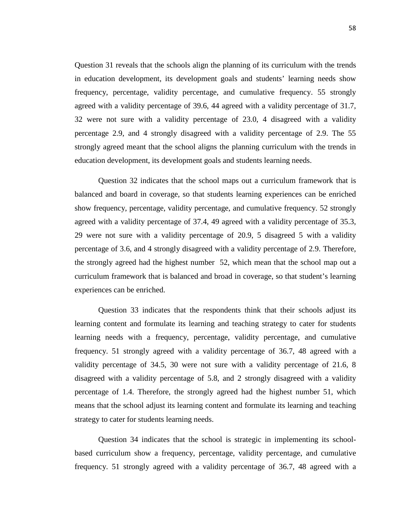Question 31 reveals that the schools align the planning of its curriculum with the trends in education development, its development goals and students' learning needs show frequency, percentage, validity percentage, and cumulative frequency. 55 strongly agreed with a validity percentage of 39.6, 44 agreed with a validity percentage of 31.7, 32 were not sure with a validity percentage of 23.0, 4 disagreed with a validity percentage 2.9, and 4 strongly disagreed with a validity percentage of 2.9. The 55 strongly agreed meant that the school aligns the planning curriculum with the trends in education development, its development goals and students learning needs.

Question 32 indicates that the school maps out a curriculum framework that is balanced and board in coverage, so that students learning experiences can be enriched show frequency, percentage, validity percentage, and cumulative frequency. 52 strongly agreed with a validity percentage of 37.4, 49 agreed with a validity percentage of 35.3, 29 were not sure with a validity percentage of 20.9, 5 disagreed 5 with a validity percentage of 3.6, and 4 strongly disagreed with a validity percentage of 2.9. Therefore, the strongly agreed had the highest number 52, which mean that the school map out a curriculum framework that is balanced and broad in coverage, so that student's learning experiences can be enriched.

Question 33 indicates that the respondents think that their schools adjust its learning content and formulate its learning and teaching strategy to cater for students learning needs with a frequency, percentage, validity percentage, and cumulative frequency. 51 strongly agreed with a validity percentage of 36.7, 48 agreed with a validity percentage of 34.5, 30 were not sure with a validity percentage of 21.6, 8 disagreed with a validity percentage of 5.8, and 2 strongly disagreed with a validity percentage of 1.4. Therefore, the strongly agreed had the highest number 51, which means that the school adjust its learning content and formulate its learning and teaching strategy to cater for students learning needs.

Question 34 indicates that the school is strategic in implementing its schoolbased curriculum show a frequency, percentage, validity percentage, and cumulative frequency. 51 strongly agreed with a validity percentage of 36.7, 48 agreed with a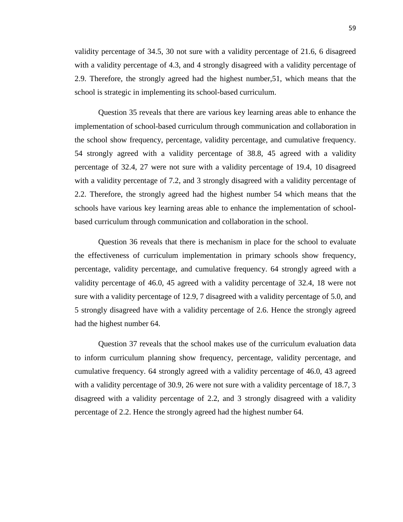validity percentage of 34.5, 30 not sure with a validity percentage of 21.6, 6 disagreed with a validity percentage of 4.3, and 4 strongly disagreed with a validity percentage of 2.9. Therefore, the strongly agreed had the highest number,51, which means that the school is strategic in implementing its school-based curriculum.

Question 35 reveals that there are various key learning areas able to enhance the implementation of school-based curriculum through communication and collaboration in the school show frequency, percentage, validity percentage, and cumulative frequency. 54 strongly agreed with a validity percentage of 38.8, 45 agreed with a validity percentage of 32.4, 27 were not sure with a validity percentage of 19.4, 10 disagreed with a validity percentage of 7.2, and 3 strongly disagreed with a validity percentage of 2.2. Therefore, the strongly agreed had the highest number 54 which means that the schools have various key learning areas able to enhance the implementation of schoolbased curriculum through communication and collaboration in the school.

Question 36 reveals that there is mechanism in place for the school to evaluate the effectiveness of curriculum implementation in primary schools show frequency, percentage, validity percentage, and cumulative frequency. 64 strongly agreed with a validity percentage of 46.0, 45 agreed with a validity percentage of 32.4, 18 were not sure with a validity percentage of 12.9, 7 disagreed with a validity percentage of 5.0, and 5 strongly disagreed have with a validity percentage of 2.6. Hence the strongly agreed had the highest number 64.

Question 37 reveals that the school makes use of the curriculum evaluation data to inform curriculum planning show frequency, percentage, validity percentage, and cumulative frequency. 64 strongly agreed with a validity percentage of 46.0, 43 agreed with a validity percentage of 30.9, 26 were not sure with a validity percentage of 18.7, 3 disagreed with a validity percentage of 2.2, and 3 strongly disagreed with a validity percentage of 2.2. Hence the strongly agreed had the highest number 64.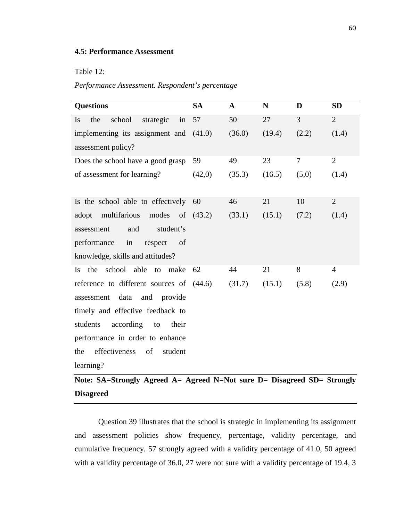## **4.5: Performance Assessment**

## Table 12:

*Performance Assessment. Respondent's percentage*

| <b>Questions</b>                                   | <b>SA</b> | $\mathbf{A}$ | N      | D              | <b>SD</b>      |
|----------------------------------------------------|-----------|--------------|--------|----------------|----------------|
| school<br>in<br>the<br>strategic<br>Is             | 57        | 50           | 27     | $\overline{3}$ | $\overline{2}$ |
| implementing its assignment and (41.0)             |           | (36.0)       | (19.4) | (2.2)          | (1.4)          |
| assessment policy?                                 |           |              |        |                |                |
| Does the school have a good grasp                  | 59        | 49           | 23     | 7              | $\overline{2}$ |
| of assessment for learning?                        | (42,0)    | (35.3)       | (16.5) | (5,0)          | (1.4)          |
|                                                    |           |              |        |                |                |
| Is the school able to effectively                  | 60        | 46           | 21     | 10             | $\overline{2}$ |
| multifarious<br>modes of $(43.2)$<br>adopt         |           | (33.1)       | (15.1) | (7.2)          | (1.4)          |
| and<br>student's<br>assessment                     |           |              |        |                |                |
| in<br>performance<br>respect<br>of                 |           |              |        |                |                |
| knowledge, skills and attitudes?                   |           |              |        |                |                |
| the<br>school able<br>to<br>make<br>$\mathbf{I}$ s | 62        | 44           | 21     | 8              | $\overline{4}$ |
| reference to different sources of (44.6)           |           | (31.7)       | (15.1) | (5.8)          | (2.9)          |
| assessment<br>data<br>and<br>provide               |           |              |        |                |                |
| timely and effective feedback to                   |           |              |        |                |                |
| students<br>according<br>their<br>to               |           |              |        |                |                |
| performance in order to enhance                    |           |              |        |                |                |
| effectiveness<br>the<br><sub>of</sub><br>student   |           |              |        |                |                |
| learning?                                          |           |              |        |                |                |

# **Note: SA=Strongly Agreed A= Agreed N=Not sure D= Disagreed SD= Strongly Disagreed**

Question 39 illustrates that the school is strategic in implementing its assignment and assessment policies show frequency, percentage, validity percentage, and cumulative frequency. 57 strongly agreed with a validity percentage of 41.0, 50 agreed with a validity percentage of 36.0, 27 were not sure with a validity percentage of 19.4, 3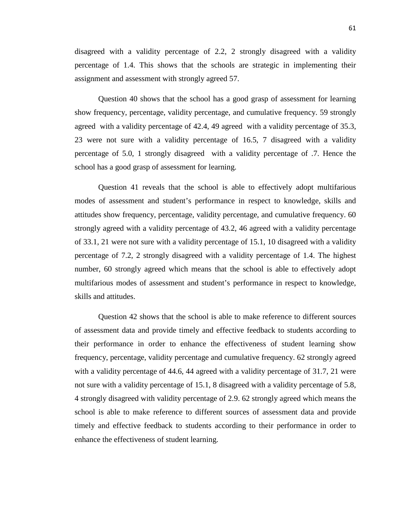disagreed with a validity percentage of 2.2, 2 strongly disagreed with a validity percentage of 1.4. This shows that the schools are strategic in implementing their assignment and assessment with strongly agreed 57.

Question 40 shows that the school has a good grasp of assessment for learning show frequency, percentage, validity percentage, and cumulative frequency. 59 strongly agreed with a validity percentage of 42.4, 49 agreed with a validity percentage of 35.3, 23 were not sure with a validity percentage of 16.5, 7 disagreed with a validity percentage of 5.0, 1 strongly disagreed with a validity percentage of .7. Hence the school has a good grasp of assessment for learning.

Question 41 reveals that the school is able to effectively adopt multifarious modes of assessment and student's performance in respect to knowledge, skills and attitudes show frequency, percentage, validity percentage, and cumulative frequency. 60 strongly agreed with a validity percentage of 43.2, 46 agreed with a validity percentage of 33.1, 21 were not sure with a validity percentage of 15.1, 10 disagreed with a validity percentage of 7.2, 2 strongly disagreed with a validity percentage of 1.4. The highest number, 60 strongly agreed which means that the school is able to effectively adopt multifarious modes of assessment and student's performance in respect to knowledge, skills and attitudes.

Question 42 shows that the school is able to make reference to different sources of assessment data and provide timely and effective feedback to students according to their performance in order to enhance the effectiveness of student learning show frequency, percentage, validity percentage and cumulative frequency. 62 strongly agreed with a validity percentage of 44.6, 44 agreed with a validity percentage of 31.7, 21 were not sure with a validity percentage of 15.1, 8 disagreed with a validity percentage of 5.8, 4 strongly disagreed with validity percentage of 2.9. 62 strongly agreed which means the school is able to make reference to different sources of assessment data and provide timely and effective feedback to students according to their performance in order to enhance the effectiveness of student learning.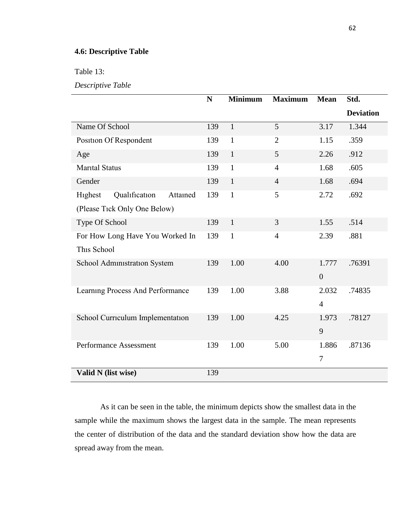## **4.6: Descriptive Table**

Table 13:

*Descriptive Table*

|                                      | $\mathbf N$ | <b>Minimum</b> | <b>Maximum</b> | <b>Mean</b>    | Std.             |
|--------------------------------------|-------------|----------------|----------------|----------------|------------------|
|                                      |             |                |                |                | <b>Deviation</b> |
| Name Of School                       | 139         | $\mathbf{1}$   | 5              | 3.17           | 1.344            |
| Position Of Respondent               | 139         | $\mathbf{1}$   | $\overline{2}$ | 1.15           | .359             |
| Age                                  | 139         | $\mathbf{1}$   | 5              | 2.26           | .912             |
| <b>Marital Status</b>                | 139         | $\mathbf{1}$   | $\overline{4}$ | 1.68           | .605             |
| Gender                               | 139         | $\mathbf{1}$   | $\overline{4}$ | 1.68           | .694             |
| Qualification<br>Highest<br>Attained | 139         | $\mathbf{1}$   | 5              | 2.72           | .692             |
| (Please Tick Only One Below)         |             |                |                |                |                  |
| Type Of School                       | 139         | $\mathbf{1}$   | 3              | 1.55           | .514             |
| For How Long Have You Worked In      | 139         | $\mathbf{1}$   | $\overline{4}$ | 2.39           | .881             |
| This School                          |             |                |                |                |                  |
| School Administration System         | 139         | 1.00           | 4.00           | 1.777          | .76391           |
|                                      |             |                |                | $\overline{0}$ |                  |
| Learning Process And Performance     | 139         | 1.00           | 3.88           | 2.032          | .74835           |
|                                      |             |                |                | $\overline{4}$ |                  |
| School Curriculum Implementation     | 139         | 1.00           | 4.25           | 1.973          | .78127           |
|                                      |             |                |                | 9              |                  |
| <b>Performance Assessment</b>        | 139         | 1.00           | 5.00           | 1.886          | .87136           |
|                                      |             |                |                | $\overline{7}$ |                  |
| Valid N (list wise)                  | 139         |                |                |                |                  |

As it can be seen in the table, the minimum depicts show the smallest data in the sample while the maximum shows the largest data in the sample. The mean represents the center of distribution of the data and the standard deviation show how the data are spread away from the mean.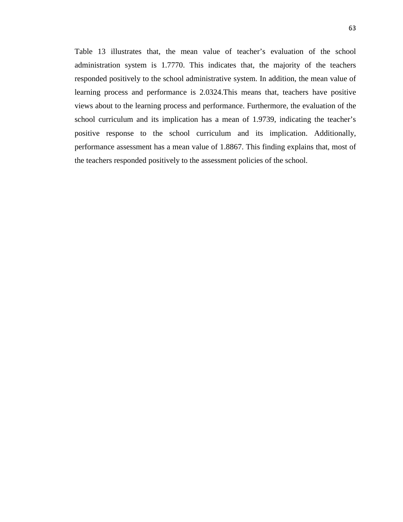Table 13 illustrates that, the mean value of teacher's evaluation of the school administration system is 1.7770. This indicates that, the majority of the teachers responded positively to the school administrative system. In addition, the mean value of learning process and performance is 2.0324.This means that, teachers have positive views about to the learning process and performance. Furthermore, the evaluation of the school curriculum and its implication has a mean of 1.9739, indicating the teacher's positive response to the school curriculum and its implication. Additionally, performance assessment has a mean value of 1.8867. This finding explains that, most of the teachers responded positively to the assessment policies of the school.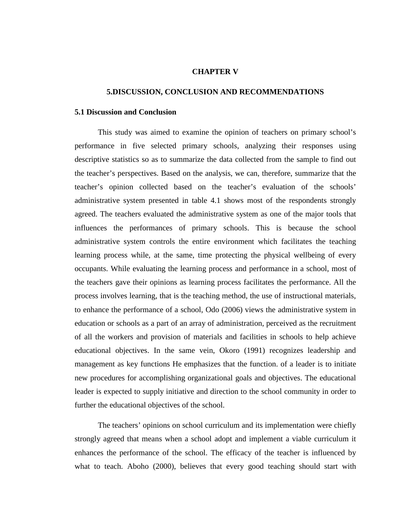#### **CHAPTER V**

#### **5.DISCUSSION, CONCLUSION AND RECOMMENDATIONS**

#### **5.1 Discussion and Conclusion**

This study was aimed to examine the opinion of teachers on primary school's performance in five selected primary schools, analyzing their responses using descriptive statistics so as to summarize the data collected from the sample to find out the teacher's perspectives. Based on the analysis, we can, therefore, summarize that the teacher's opinion collected based on the teacher's evaluation of the schools' administrative system presented in table 4.1 shows most of the respondents strongly agreed. The teachers evaluated the administrative system as one of the major tools that influences the performances of primary schools. This is because the school administrative system controls the entire environment which facilitates the teaching learning process while, at the same, time protecting the physical wellbeing of every occupants. While evaluating the learning process and performance in a school, most of the teachers gave their opinions as learning process facilitates the performance. All the process involves learning, that is the teaching method, the use of instructional materials, to enhance the performance of a school, Odo (2006) views the administrative system in education or schools as a part of an array of administration, perceived as the recruitment of all the workers and provision of materials and facilities in schools to help achieve educational objectives. In the same vein, Okoro (1991) recognizes leadership and management as key functions He emphasizes that the function. of a leader is to initiate new procedures for accomplishing organizational goals and objectives. The educational leader is expected to supply initiative and direction to the school community in order to further the educational objectives of the school.

The teachers' opinions on school curriculum and its implementation were chiefly strongly agreed that means when a school adopt and implement a viable curriculum it enhances the performance of the school. The efficacy of the teacher is influenced by what to teach. Aboho (2000), believes that every good teaching should start with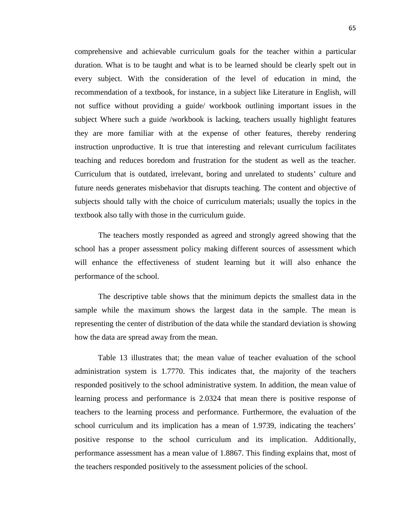comprehensive and achievable curriculum goals for the teacher within a particular duration. What is to be taught and what is to be learned should be clearly spelt out in every subject. With the consideration of the level of education in mind, the recommendation of a textbook, for instance, in a subject like Literature in English, will not suffice without providing a guide/ workbook outlining important issues in the subject Where such a guide /workbook is lacking, teachers usually highlight features they are more familiar with at the expense of other features, thereby rendering instruction unproductive. It is true that interesting and relevant curriculum facilitates teaching and reduces boredom and frustration for the student as well as the teacher. Curriculum that is outdated, irrelevant, boring and unrelated to students' culture and future needs generates misbehavior that disrupts teaching. The content and objective of subjects should tally with the choice of curriculum materials; usually the topics in the textbook also tally with those in the curriculum guide.

The teachers mostly responded as agreed and strongly agreed showing that the school has a proper assessment policy making different sources of assessment which will enhance the effectiveness of student learning but it will also enhance the performance of the school.

The descriptive table shows that the minimum depicts the smallest data in the sample while the maximum shows the largest data in the sample. The mean is representing the center of distribution of the data while the standard deviation is showing how the data are spread away from the mean.

Table 13 illustrates that; the mean value of teacher evaluation of the school administration system is 1.7770. This indicates that, the majority of the teachers responded positively to the school administrative system. In addition, the mean value of learning process and performance is 2.0324 that mean there is positive response of teachers to the learning process and performance. Furthermore, the evaluation of the school curriculum and its implication has a mean of 1.9739, indicating the teachers' positive response to the school curriculum and its implication. Additionally, performance assessment has a mean value of 1.8867. This finding explains that, most of the teachers responded positively to the assessment policies of the school.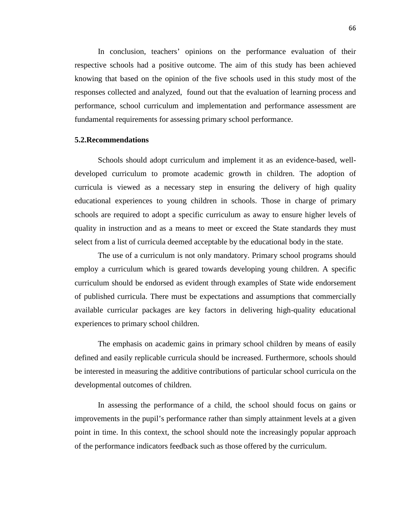In conclusion, teachers' opinions on the performance evaluation of their respective schools had a positive outcome. The aim of this study has been achieved knowing that based on the opinion of the five schools used in this study most of the responses collected and analyzed, found out that the evaluation of learning process and performance, school curriculum and implementation and performance assessment are fundamental requirements for assessing primary school performance.

#### **5.2.Recommendations**

Schools should adopt curriculum and implement it as an evidence-based, welldeveloped curriculum to promote academic growth in children. The adoption of curricula is viewed as a necessary step in ensuring the delivery of high quality educational experiences to young children in schools. Those in charge of primary schools are required to adopt a specific curriculum as away to ensure higher levels of quality in instruction and as a means to meet or exceed the State standards they must select from a list of curricula deemed acceptable by the educational body in the state.

The use of a curriculum is not only mandatory. Primary school programs should employ a curriculum which is geared towards developing young children. A specific curriculum should be endorsed as evident through examples of State wide endorsement of published curricula. There must be expectations and assumptions that commercially available curricular packages are key factors in delivering high-quality educational experiences to primary school children.

The emphasis on academic gains in primary school children by means of easily defined and easily replicable curricula should be increased. Furthermore, schools should be interested in measuring the additive contributions of particular school curricula on the developmental outcomes of children.

In assessing the performance of a child, the school should focus on gains or improvements in the pupil's performance rather than simply attainment levels at a given point in time. In this context, the school should note the increasingly popular approach of the performance indicators feedback such as those offered by the curriculum.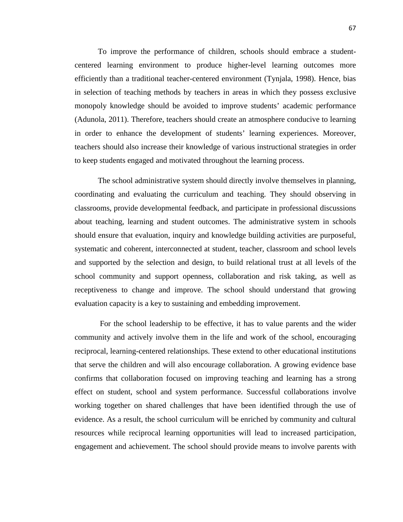To improve the performance of children, schools should embrace a studentcentered learning environment to produce higher-level learning outcomes more efficiently than a traditional teacher-centered environment (Tynjala, 1998). Hence, bias in selection of teaching methods by teachers in areas in which they possess exclusive monopoly knowledge should be avoided to improve students' academic performance (Adunola, 2011). Therefore, teachers should create an atmosphere conducive to learning in order to enhance the development of students' learning experiences. Moreover, teachers should also increase their knowledge of various instructional strategies in order to keep students engaged and motivated throughout the learning process.

The school administrative system should directly involve themselves in planning, coordinating and evaluating the curriculum and teaching. They should observing in classrooms, provide developmental feedback, and participate in professional discussions about teaching, learning and student outcomes. The administrative system in schools should ensure that evaluation, inquiry and knowledge building activities are purposeful, systematic and coherent, interconnected at student, teacher, classroom and school levels and supported by the selection and design, to build relational trust at all levels of the school community and support openness, collaboration and risk taking, as well as receptiveness to change and improve. The school should understand that growing evaluation capacity is a key to sustaining and embedding improvement.

For the school leadership to be effective, it has to value parents and the wider community and actively involve them in the life and work of the school, encouraging reciprocal, learning-centered relationships. These extend to other educational institutions that serve the children and will also encourage collaboration. A growing evidence base confirms that collaboration focused on improving teaching and learning has a strong effect on student, school and system performance. Successful collaborations involve working together on shared challenges that have been identified through the use of evidence. As a result, the school curriculum will be enriched by community and cultural resources while reciprocal learning opportunities will lead to increased participation, engagement and achievement. The school should provide means to involve parents with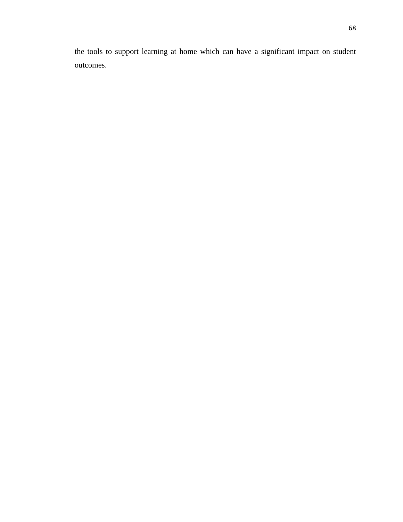the tools to support learning at home which can have a significant impact on student outcomes.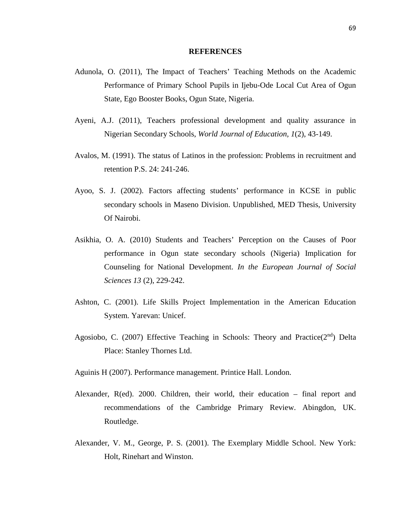#### **REFERENCES**

- Adunola, O. (2011), The Impact of Teachers' Teaching Methods on the Academic Performance of Primary School Pupils in Ijebu-Ode Local Cut Area of Ogun State, Ego Booster Books, Ogun State, Nigeria.
- Ayeni, A.J. (2011), Teachers professional development and quality assurance in Nigerian Secondary Schools, *World Journal of Education, 1*(2), 43-149.
- Avalos, M. (1991). The status of Latinos in the profession: Problems in recruitment and retention P.S. 24: 241-246.
- Ayoo, S. J. (2002). Factors affecting students' performance in KCSE in public secondary schools in Maseno Division. Unpublished, MED Thesis, University Of Nairobi.
- Asikhia, O. A. (2010) Students and Teachers' Perception on the Causes of Poor performance in Ogun state secondary schools (Nigeria) Implication for Counseling for National Development. *In the European Journal of Social Sciences 13* (2), 229-242.
- Ashton, C. (2001). Life Skills Project Implementation in the American Education System*.* Yarevan: Unicef.
- Agosiobo, C. (2007) Effective Teaching in Schools: Theory and Practice( $2<sup>nd</sup>$ ) Delta Place: Stanley Thornes Ltd.
- Aguinis H (2007). Performance management. Printice Hall. London.
- Alexander, R(ed). 2000. Children, their world, their education final report and recommendations of the Cambridge Primary Review. Abingdon, UK. Routledge.
- Alexander, V. M., George, P. S. (2001). The Exemplary Middle School. New York: Holt, Rinehart and Winston.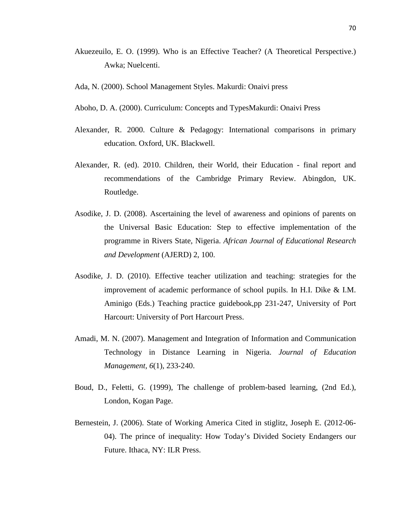- Akuezeuilo, E. O. (1999). Who is an Effective Teacher? (A Theoretical Perspective.) Awka; Nuelcenti.
- Ada, N. (2000). School Management Styles. Makurdi: Onaivi press
- Aboho, D. A. (2000). Curriculum: Concepts and TypesMakurdi: Onaivi Press
- Alexander, R. 2000. Culture & Pedagogy: International comparisons in primary education. Oxford, UK. Blackwell.
- Alexander, R. (ed). 2010. Children, their World, their Education final report and recommendations of the Cambridge Primary Review. Abingdon, UK. Routledge.
- Asodike, J. D. (2008). Ascertaining the level of awareness and opinions of parents on the Universal Basic Education: Step to effective implementation of the programme in Rivers State, Nigeria. *African Journal of Educational Research and Development* (AJERD) 2, 100.
- Asodike, J. D. (2010). Effective teacher utilization and teaching: strategies for the improvement of academic performance of school pupils. In H.I. Dike & I.M. Aminigo (Eds.) Teaching practice guidebook,pp 231-247, University of Port Harcourt: University of Port Harcourt Press.
- Amadi, M. N. (2007). Management and Integration of Information and Communication Technology in Distance Learning in Nigeria. *Journal of Education Management, 6*(1), 233-240.
- Boud, D., Feletti, G. (1999), The challenge of problem-based learning, (2nd Ed.), London, Kogan Page.
- Bernestein, J. (2006). State of Working America Cited in stiglitz, Joseph E. (2012-06- 04). The prince of inequality: How Today's Divided Society Endangers our Future. Ithaca, NY: ILR Press.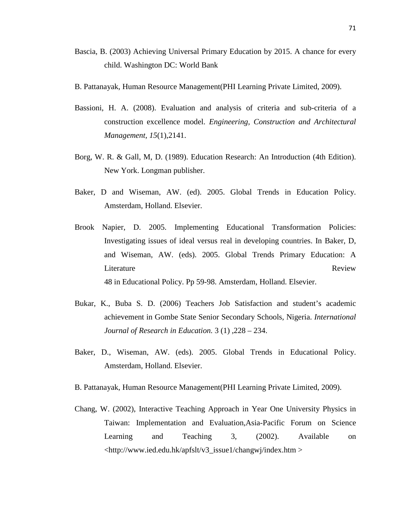- Bascia, B. (2003) Achieving Universal Primary Education by 2015. A chance for every child. Washington DC: World Bank
- B. Pattanayak, Human Resource Management(PHI Learning Private Limited, 2009).
- Bassioni, H. A. (2008). Evaluation and analysis of criteria and sub-criteria of a construction excellence model. *Engineering, Construction and Architectural Management, 15*(1),2141.
- Borg, W. R. & Gall, M, D. (1989). Education Research: An Introduction (4th Edition). New York. Longman publisher.
- Baker, D and Wiseman, AW. (ed). 2005. Global Trends in Education Policy. Amsterdam, Holland. Elsevier.
- Brook Napier, D. 2005. Implementing Educational Transformation Policies: Investigating issues of ideal versus real in developing countries. In Baker, D, and Wiseman, AW. (eds). 2005. Global Trends Primary Education: A Literature Review 48 in Educational Policy. Pp 59-98. Amsterdam, Holland. Elsevier.
- Bukar, K., Buba S. D. (2006) Teachers Job Satisfaction and student's academic achievement in Gombe State Senior Secondary Schools, Nigeria. *International Journal of Research in Education.* 3 (1) ,228 – 234.
- Baker, D., Wiseman, AW. (eds). 2005. Global Trends in Educational Policy. Amsterdam, Holland. Elsevier.
- B. Pattanayak, Human Resource Management(PHI Learning Private Limited, 2009).
- Chang, W. (2002), Interactive Teaching Approach in Year One University Physics in Taiwan: Implementation and Evaluation,Asia-Pacific Forum on Science Learning and Teaching 3, (2002). Available on <http://www.ied.edu.hk/apfslt/v3\_issue1/changwj/index.htm >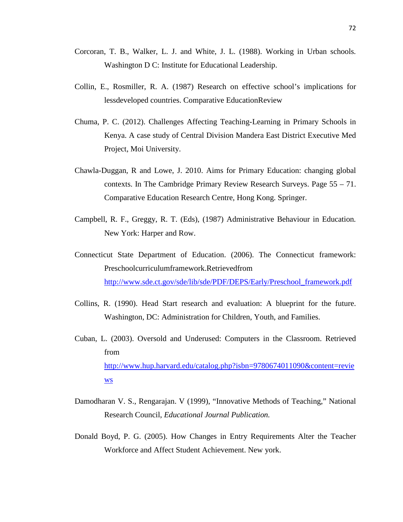- Corcoran, T. B., Walker, L. J. and White, J. L. (1988). Working in Urban schools*.*  Washington D C: Institute for Educational Leadership.
- Collin, E., Rosmiller, R. A. (1987) Research on effective school's implications for lessdeveloped countries. Comparative EducationReview
- Chuma, P. C. (2012). Challenges Affecting Teaching-Learning in Primary Schools in Kenya. A case study of Central Division Mandera East District Executive Med Project, Moi University.
- Chawla-Duggan, R and Lowe, J. 2010. Aims for Primary Education: changing global contexts. In The Cambridge Primary Review Research Surveys. Page 55 – 71. Comparative Education Research Centre, Hong Kong. Springer.
- Campbell, R. F., Greggy, R. T. (Eds), (1987) Administrative Behaviour in Education*.*  New York: Harper and Row.
- Connecticut State Department of Education. (2006). The Connecticut framework: Preschoolcurriculumframework.Retrievedfrom [http://www.sde.ct.gov/sde/lib/sde/PDF/DEPS/Early/Preschool\\_framework.pdf](http://www.sde.ct.gov/sde/lib/sde/PDF/DEPS/Early/Preschool_framework.pdf)
- Collins, R. (1990). Head Start research and evaluation: A blueprint for the future. Washington, DC: Administration for Children, Youth, and Families.
- Cuban, L. (2003). Oversold and Underused: Computers in the Classroom. Retrieved from [http://www.hup.harvard.edu/catalog.php?isbn=9780674011090&content=revie](http://www.hup.harvard.edu/catalog.php?isbn=9780674011090&content=reviews) [ws](http://www.hup.harvard.edu/catalog.php?isbn=9780674011090&content=reviews)
- Damodharan V. S., Rengarajan. V (1999), "Innovative Methods of Teaching," National Research Council, *Educational Journal Publication.*
- Donald Boyd, P. G. (2005). How Changes in Entry Requirements Alter the Teacher Workforce and Affect Student Achievement. New york.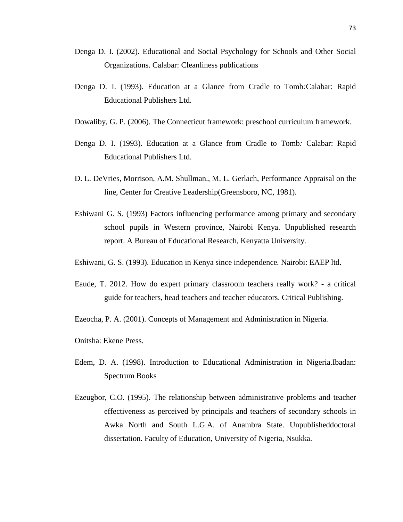- Denga D. I. (2002). Educational and Social Psychology for Schools and Other Social Organizations. Calabar: Cleanliness publications
- Denga D. I. (1993). Education at a Glance from Cradle to Tomb*:*Calabar: Rapid Educational Publishers Ltd.
- Dowaliby, G. P. (2006). The Connecticut framework: preschool curriculum framework.
- Denga D. I. (1993). Education at a Glance from Cradle to Tomb*:* Calabar: Rapid Educational Publishers Ltd.
- D. L. DeVries, Morrison, A.M. Shullman., M. L. Gerlach, Performance Appraisal on the line*,* Center for Creative Leadership(Greensboro, NC, 1981).
- Eshiwani G. S. (1993) Factors influencing performance among primary and secondary school pupils in Western province, Nairobi Kenya. Unpublished research report. A Bureau of Educational Research, Kenyatta University.
- Eshiwani, G. S. (1993). Education in Kenya since independence*.* Nairobi: EAEP ltd.
- Eaude, T. 2012. How do expert primary classroom teachers really work? a critical guide for teachers, head teachers and teacher educators. Critical Publishing.
- Ezeocha, P. A. (2001). Concepts of Management and Administration in Nigeria*.*
- Onitsha: Ekene Press.
- Edem, D. A. (1998). Introduction to Educational Administration in Nigeria.Ibadan: Spectrum Books
- Ezeugbor, C.O. (1995). The relationship between administrative problems and teacher effectiveness as perceived by principals and teachers of secondary schools in Awka North and South L.G.A. of Anambra State. Unpublisheddoctoral dissertation*.* Faculty of Education, University of Nigeria, Nsukka.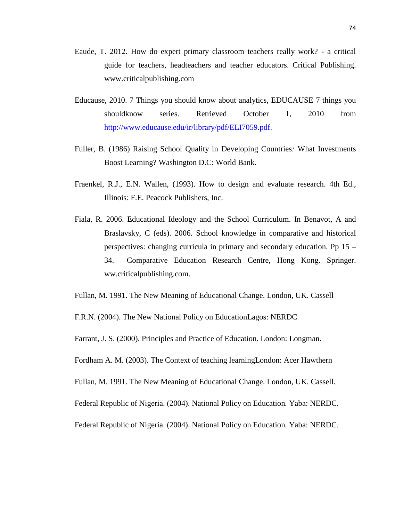- Eaude, T. 2012. How do expert primary classroom teachers really work? a critical guide for teachers, headteachers and teacher educators. Critical Publishing. www.criticalpublishing.com
- Educause, 2010. 7 Things you should know about analytics, EDUCAUSE 7 things you shouldknow series. Retrieved October 1, 2010 from http://www.educause.edu/ir/library/pdf/ELI7059.pdf.
- Fuller, B. (1986) Raising School Quality in Developing Countries*:* What Investments Boost Learning? Washington D.C: World Bank.
- Fraenkel, R.J., E.N. Wallen, (1993). How to design and evaluate research. 4th Ed., Illinois: F.E. Peacock Publishers, Inc.
- Fiala, R. 2006. Educational Ideology and the School Curriculum. In Benavot, A and Braslavsky, C (eds). 2006. School knowledge in comparative and historical perspectives: changing curricula in primary and secondary education. Pp 15 – 34. Comparative Education Research Centre, Hong Kong. Springer. ww.criticalpublishing.com.

Fullan, M. 1991. The New Meaning of Educational Change. London, UK. Cassell

F.R.N. (2004). The New National Policy on EducationLagos: NERDC

Farrant, J. S. (2000). Principles and Practice of Education. London: Longman.

Fordham A. M. (2003). The Context of teaching learningLondon: Acer Hawthern

Fullan, M. 1991. The New Meaning of Educational Change. London, UK. Cassell.

Federal Republic of Nigeria. (2004). National Policy on Education*.* Yaba: NERDC.

Federal Republic of Nigeria. (2004). National Policy on Education*.* Yaba: NERDC.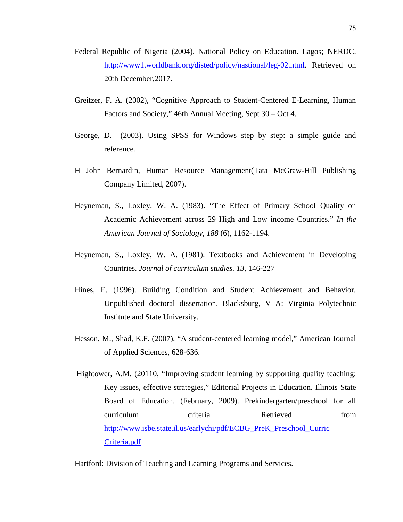- Federal Republic of Nigeria (2004). National Policy on Education. Lagos; NERDC. http://www1.worldbank.org/disted/policy/nastional/leg-02.html. Retrieved on 20th December,2017.
- Greitzer, F. A. (2002), "Cognitive Approach to Student-Centered E-Learning, Human Factors and Society," 46th Annual Meeting, Sept 30 – Oct 4.
- George, D. (2003). Using SPSS for Windows step by step: a simple guide and reference*.*
- H John Bernardin, Human Resource Management(Tata McGraw-Hill Publishing Company Limited, 2007).
- Heyneman, S., Loxley, W. A. (1983). "The Effect of Primary School Quality on Academic Achievement across 29 High and Low income Countries." *In the American Journal of Sociology, 188* (6), 1162-1194.
- Heyneman, S., Loxley, W. A. (1981). Textbooks and Achievement in Developing Countries. *Journal of curriculum studies. 13*, 146-227
- Hines, E. (1996). Building Condition and Student Achievement and Behavior*.*  Unpublished doctoral dissertation. Blacksburg, V A: Virginia Polytechnic Institute and State University.
- Hesson, M., Shad, K.F. (2007), "A student-centered learning model," American Journal of Applied Sciences, 628-636.
- Hightower, A.M. (20110, "Improving student learning by supporting quality teaching: Key issues, effective strategies," Editorial Projects in Education. Illinois State Board of Education. (February, 2009). Prekindergarten/preschool for all curriculum criteria. Retrieved from [http://www.isbe.state.il.us/earlychi/pdf/ECBG\\_PreK\\_Preschool\\_Curric](http://www.isbe.state.il.us/earlychi/pdf/ECBG_PreK_Preschool_Curric%20Criteria.pdf)  [Criteria.pdf](http://www.isbe.state.il.us/earlychi/pdf/ECBG_PreK_Preschool_Curric%20Criteria.pdf)

Hartford: Division of Teaching and Learning Programs and Services.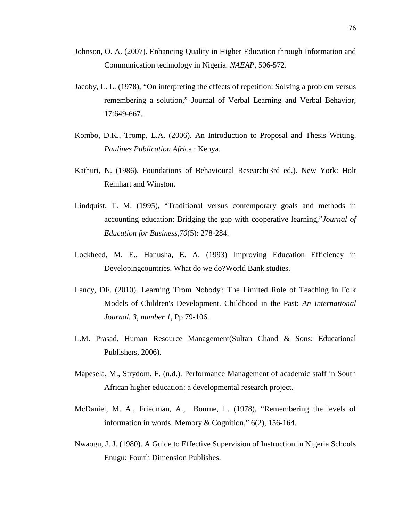- Johnson, O. A. (2007). Enhancing Quality in Higher Education through Information and Communication technology in Nigeria. *NAEAP,* 506-572.
- Jacoby, L. L. (1978), "On interpreting the effects of repetition: Solving a problem versus remembering a solution," Journal of Verbal Learning and Verbal Behavior, 17:649-667.
- Kombo, D.K., Tromp, L.A. (2006). An Introduction to Proposal and Thesis Writing. *Paulines Publication Afri*ca : Kenya.
- Kathuri, N. (1986). Foundations of Behavioural Research(3rd ed.). New York: Holt Reinhart and Winston.
- Lindquist, T. M. (1995), "Traditional versus contemporary goals and methods in accounting education: Bridging the gap with cooperative learning,"*Journal of Education for Business,70*(5): 278-284.
- Lockheed, M. E., Hanusha, E. A. (1993) Improving Education Efficiency in Developingcountries. What do we do?World Bank studies.
- Lancy, DF. (2010). Learning 'From Nobody': The Limited Role of Teaching in Folk Models of Children's Development. Childhood in the Past: *An International Journal. 3, number 1*, Pp 79-106.
- L.M. Prasad, Human Resource Management(Sultan Chand & Sons: Educational Publishers, 2006).
- Mapesela, M., Strydom, F. (n.d.). Performance Management of academic staff in South African higher education: a developmental research project.
- McDaniel, M. A., Friedman, A., Bourne, L. (1978), "Remembering the levels of information in words. Memory & Cognition," 6(2), 156-164.
- Nwaogu, J. J. (1980). A Guide to Effective Supervision of Instruction in Nigeria Schools Enugu: Fourth Dimension Publishes.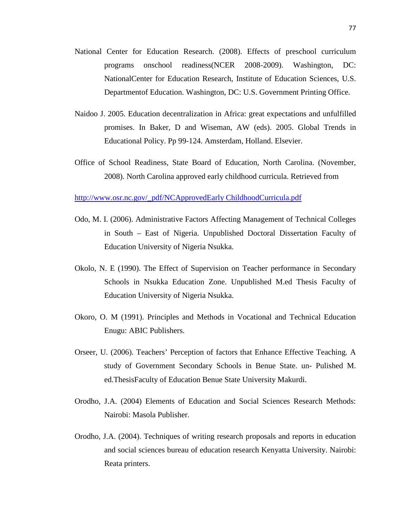- National Center for Education Research. (2008). Effects of preschool curriculum programs onschool readiness(NCER 2008-2009). Washington, DC: NationalCenter for Education Research, Institute of Education Sciences, U.S. Departmentof Education. Washington, DC: U.S. Government Printing Office.
- Naidoo J. 2005. Education decentralization in Africa: great expectations and unfulfilled promises. In Baker, D and Wiseman, AW (eds). 2005. Global Trends in Educational Policy. Pp 99-124. Amsterdam, Holland. Elsevier.
- Office of School Readiness, State Board of Education, North Carolina. (November, 2008). North Carolina approved early childhood curricula. Retrieved from

[http://www.osr.nc.gov/\\_pdf/NCApprovedEarly ChildhoodCurricula.pdf](http://www.osr.nc.gov/_pdf/NCApprovedEarly%20ChildhoodCurricula.pdf)

- Odo, M. I. (2006). Administrative Factors Affecting Management of Technical Colleges in South – East of Nigeria. Unpublished Doctoral Dissertation Faculty of Education University of Nigeria Nsukka.
- Okolo, N. E (1990). The Effect of Supervision on Teacher performance in Secondary Schools in Nsukka Education Zone. Unpublished M.ed Thesis Faculty of Education University of Nigeria Nsukka.
- Okoro, O. M (1991). Principles and Methods in Vocational and Technical Education Enugu: ABIC Publishers.
- Orseer, U. (2006). Teachers' Perception of factors that Enhance Effective Teaching. A study of Government Secondary Schools in Benue State. un- Pulished M. ed.ThesisFaculty of Education Benue State University Makurdi.
- Orodho, J.A. (2004) Elements of Education and Social Sciences Research Methods: Nairobi: Masola Publisher.
- Orodho, J.A. (2004). Techniques of writing research proposals and reports in education and social sciences bureau of education research Kenyatta University. Nairobi: Reata printers.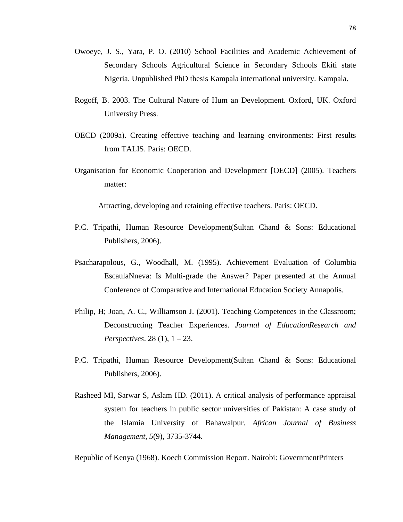- Owoeye, J. S., Yara, P. O. (2010) School Facilities and Academic Achievement of Secondary Schools Agricultural Science in Secondary Schools Ekiti state Nigeria. Unpublished PhD thesis Kampala international university. Kampala.
- Rogoff, B. 2003. The Cultural Nature of Hum an Development. Oxford, UK. Oxford University Press.
- OECD (2009a). Creating effective teaching and learning environments: First results from TALIS. Paris: OECD.
- Organisation for Economic Cooperation and Development [OECD] (2005). Teachers matter:

Attracting, developing and retaining effective teachers. Paris: OECD.

- P.C. Tripathi, Human Resource Development(Sultan Chand & Sons: Educational Publishers, 2006).
- Psacharapolous, G., Woodhall, M. (1995). Achievement Evaluation of Columbia EscaulaNneva: Is Multi-grade the Answer? Paper presented at the Annual Conference of Comparative and International Education Society Annapolis.
- Philip, H; Joan, A. C., Williamson J. (2001). Teaching Competences in the Classroom; Deconstructing Teacher Experiences. *Journal of EducationResearch and Perspectives*. 28 (1), 1 – 23.
- P.C. Tripathi, Human Resource Development(Sultan Chand & Sons: Educational Publishers, 2006).
- Rasheed MI, Sarwar S, Aslam HD. (2011). A critical analysis of performance appraisal system for teachers in public sector universities of Pakistan: A case study of the Islamia University of Bahawalpur. *African Journal of Business Management, 5*(9), 3735-3744.

Republic of Kenya (1968). Koech Commission Report. Nairobi: GovernmentPrinters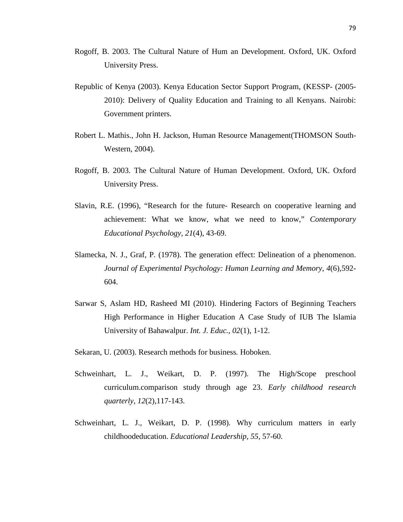- Rogoff, B. 2003. The Cultural Nature of Hum an Development. Oxford, UK. Oxford University Press.
- Republic of Kenya (2003). Kenya Education Sector Support Program, (KESSP- (2005- 2010): Delivery of Quality Education and Training to all Kenyans. Nairobi: Government printers.
- Robert L. Mathis., John H. Jackson, Human Resource Management(THOMSON South-Western, 2004).
- Rogoff, B. 2003. The Cultural Nature of Human Development. Oxford, UK. Oxford University Press.
- Slavin, R.E. (1996), "Research for the future- Research on cooperative learning and achievement: What we know, what we need to know," *Contemporary Educational Psychology, 21*(4), 43-69.
- Slamecka, N. J., Graf, P. (1978). The generation effect: Delineation of a phenomenon. *Journal of Experimental Psychology: Human Learning and Memory, 4*(6),592- 604.
- Sarwar S, Aslam HD, Rasheed MI (2010). Hindering Factors of Beginning Teachers High Performance in Higher Education A Case Study of IUB The Islamia University of Bahawalpur. *Int. J. Educ., 02*(1), 1-12.
- Sekaran, U. (2003). Research methods for business*.* Hoboken.
- Schweinhart, L. J., Weikart, D. P. (1997). The High/Scope preschool curriculum.comparison study through age 23. *Early childhood research quarterly, 12*(2),117-143.
- Schweinhart, L. J., Weikart, D. P. (1998). Why curriculum matters in early childhoodeducation. *Educational Leadership, 55,* 57-60.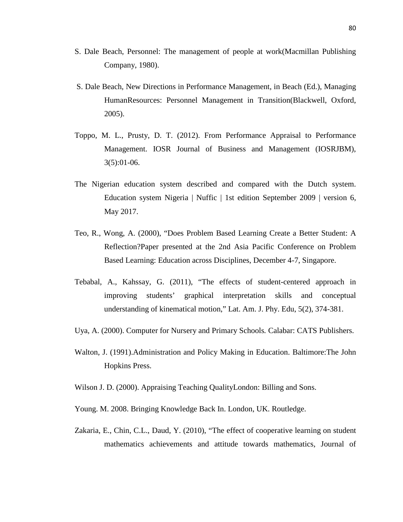- S. Dale Beach, Personnel: The management of people at work(Macmillan Publishing Company, 1980).
- S. Dale Beach, New Directions in Performance Management, in Beach (Ed.), Managing HumanResources: Personnel Management in Transition(Blackwell, Oxford, 2005).
- Toppo, M. L., Prusty, D. T. (2012). From Performance Appraisal to Performance Management. IOSR Journal of Business and Management (IOSRJBM), 3(5):01-06.
- The Nigerian education system described and compared with the Dutch system. Education system Nigeria | Nuffic | 1st edition September 2009 | version 6, May 2017.
- Teo, R., Wong, A. (2000), "Does Problem Based Learning Create a Better Student: A Reflection?Paper presented at the 2nd Asia Pacific Conference on Problem Based Learning: Education across Disciplines, December 4-7, Singapore.
- Tebabal, A., Kahssay, G. (2011), "The effects of student-centered approach in improving students' graphical interpretation skills and conceptual understanding of kinematical motion," Lat. Am. J. Phy. Edu, 5(2), 374-381.
- Uya, A. (2000). Computer for Nursery and Primary Schools*.* Calabar: CATS Publishers.
- Walton, J. (1991).Administration and Policy Making in Education. Baltimore:The John Hopkins Press.
- Wilson J. D. (2000). Appraising Teaching QualityLondon: Billing and Sons.
- Young. M. 2008. Bringing Knowledge Back In. London, UK. Routledge.
- Zakaria, E., Chin, C.L., Daud, Y. (2010), "The effect of cooperative learning on student mathematics achievements and attitude towards mathematics, Journal of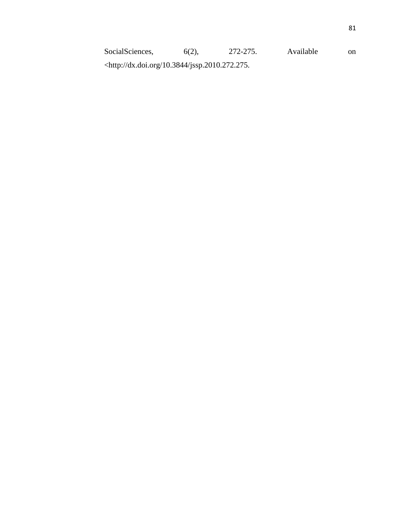SocialSciences, 6(2), 272-275. Available on <http://dx.doi.org/10.3844/jssp.2010.272.275.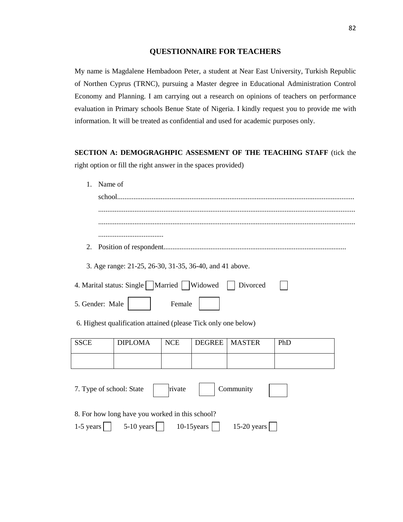### **QUESTIONNAIRE FOR TEACHERS**

My name is Magdalene Hembadoon Peter, a student at Near East University, Turkish Republic of Northen Cyprus (TRNC), pursuing a Master degree in Educational Administration Control Economy and Planning. I am carrying out a research on opinions of teachers on performance evaluation in Primary schools Benue State of Nigeria. I kindly request you to provide me with information. It will be treated as confidential and used for academic purposes only.

**SECTION A: DEMOGRAGHPIC ASSESMENT OF THE TEACHING STAFF** (tick the right option or fill the right answer in the spaces provided)

| Name of<br>$\mathbf{1}$ . |                                                                         |        |               |                 |     |  |
|---------------------------|-------------------------------------------------------------------------|--------|---------------|-----------------|-----|--|
| school                    |                                                                         |        |               |                 |     |  |
|                           |                                                                         |        |               |                 |     |  |
|                           |                                                                         |        |               |                 |     |  |
|                           |                                                                         |        |               |                 |     |  |
| 2.                        |                                                                         |        |               |                 |     |  |
|                           | 3. Age range: 21-25, 26-30, 31-35, 36-40, and 41 above.                 |        |               |                 |     |  |
|                           | 4. Marital status: Single   Married   Widowed                           |        |               | Divorced        |     |  |
| 5. Gender: Male           |                                                                         | Female |               |                 |     |  |
|                           | 6. Highest qualification attained (please Tick only one below)          |        |               |                 |     |  |
| <b>SSCE</b>               | <b>DIPLOMA</b>                                                          | NCE    | <b>DEGREE</b> | <b>MASTER</b>   | PhD |  |
|                           |                                                                         |        |               |                 |     |  |
| 7. Type of school: State  |                                                                         | rivate |               | Community       |     |  |
| 1-5 years $ $             | 8. For how long have you worked in this school?<br>$5-10 \text{ years}$ |        | $10-15$ years | 15-20 years $ $ |     |  |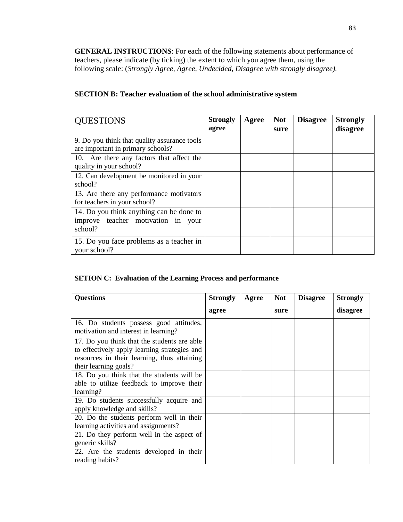**GENERAL INSTRUCTIONS**: For each of the following statements about performance of teachers, please indicate (by ticking) the extent to which you agree them, using the following scale: (*Strongly Agree, Agree, Undecided, Disagree with strongly disagree).*

## **SECTION B: Teacher evaluation of the school administrative system**

| <b>QUESTIONS</b>                                                                          | <b>Strongly</b><br>agree | Agree | <b>Not</b><br>sure | <b>Disagree</b> | <b>Strongly</b><br>disagree |
|-------------------------------------------------------------------------------------------|--------------------------|-------|--------------------|-----------------|-----------------------------|
| 9. Do you think that quality assurance tools<br>are important in primary schools?         |                          |       |                    |                 |                             |
| 10. Are there any factors that affect the<br>quality in your school?                      |                          |       |                    |                 |                             |
| 12. Can development be monitored in your<br>school?                                       |                          |       |                    |                 |                             |
| 13. Are there any performance motivators<br>for teachers in your school?                  |                          |       |                    |                 |                             |
| 14. Do you think anything can be done to<br>improve teacher motivation in your<br>school? |                          |       |                    |                 |                             |
| 15. Do you face problems as a teacher in<br>your school?                                  |                          |       |                    |                 |                             |

### **SETION C: Evaluation of the Learning Process and performance**

| <b>Questions</b>                                                                                                                                                    | <b>Strongly</b> | Agree | <b>Not</b> | <b>Disagree</b> | <b>Strongly</b> |
|---------------------------------------------------------------------------------------------------------------------------------------------------------------------|-----------------|-------|------------|-----------------|-----------------|
|                                                                                                                                                                     | agree           |       | sure       |                 | disagree        |
| 16. Do students possess good attitudes,<br>motivation and interest in learning?                                                                                     |                 |       |            |                 |                 |
| 17. Do you think that the students are able<br>to effectively apply learning strategies and<br>resources in their learning, thus attaining<br>their learning goals? |                 |       |            |                 |                 |
| 18. Do you think that the students will be<br>able to utilize feedback to improve their<br>learning?                                                                |                 |       |            |                 |                 |
| 19. Do students successfully acquire and<br>apply knowledge and skills?                                                                                             |                 |       |            |                 |                 |
| 20. Do the students perform well in their<br>learning activities and assignments?                                                                                   |                 |       |            |                 |                 |
| 21. Do they perform well in the aspect of<br>generic skills?                                                                                                        |                 |       |            |                 |                 |
| 22. Are the students developed in their<br>reading habits?                                                                                                          |                 |       |            |                 |                 |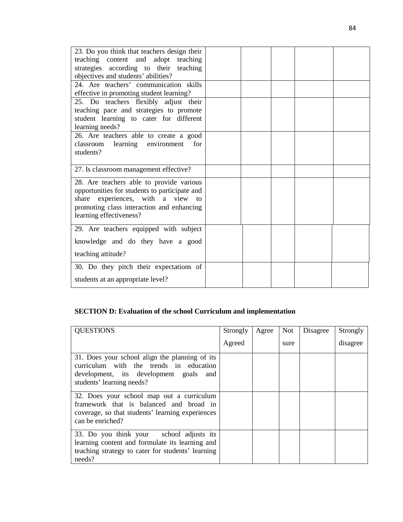| 23. Do you think that teachers design their<br>teaching content and adopt teaching<br>strategies according to their teaching<br>objectives and students' abilities?<br>24. Are teachers' communication skills<br>effective in promoting student learning? |  |  |  |
|-----------------------------------------------------------------------------------------------------------------------------------------------------------------------------------------------------------------------------------------------------------|--|--|--|
| 25. Do teachers flexibly adjust their<br>teaching pace and strategies to promote<br>student learning to cater for different<br>learning needs?                                                                                                            |  |  |  |
| 26. Are teachers able to create a good<br>classroom learning environment<br>for<br>students?                                                                                                                                                              |  |  |  |
| 27. Is classroom management effective?                                                                                                                                                                                                                    |  |  |  |
| 28. Are teachers able to provide various<br>opportunities for students to participate and<br>share experiences, with a view to<br>promoting class interaction and enhancing<br>learning effectiveness?                                                    |  |  |  |
| 29. Are teachers equipped with subject                                                                                                                                                                                                                    |  |  |  |
| knowledge and do they have a good                                                                                                                                                                                                                         |  |  |  |
| teaching attitude?                                                                                                                                                                                                                                        |  |  |  |
| 30. Do they pitch their expectations of<br>students at an appropriate level?                                                                                                                                                                              |  |  |  |

## **SECTION D: Evaluation of the school Curriculum and implementation**

| <b>QUESTIONS</b>                                                                                                                                                 | Strongly | Agree | Not  | Disagree | Strongly |
|------------------------------------------------------------------------------------------------------------------------------------------------------------------|----------|-------|------|----------|----------|
|                                                                                                                                                                  | Agreed   |       | sure |          | disagree |
| 31. Does your school align the planning of its<br>curriculum with the trends in education<br>development, its development goals and<br>students' learning needs? |          |       |      |          |          |
| 32. Does your school map out a curriculum<br>framework that is balanced and broad in<br>coverage, so that students' learning experiences<br>can be enriched?     |          |       |      |          |          |
| 33. Do you think your school adjusts its<br>learning content and formulate its learning and<br>teaching strategy to cater for students' learning<br>needs?       |          |       |      |          |          |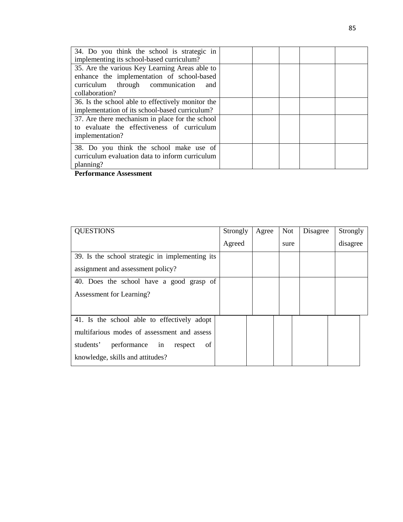| 34. Do you think the school is strategic in<br>implementing its school-based curriculum? |  |  |  |  |
|------------------------------------------------------------------------------------------|--|--|--|--|
|                                                                                          |  |  |  |  |
| 35. Are the various Key Learning Areas able to                                           |  |  |  |  |
| enhance the implementation of school-based                                               |  |  |  |  |
| curriculum through communication<br>and                                                  |  |  |  |  |
| collaboration?                                                                           |  |  |  |  |
| 36. Is the school able to effectively monitor the                                        |  |  |  |  |
| implementation of its school-based curriculum?                                           |  |  |  |  |
| 37. Are there mechanism in place for the school                                          |  |  |  |  |
| to evaluate the effectiveness of curriculum                                              |  |  |  |  |
| implementation?                                                                          |  |  |  |  |
|                                                                                          |  |  |  |  |
| 38. Do you think the school make use of                                                  |  |  |  |  |
| curriculum evaluation data to inform curriculum                                          |  |  |  |  |
| planning?                                                                                |  |  |  |  |
|                                                                                          |  |  |  |  |
|                                                                                          |  |  |  |  |

**Performance Assessment**

| <b>QUESTIONS</b>                                | Strongly | Agree | <b>Not</b> | Disagree | Strongly |
|-------------------------------------------------|----------|-------|------------|----------|----------|
|                                                 | Agreed   |       | sure       |          | disagree |
| 39. Is the school strategic in implementing its |          |       |            |          |          |
| assignment and assessment policy?               |          |       |            |          |          |
| 40. Does the school have a good grasp of        |          |       |            |          |          |
| Assessment for Learning?                        |          |       |            |          |          |
|                                                 |          |       |            |          |          |
| 41. Is the school able to effectively adopt     |          |       |            |          |          |
| multifarious modes of assessment and assess     |          |       |            |          |          |
| students'<br>performance<br>of<br>in<br>respect |          |       |            |          |          |
| knowledge, skills and attitudes?                |          |       |            |          |          |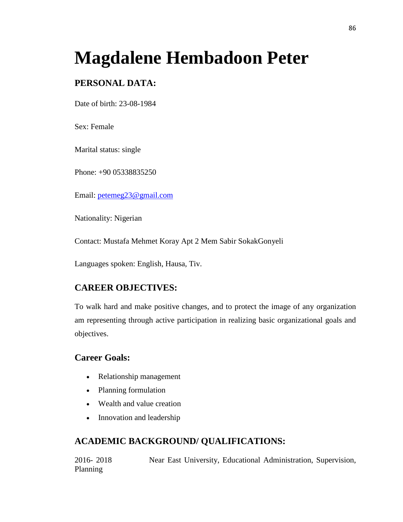# **Magdalene Hembadoon Peter**

# **PERSONAL DATA:**

Date of birth: 23-08-1984

Sex: Female

Marital status: single

Phone: +90 05338835250

Email: [petemeg23@gmail.com](mailto:petemeg23@gmail.com)

Nationality: Nigerian

Contact: Mustafa Mehmet Koray Apt 2 Mem Sabir SokakGonyeli

Languages spoken: English, Hausa, Tiv.

# **CAREER OBJECTIVES:**

To walk hard and make positive changes, and to protect the image of any organization am representing through active participation in realizing basic organizational goals and objectives.

## **Career Goals:**

- Relationship management
- Planning formulation
- Wealth and value creation
- Innovation and leadership

# **ACADEMIC BACKGROUND/ QUALIFICATIONS:**

2016- 2018 Near East University, Educational Administration, Supervision, Planning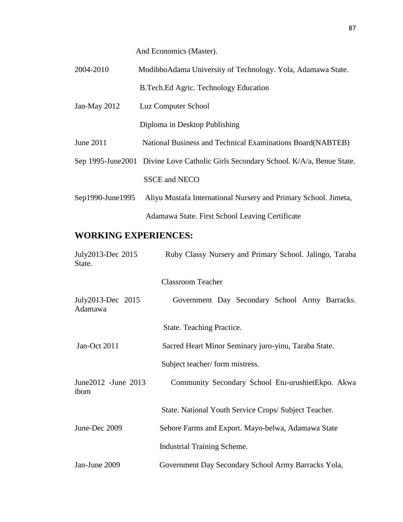And Economics (Master).

| 2004-2010        | ModibboAdama University of Technology. Yola, Adamawa State.                         |
|------------------|-------------------------------------------------------------------------------------|
|                  | B. Tech. Ed Agric. Technology Education                                             |
| Jan-May $2012$   | Luz Computer School                                                                 |
|                  | Diploma in Desktop Publishing                                                       |
| June 2011        | National Business and Technical Examinations Board(NABTEB)                          |
|                  | Sep 1995-June 2001 Divine Love Catholic Girls Secondary School. K/A/a, Benue State. |
|                  | <b>SSCE and NECO</b>                                                                |
| Sep1990-June1995 | Aliyu Mustafa International Nursery and Primary School. Jimeta,                     |
|                  | Adamawa State. First School Leaving Certificate                                     |

# **WORKING EXPERIENCES:**

| July2013-Dec 2015<br>State.   | Ruby Classy Nursery and Primary School. Jalingo, Taraba |  |  |
|-------------------------------|---------------------------------------------------------|--|--|
|                               | <b>Classroom Teacher</b>                                |  |  |
| July2013-Dec 2015<br>Adamawa  | Government Day Secondary School Army Barracks.          |  |  |
|                               | State. Teaching Practice.                               |  |  |
| Jan-Oct 2011                  | Sacred Heart Minor Seminary juro-yinu, Taraba State.    |  |  |
|                               | Subject teacher/form mistress.                          |  |  |
| June 2012 - June 2013<br>ibom | Community Secondary School Etu-urushietEkpo. Akwa       |  |  |
|                               | State. National Youth Service Crops/Subject Teacher.    |  |  |
| June-Dec 2009                 | Sebore Farms and Export. Mayo-belwa, Adamawa State      |  |  |
|                               | <b>Industrial Training Scheme.</b>                      |  |  |
| Jan-June 2009                 | Government Day Secondary School Army Barracks Yola,     |  |  |